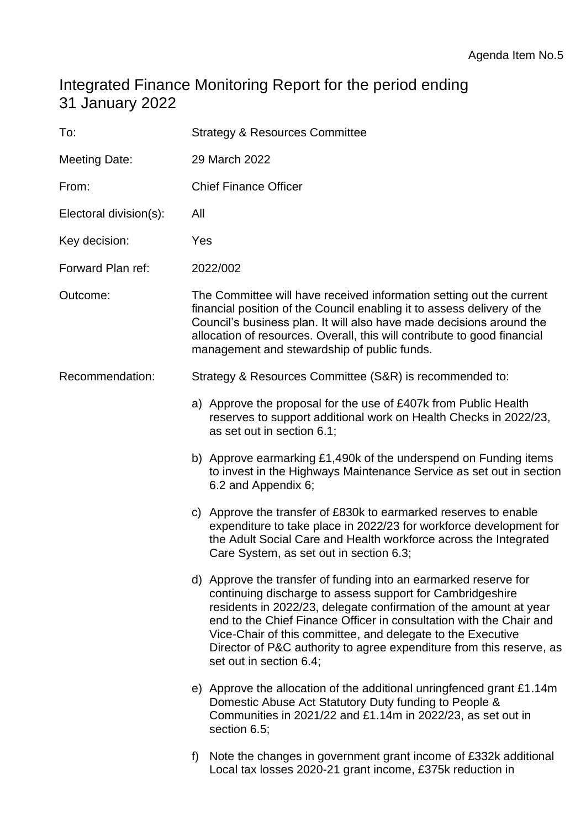# Integrated Finance Monitoring Report for the period ending 31 January 2022

| To:                    | <b>Strategy &amp; Resources Committee</b>                                                                                                                                                                                                                                                                                                                                                                                                   |  |  |  |  |  |
|------------------------|---------------------------------------------------------------------------------------------------------------------------------------------------------------------------------------------------------------------------------------------------------------------------------------------------------------------------------------------------------------------------------------------------------------------------------------------|--|--|--|--|--|
| Meeting Date:          | 29 March 2022                                                                                                                                                                                                                                                                                                                                                                                                                               |  |  |  |  |  |
| From:                  | <b>Chief Finance Officer</b>                                                                                                                                                                                                                                                                                                                                                                                                                |  |  |  |  |  |
| Electoral division(s): | All                                                                                                                                                                                                                                                                                                                                                                                                                                         |  |  |  |  |  |
| Key decision:          | Yes                                                                                                                                                                                                                                                                                                                                                                                                                                         |  |  |  |  |  |
| Forward Plan ref:      | 2022/002                                                                                                                                                                                                                                                                                                                                                                                                                                    |  |  |  |  |  |
| Outcome:               | The Committee will have received information setting out the current<br>financial position of the Council enabling it to assess delivery of the<br>Council's business plan. It will also have made decisions around the<br>allocation of resources. Overall, this will contribute to good financial<br>management and stewardship of public funds.                                                                                          |  |  |  |  |  |
| Recommendation:        | Strategy & Resources Committee (S&R) is recommended to:                                                                                                                                                                                                                                                                                                                                                                                     |  |  |  |  |  |
|                        | a) Approve the proposal for the use of £407k from Public Health<br>reserves to support additional work on Health Checks in 2022/23,<br>as set out in section 6.1;                                                                                                                                                                                                                                                                           |  |  |  |  |  |
|                        | b) Approve earmarking £1,490k of the underspend on Funding items<br>to invest in the Highways Maintenance Service as set out in section<br>6.2 and Appendix 6;                                                                                                                                                                                                                                                                              |  |  |  |  |  |
|                        | c) Approve the transfer of £830k to earmarked reserves to enable<br>expenditure to take place in 2022/23 for workforce development for<br>the Adult Social Care and Health workforce across the Integrated<br>Care System, as set out in section 6.3;                                                                                                                                                                                       |  |  |  |  |  |
|                        | d) Approve the transfer of funding into an earmarked reserve for<br>continuing discharge to assess support for Cambridgeshire<br>residents in 2022/23, delegate confirmation of the amount at year<br>end to the Chief Finance Officer in consultation with the Chair and<br>Vice-Chair of this committee, and delegate to the Executive<br>Director of P&C authority to agree expenditure from this reserve, as<br>set out in section 6.4; |  |  |  |  |  |
|                        | e) Approve the allocation of the additional unringfenced grant £1.14m<br>Domestic Abuse Act Statutory Duty funding to People &<br>Communities in 2021/22 and £1.14m in 2022/23, as set out in<br>section 6.5;                                                                                                                                                                                                                               |  |  |  |  |  |
|                        | Note the changes in government grant income of £332k additional<br>f)<br>Local tax losses 2020-21 grant income, £375k reduction in                                                                                                                                                                                                                                                                                                          |  |  |  |  |  |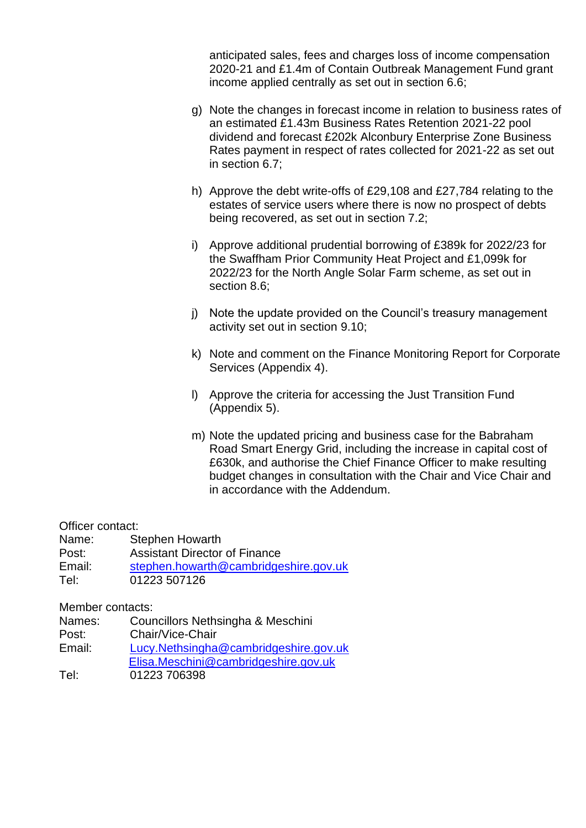anticipated sales, fees and charges loss of income compensation 2020-21 and £1.4m of Contain Outbreak Management Fund grant income applied centrally as set out in section 6.6;

- g) Note the changes in forecast income in relation to business rates of an estimated £1.43m Business Rates Retention 2021-22 pool dividend and forecast £202k Alconbury Enterprise Zone Business Rates payment in respect of rates collected for 2021-22 as set out in section 6.7;
- h) Approve the debt write-offs of £29,108 and £27,784 relating to the estates of service users where there is now no prospect of debts being recovered, as set out in section 7.2;
- i) Approve additional prudential borrowing of £389k for 2022/23 for the Swaffham Prior Community Heat Project and £1,099k for 2022/23 for the North Angle Solar Farm scheme, as set out in section 8.6;
- j) Note the update provided on the Council's treasury management activity set out in section 9.10;
- k) Note and comment on the Finance Monitoring Report for Corporate Services (Appendix 4).
- l) Approve the criteria for accessing the Just Transition Fund (Appendix 5).
- m) Note the updated pricing and business case for the Babraham Road Smart Energy Grid, including the increase in capital cost of £630k, and authorise the Chief Finance Officer to make resulting budget changes in consultation with the Chair and Vice Chair and in accordance with the Addendum.

#### Officer contact:

| Name:  | <b>Stephen Howarth</b>                |
|--------|---------------------------------------|
| Post:  | <b>Assistant Director of Finance</b>  |
| Email: | stephen.howarth@cambridgeshire.gov.uk |
| Tel:   | 01223 507126                          |

Member contacts:

| Names: | Councillors Nethsingha & Meschini |
|--------|-----------------------------------|
|        |                                   |

Post: Chair/Vice-Chair

Email: [Lucy.Nethsingha@cambridgeshire.gov.uk](mailto:Lucy.Nethsingha@cambridgeshire.gov.uk) [Elisa.Meschini@cambridgeshire.gov.uk](mailto:elisa.meschini@cambridgeshire.gov.uk) Tel: 01223 706398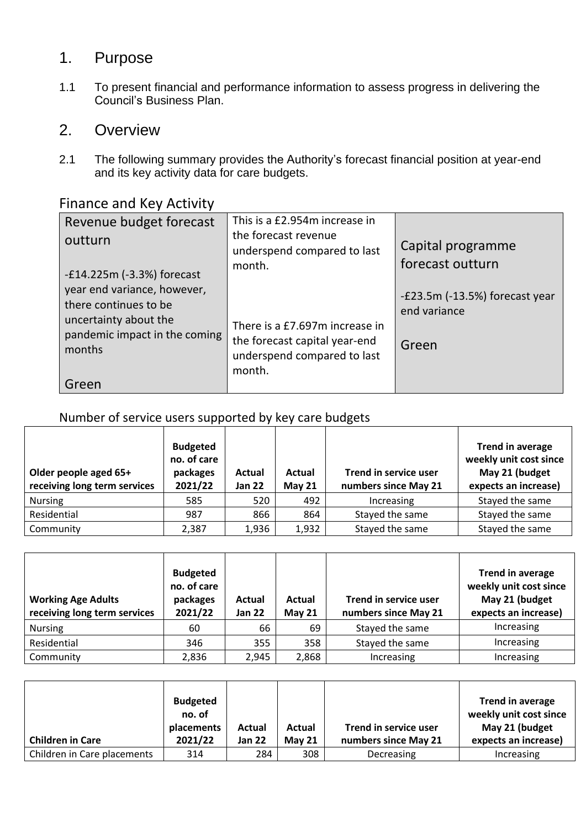# 1. Purpose

1.1 To present financial and performance information to assess progress in delivering the Council's Business Plan.

# 2. Overview

2.1 The following summary provides the Authority's forecast financial position at year-end and its key activity data for care budgets.

# Finance and Key Activity

| Revenue budget forecast       | This is a £2.954m increase in  |                                |
|-------------------------------|--------------------------------|--------------------------------|
| outturn                       | the forecast revenue           | Capital programme              |
|                               | underspend compared to last    |                                |
|                               | month.                         | forecast outturn               |
| -£14.225m (-3.3%) forecast    |                                |                                |
| year end variance, however,   |                                | -£23.5m (-13.5%) forecast year |
| there continues to be         |                                | end variance                   |
| uncertainty about the         |                                |                                |
| pandemic impact in the coming | There is a £7.697m increase in |                                |
|                               | the forecast capital year-end  | Green                          |
| months                        | underspend compared to last    |                                |
|                               | month.                         |                                |
|                               |                                |                                |
| Green                         |                                |                                |

# Number of service users supported by key care budgets

| Older people aged 65+<br>receiving long term services | <b>Budgeted</b><br>no. of care<br>packages<br>2021/22 | Actual<br><b>Jan 22</b> | Actual<br><b>May 21</b> | Trend in service user<br>numbers since May 21 | <b>Trend in average</b><br>weekly unit cost since<br>May 21 (budget<br>expects an increase) |
|-------------------------------------------------------|-------------------------------------------------------|-------------------------|-------------------------|-----------------------------------------------|---------------------------------------------------------------------------------------------|
| <b>Nursing</b>                                        | 585                                                   | 520                     | 492                     | Increasing                                    | Stayed the same                                                                             |
| Residential                                           | 987                                                   | 866                     | 864                     | Stayed the same                               | Stayed the same                                                                             |
| Community                                             | 2,387                                                 | 1,936                   | 1,932                   | Stayed the same                               | Stayed the same                                                                             |

| <b>Working Age Adults</b><br>receiving long term services | <b>Budgeted</b><br>no. of care<br>packages<br>2021/22 | Actual<br><b>Jan 22</b> | Actual<br><b>May 21</b> | <b>Trend in service user</b><br>numbers since May 21 | <b>Trend in average</b><br>weekly unit cost since<br>May 21 (budget<br>expects an increase) |
|-----------------------------------------------------------|-------------------------------------------------------|-------------------------|-------------------------|------------------------------------------------------|---------------------------------------------------------------------------------------------|
| <b>Nursing</b>                                            | 60                                                    | 66                      | 69                      | Stayed the same                                      | Increasing                                                                                  |
| Residential                                               | 346                                                   | 355                     | 358                     | Stayed the same                                      | Increasing                                                                                  |
| Community                                                 | 2,836                                                 | 2,945                   | 2,868                   | Increasing                                           | Increasing                                                                                  |

| <b>Children in Care</b>     | <b>Budgeted</b><br>no. of<br>placements<br>2021/22 | Actual<br><b>Jan 22</b> | Actual<br><b>May 21</b> | Trend in service user<br>numbers since May 21 | <b>Trend in average</b><br>weekly unit cost since<br>May 21 (budget<br>expects an increase) |
|-----------------------------|----------------------------------------------------|-------------------------|-------------------------|-----------------------------------------------|---------------------------------------------------------------------------------------------|
| Children in Care placements | 314                                                | 284                     | 308                     | Decreasing                                    | Increasing                                                                                  |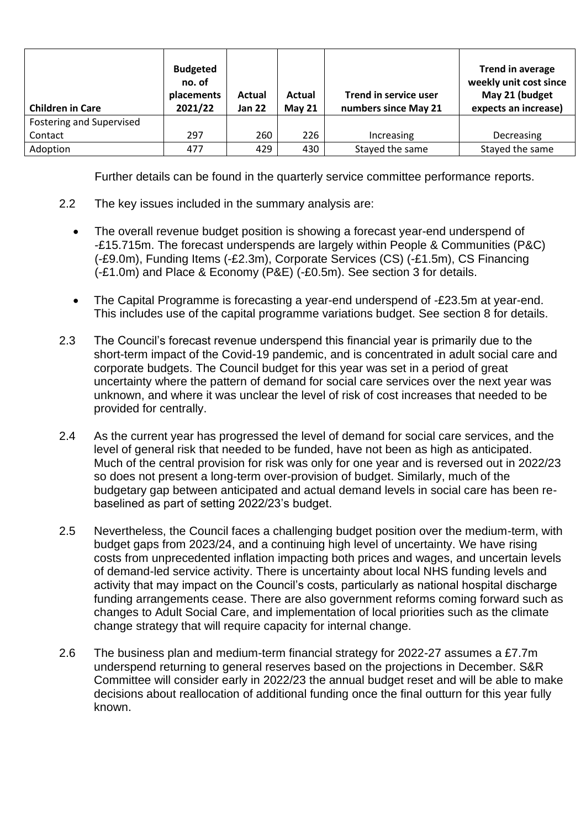| <b>Children in Care</b>         | <b>Budgeted</b><br>no. of<br>placements<br>2021/22 | Actual<br><b>Jan 22</b> | Actual<br><b>May 21</b> | Trend in service user<br>numbers since May 21 | <b>Trend in average</b><br>weekly unit cost since<br>May 21 (budget<br>expects an increase) |
|---------------------------------|----------------------------------------------------|-------------------------|-------------------------|-----------------------------------------------|---------------------------------------------------------------------------------------------|
| <b>Fostering and Supervised</b> |                                                    |                         |                         |                                               |                                                                                             |
| Contact                         | 297                                                | 260                     | 226                     | Increasing                                    | Decreasing                                                                                  |
| Adoption                        | 477                                                | 429                     | 430                     | Stayed the same                               | Stayed the same                                                                             |

Further details can be found in the quarterly service committee performance reports.

- 2.2 The key issues included in the summary analysis are:
	- The overall revenue budget position is showing a forecast year-end underspend of -£15.715m. The forecast underspends are largely within People & Communities (P&C) (-£9.0m), Funding Items (-£2.3m), Corporate Services (CS) (-£1.5m), CS Financing (-£1.0m) and Place & Economy (P&E) (-£0.5m). See section 3 for details.
	- The Capital Programme is forecasting a year-end underspend of -£23.5m at year-end. This includes use of the capital programme variations budget. See section 8 for details.
- 2.3 The Council's forecast revenue underspend this financial year is primarily due to the short-term impact of the Covid-19 pandemic, and is concentrated in adult social care and corporate budgets. The Council budget for this year was set in a period of great uncertainty where the pattern of demand for social care services over the next year was unknown, and where it was unclear the level of risk of cost increases that needed to be provided for centrally.
- 2.4 As the current year has progressed the level of demand for social care services, and the level of general risk that needed to be funded, have not been as high as anticipated. Much of the central provision for risk was only for one year and is reversed out in 2022/23 so does not present a long-term over-provision of budget. Similarly, much of the budgetary gap between anticipated and actual demand levels in social care has been rebaselined as part of setting 2022/23's budget.
- 2.5 Nevertheless, the Council faces a challenging budget position over the medium-term, with budget gaps from 2023/24, and a continuing high level of uncertainty. We have rising costs from unprecedented inflation impacting both prices and wages, and uncertain levels of demand-led service activity. There is uncertainty about local NHS funding levels and activity that may impact on the Council's costs, particularly as national hospital discharge funding arrangements cease. There are also government reforms coming forward such as changes to Adult Social Care, and implementation of local priorities such as the climate change strategy that will require capacity for internal change.
- 2.6 The business plan and medium-term financial strategy for 2022-27 assumes a £7.7m underspend returning to general reserves based on the projections in December. S&R Committee will consider early in 2022/23 the annual budget reset and will be able to make decisions about reallocation of additional funding once the final outturn for this year fully known.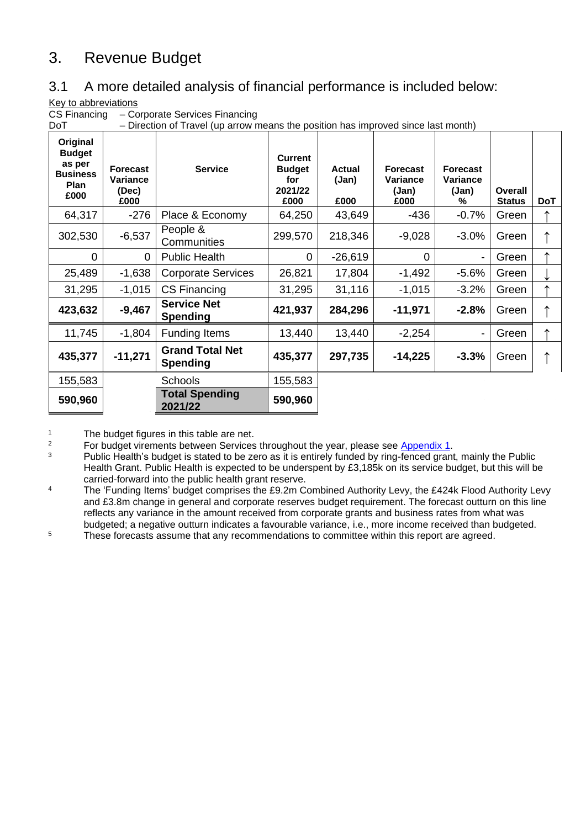# 3. Revenue Budget

# 3.1 A more detailed analysis of financial performance is included below:

Key to abbreviations

CS Financing – Corporate Services Financing

DoT – Direction of Travel (up arrow means the position has improved since last month)

| Original<br><b>Budget</b><br>as per<br><b>Business</b><br><b>Plan</b><br>£000 | <b>Forecast</b><br>Variance<br>(Dec)<br>£000 | <b>Service</b>                        | <b>Current</b><br><b>Budget</b><br>for<br>2021/22<br>£000 | Actual<br>(Jan)<br>£000 | <b>Forecast</b><br>Variance<br>(Jan)<br>£000 | <b>Forecast</b><br>Variance<br>(Jan)<br>% | Overall<br><b>Status</b> | <b>DoT</b> |
|-------------------------------------------------------------------------------|----------------------------------------------|---------------------------------------|-----------------------------------------------------------|-------------------------|----------------------------------------------|-------------------------------------------|--------------------------|------------|
| 64,317                                                                        | $-276$                                       | Place & Economy                       | 64,250                                                    | 43,649                  | $-436$                                       | $-0.7%$                                   | Green                    |            |
| 302,530                                                                       | $-6,537$                                     | People &<br>Communities               | 299,570                                                   | 218,346                 | $-9,028$                                     | $-3.0%$                                   | Green                    |            |
| $\overline{0}$                                                                | $\Omega$                                     | <b>Public Health</b>                  | 0                                                         | $-26,619$               | 0                                            | -                                         | Green                    |            |
| 25,489                                                                        | $-1,638$                                     | <b>Corporate Services</b>             | 26,821                                                    | 17,804                  | $-1,492$                                     | $-5.6%$                                   | Green                    |            |
| 31,295                                                                        | $-1,015$                                     | CS Financing                          | 31,295                                                    | 31,116                  | $-1,015$                                     | $-3.2%$                                   | Green                    |            |
| 423,632                                                                       | $-9,467$                                     | <b>Service Net</b><br><b>Spending</b> | 421,937                                                   | 284,296                 | $-11,971$                                    | $-2.8%$                                   | Green                    |            |
| 11,745                                                                        | $-1,804$                                     | <b>Funding Items</b>                  | 13,440                                                    | 13,440                  | $-2,254$                                     | -                                         | Green                    |            |
| 435,377                                                                       | $-11,271$                                    | <b>Grand Total Net</b><br>Spending    | 435,377                                                   | 297,735                 | $-14,225$                                    | $-3.3%$                                   | Green                    |            |
| 155,583                                                                       |                                              | <b>Schools</b>                        | 155,583                                                   |                         |                                              |                                           |                          |            |
| 590,960                                                                       |                                              | <b>Total Spending</b><br>2021/22      | 590,960                                                   |                         |                                              |                                           |                          |            |

 $\frac{1}{2}$  The budget figures in this table are net.<br>  $\frac{2}{1}$  For budget virements between Services

<sup>2</sup> For budget virements between Services throughout the year, please see  $\frac{\text{Appendix 1}}{\text{Population Health's budget}}$  is stated to be zero as it is entirely funded by ring-fenced graph

Public Health's budget is stated to be zero as it is entirely funded by ring-fenced grant, mainly the Public Health Grant. Public Health is expected to be underspent by £3,185k on its service budget, but this will be carried-forward into the public health grant reserve.

<sup>4</sup> The 'Funding Items' budget comprises the £9.2m Combined Authority Levy, the £424k Flood Authority Levy and £3.8m change in general and corporate reserves budget requirement. The forecast outturn on this line reflects any variance in the amount received from corporate grants and business rates from what was budgeted; a negative outturn indicates a favourable variance, i.e., more income received than budgeted.

<sup>5</sup> These forecasts assume that any recommendations to committee within this report are agreed.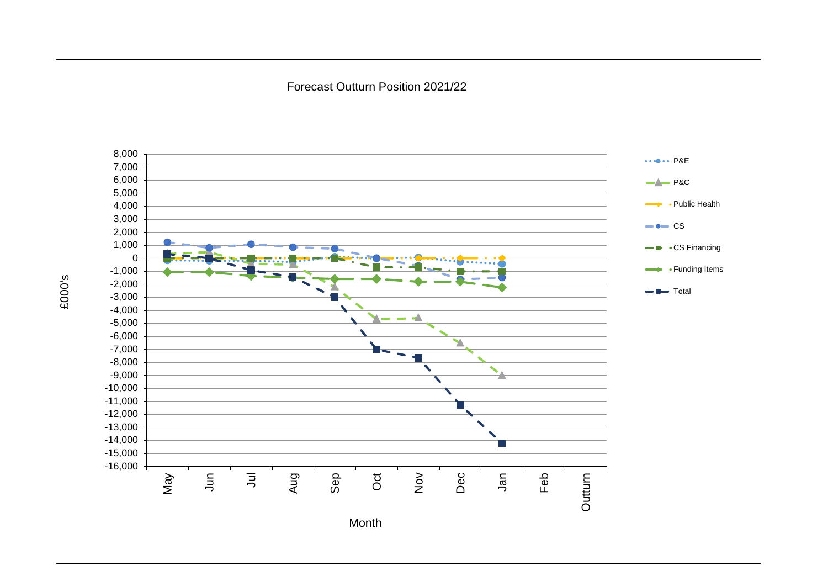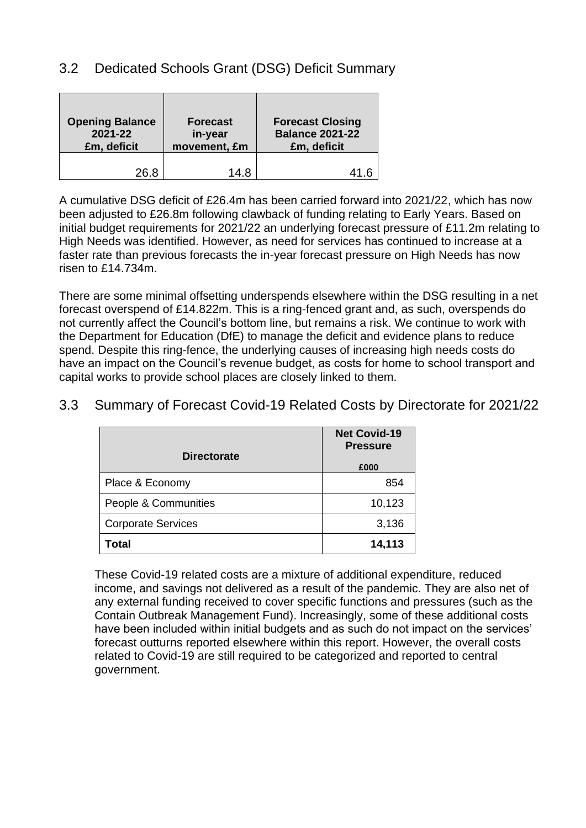# 3.2 Dedicated Schools Grant (DSG) Deficit Summary

| <b>Opening Balance</b> | <b>Forecast</b> | <b>Forecast Closing</b> |
|------------------------|-----------------|-------------------------|
| 2021-22                | in-year         | <b>Balance 2021-22</b>  |
| £m, deficit            | movement, £m    | £m, deficit             |
| 26.8                   | 14 R            | 41 R                    |

A cumulative DSG deficit of £26.4m has been carried forward into 2021/22, which has now been adjusted to £26.8m following clawback of funding relating to Early Years. Based on initial budget requirements for 2021/22 an underlying forecast pressure of £11.2m relating to High Needs was identified. However, as need for services has continued to increase at a faster rate than previous forecasts the in-year forecast pressure on High Needs has now risen to £14.734m.

There are some minimal offsetting underspends elsewhere within the DSG resulting in a net forecast overspend of £14.822m. This is a ring-fenced grant and, as such, overspends do not currently affect the Council's bottom line, but remains a risk. We continue to work with the Department for Education (DfE) to manage the deficit and evidence plans to reduce spend. Despite this ring-fence, the underlying causes of increasing high needs costs do have an impact on the Council's revenue budget, as costs for home to school transport and capital works to provide school places are closely linked to them.

3.3 Summary of Forecast Covid-19 Related Costs by Directorate for 2021/22

|                           | <b>Net Covid-19</b><br><b>Pressure</b> |
|---------------------------|----------------------------------------|
| <b>Directorate</b>        | £000                                   |
| Place & Economy           | 854                                    |
| People & Communities      | 10,123                                 |
| <b>Corporate Services</b> | 3,136                                  |
| Total                     | 14,113                                 |

These Covid-19 related costs are a mixture of additional expenditure, reduced income, and savings not delivered as a result of the pandemic. They are also net of any external funding received to cover specific functions and pressures (such as the Contain Outbreak Management Fund). Increasingly, some of these additional costs have been included within initial budgets and as such do not impact on the services' forecast outturns reported elsewhere within this report. However, the overall costs related to Covid-19 are still required to be categorized and reported to central government.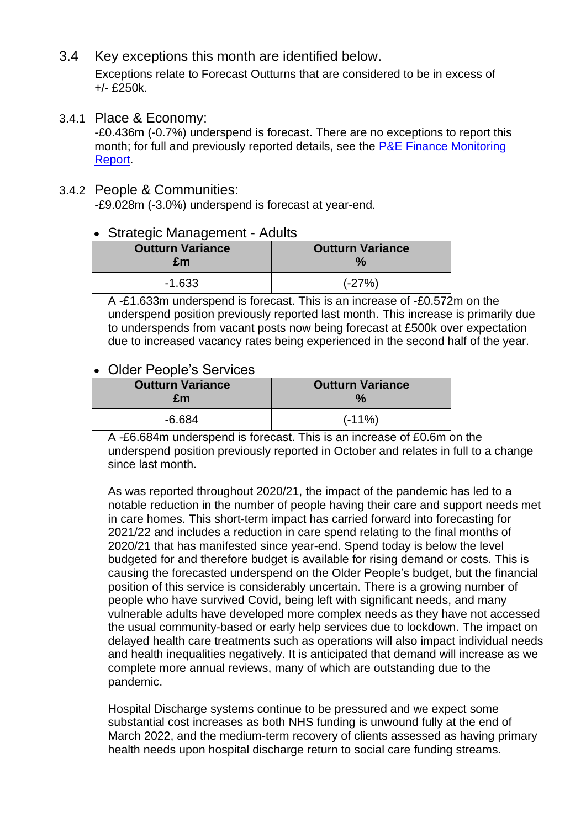- 3.4 Key exceptions this month are identified below. Exceptions relate to Forecast Outturns that are considered to be in excess of +/- £250k.
- 3.4.1 Place & Economy:

-£0.436m (-0.7%) underspend is forecast. There are no exceptions to report this month; for full and previously reported details, see the [P&E Finance Monitoring](https://www.cambridgeshire.gov.uk/asset-library/Place-and-Economy-Finance-Monitoring-Report-January-2022-v4.pdf)  [Report.](https://www.cambridgeshire.gov.uk/asset-library/Place-and-Economy-Finance-Monitoring-Report-January-2022-v4.pdf)

#### 3.4.2 People & Communities:

-£9.028m (-3.0%) underspend is forecast at year-end.

#### • Strategic Management - Adults

| <b>Outturn Variance</b><br>£m | <b>Outturn Variance</b> |
|-------------------------------|-------------------------|
| $-1.633$                      | $(-27%)$                |

A -£1.633m underspend is forecast. This is an increase of -£0.572m on the underspend position previously reported last month. This increase is primarily due to underspends from vacant posts now being forecast at £500k over expectation due to increased vacancy rates being experienced in the second half of the year.

#### • Older People's Services

| <b>Outturn Variance</b> | <b>Outturn Variance</b> |
|-------------------------|-------------------------|
| £m                      | $\%$                    |
| $-6.684$                | $(-11\%)$               |

A -£6.684m underspend is forecast. This is an increase of £0.6m on the underspend position previously reported in October and relates in full to a change since last month.

As was reported throughout 2020/21, the impact of the pandemic has led to a notable reduction in the number of people having their care and support needs met in care homes. This short-term impact has carried forward into forecasting for 2021/22 and includes a reduction in care spend relating to the final months of 2020/21 that has manifested since year-end. Spend today is below the level budgeted for and therefore budget is available for rising demand or costs. This is causing the forecasted underspend on the Older People's budget, but the financial position of this service is considerably uncertain. There is a growing number of people who have survived Covid, being left with significant needs, and many vulnerable adults have developed more complex needs as they have not accessed the usual community-based or early help services due to lockdown. The impact on delayed health care treatments such as operations will also impact individual needs and health inequalities negatively. It is anticipated that demand will increase as we complete more annual reviews, many of which are outstanding due to the pandemic.

Hospital Discharge systems continue to be pressured and we expect some substantial cost increases as both NHS funding is unwound fully at the end of March 2022, and the medium-term recovery of clients assessed as having primary health needs upon hospital discharge return to social care funding streams.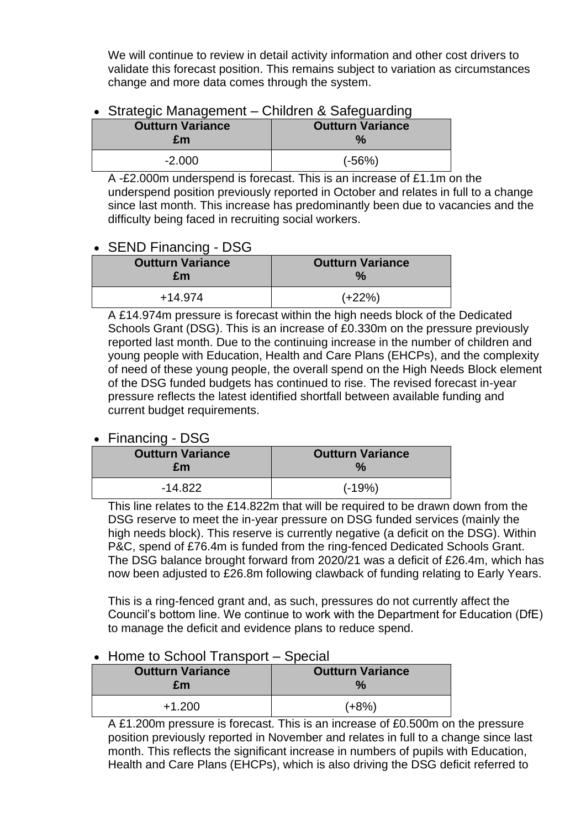We will continue to review in detail activity information and other cost drivers to validate this forecast position. This remains subject to variation as circumstances change and more data comes through the system.

### • Strategic Management – Children & Safeguarding

| <b>Outturn Variance</b><br>£m | <b>Outturn Variance</b> |
|-------------------------------|-------------------------|
| $-2.000$                      | $(-56%)$                |

A -£2.000m underspend is forecast. This is an increase of £1.1m on the underspend position previously reported in October and relates in full to a change since last month. This increase has predominantly been due to vacancies and the difficulty being faced in recruiting social workers.

### • SEND Financing - DSG

| <b>Outturn Variance</b><br>£m | <b>Outturn Variance</b> |
|-------------------------------|-------------------------|
| +14.974                       | $(+22%)$                |

A £14.974m pressure is forecast within the high needs block of the Dedicated Schools Grant (DSG). This is an increase of £0.330m on the pressure previously reported last month. Due to the continuing increase in the number of children and young people with Education, Health and Care Plans (EHCPs), and the complexity of need of these young people, the overall spend on the High Needs Block element of the DSG funded budgets has continued to rise. The revised forecast in-year pressure reflects the latest identified shortfall between available funding and current budget requirements.

#### • Financing - DSG

| <b>Outturn Variance</b> | <b>Outturn Variance</b> |
|-------------------------|-------------------------|
| £m                      | $\frac{1}{2}$           |
| -14.822                 | $(-19%)$                |

This line relates to the £14.822m that will be required to be drawn down from the DSG reserve to meet the in-year pressure on DSG funded services (mainly the high needs block). This reserve is currently negative (a deficit on the DSG). Within P&C, spend of £76.4m is funded from the ring-fenced Dedicated Schools Grant. The DSG balance brought forward from 2020/21 was a deficit of £26.4m, which has now been adjusted to £26.8m following clawback of funding relating to Early Years.

This is a ring-fenced grant and, as such, pressures do not currently affect the Council's bottom line. We continue to work with the Department for Education (DfE) to manage the deficit and evidence plans to reduce spend.

#### • Home to School Transport – Special

| <b>Outturn Variance</b><br>£m | <b>Outturn Variance</b> |
|-------------------------------|-------------------------|
| $+1.200$                      | $(+8%)$                 |

A £1.200m pressure is forecast. This is an increase of £0.500m on the pressure position previously reported in November and relates in full to a change since last month. This reflects the significant increase in numbers of pupils with Education, Health and Care Plans (EHCPs), which is also driving the DSG deficit referred to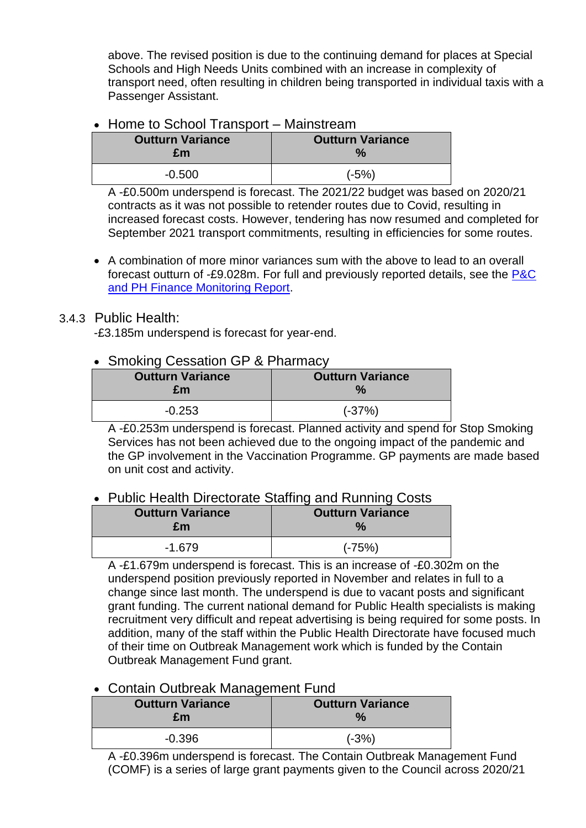above. The revised position is due to the continuing demand for places at Special Schools and High Needs Units combined with an increase in complexity of transport need, often resulting in children being transported in individual taxis with a Passenger Assistant.

### • Home to School Transport – Mainstream

| <b>Outturn Variance</b> | <b>Outturn Variance</b> |
|-------------------------|-------------------------|
| £m                      | $\frac{9}{6}$           |
| $-0.500$                | $(-5%)$                 |

A -£0.500m underspend is forecast. The 2021/22 budget was based on 2020/21 contracts as it was not possible to retender routes due to Covid, resulting in increased forecast costs. However, tendering has now resumed and completed for September 2021 transport commitments, resulting in efficiencies for some routes.

• A combination of more minor variances sum with the above to lead to an overall forecast outturn of -£9.028m. For full and previously reported details, see the [P&C](https://www.cambridgeshire.gov.uk/asset-library/People-and-Communities-and-Public-Health-Finance-Monitoring-Report-January-2022.pdf)  [and PH Finance Monitoring Report.](https://www.cambridgeshire.gov.uk/asset-library/People-and-Communities-and-Public-Health-Finance-Monitoring-Report-January-2022.pdf)

### 3.4.3 Public Health:

-£3.185m underspend is forecast for year-end.

### • Smoking Cessation GP & Pharmacy

| <b>Outturn Variance</b> | <b>Outturn Variance</b> |
|-------------------------|-------------------------|
| £m                      | $\frac{9}{6}$           |
| $-0.253$                | $(-37%)$                |

A -£0.253m underspend is forecast. Planned activity and spend for Stop Smoking Services has not been achieved due to the ongoing impact of the pandemic and the GP involvement in the Vaccination Programme. GP payments are made based on unit cost and activity.

#### • Public Health Directorate Staffing and Running Costs

| <b>Outturn Variance</b> | <b>Outturn Variance</b>    |
|-------------------------|----------------------------|
| £m                      | $\mathcal{V}_{\mathbf{0}}$ |
| -1.679                  | $(-75%)$                   |

A -£1.679m underspend is forecast. This is an increase of -£0.302m on the underspend position previously reported in November and relates in full to a change since last month. The underspend is due to vacant posts and significant grant funding. The current national demand for Public Health specialists is making recruitment very difficult and repeat advertising is being required for some posts. In addition, many of the staff within the Public Health Directorate have focused much of their time on Outbreak Management work which is funded by the Contain Outbreak Management Fund grant.

#### • Contain Outbreak Management Fund

| <b>Outturn Variance</b> | <b>Outturn Variance</b> |
|-------------------------|-------------------------|
| £m                      | $\%$                    |
| $-0.396$                | $(-3%)$                 |

A -£0.396m underspend is forecast. The Contain Outbreak Management Fund (COMF) is a series of large grant payments given to the Council across 2020/21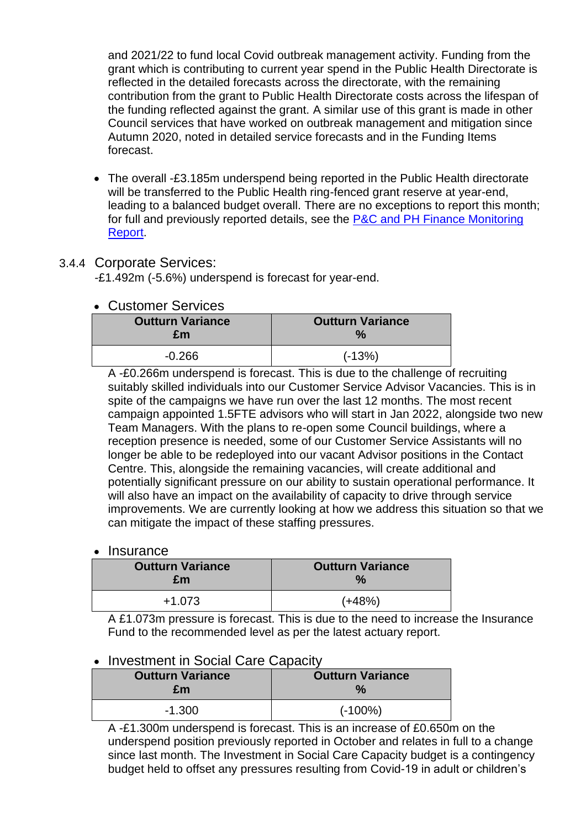and 2021/22 to fund local Covid outbreak management activity. Funding from the grant which is contributing to current year spend in the Public Health Directorate is reflected in the detailed forecasts across the directorate, with the remaining contribution from the grant to Public Health Directorate costs across the lifespan of the funding reflected against the grant. A similar use of this grant is made in other Council services that have worked on outbreak management and mitigation since Autumn 2020, noted in detailed service forecasts and in the Funding Items forecast.

• The overall -£3.185m underspend being reported in the Public Health directorate will be transferred to the Public Health ring-fenced grant reserve at year-end, leading to a balanced budget overall. There are no exceptions to report this month; for full and previously reported details, see the [P&C and PH Finance Monitoring](https://www.cambridgeshire.gov.uk/asset-library/People-and-Communities-and-Public-Health-Finance-Monitoring-Report-January-2022.pdf)  [Report.](https://www.cambridgeshire.gov.uk/asset-library/People-and-Communities-and-Public-Health-Finance-Monitoring-Report-January-2022.pdf)

#### 3.4.4 Corporate Services:

-£1.492m (-5.6%) underspend is forecast for year-end.

#### • Customer Services

| <b>Outturn Variance</b><br>£m | <b>Outturn Variance</b> |
|-------------------------------|-------------------------|
| $-0.266$                      | $(-13%)$                |

A -£0.266m underspend is forecast. This is due to the challenge of recruiting suitably skilled individuals into our Customer Service Advisor Vacancies. This is in spite of the campaigns we have run over the last 12 months. The most recent campaign appointed 1.5FTE advisors who will start in Jan 2022, alongside two new Team Managers. With the plans to re-open some Council buildings, where a reception presence is needed, some of our Customer Service Assistants will no longer be able to be redeployed into our vacant Advisor positions in the Contact Centre. This, alongside the remaining vacancies, will create additional and potentially significant pressure on our ability to sustain operational performance. It will also have an impact on the availability of capacity to drive through service improvements. We are currently looking at how we address this situation so that we can mitigate the impact of these staffing pressures.

#### • Insurance

| <b>Outturn Variance</b> | <b>Outturn Variance</b> |
|-------------------------|-------------------------|
| £m                      | $\frac{1}{2}$           |
| $+1.073$                | $(+48%)$                |

A £1.073m pressure is forecast. This is due to the need to increase the Insurance Fund to the recommended level as per the latest actuary report.

#### • Investment in Social Care Capacity

| <b>Outturn Variance</b><br>£m | <b>Outturn Variance</b> |
|-------------------------------|-------------------------|
| $-1.300$                      | $(-100\%)$              |

A -£1.300m underspend is forecast. This is an increase of £0.650m on the underspend position previously reported in October and relates in full to a change since last month. The Investment in Social Care Capacity budget is a contingency budget held to offset any pressures resulting from Covid-19 in adult or children's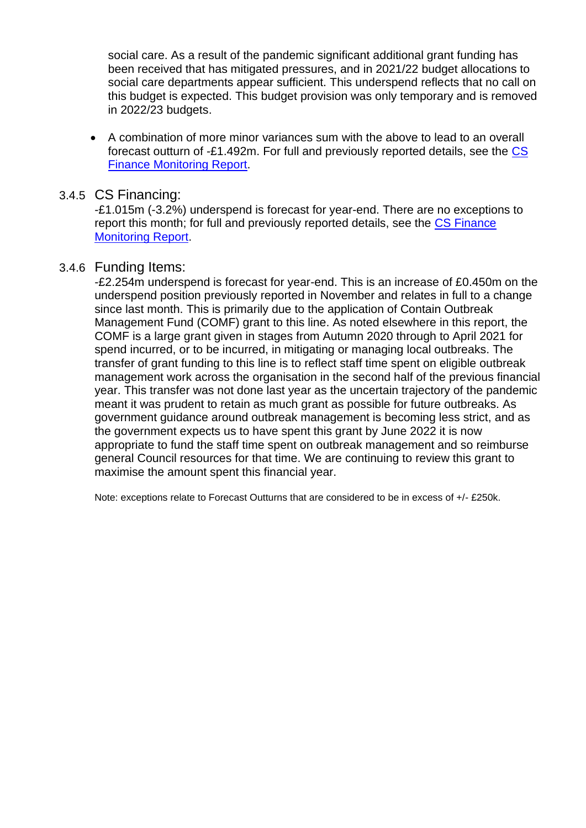social care. As a result of the pandemic significant additional grant funding has been received that has mitigated pressures, and in 2021/22 budget allocations to social care departments appear sufficient. This underspend reflects that no call on this budget is expected. This budget provision was only temporary and is removed in 2022/23 budgets.

• A combination of more minor variances sum with the above to lead to an overall forecast outturn of -£1.492m. For full and previously reported details, see the [CS](https://www.cambridgeshire.gov.uk/asset-library/Corporate-Services-Finance-Monitoring-Report-January-2022.pdf)  [Finance Monitoring Report.](https://www.cambridgeshire.gov.uk/asset-library/Corporate-Services-Finance-Monitoring-Report-January-2022.pdf)

#### 3.4.5 CS Financing:

-£1.015m (-3.2%) underspend is forecast for year-end. There are no exceptions to report this month; for full and previously reported details, see the [CS Finance](https://www.cambridgeshire.gov.uk/asset-library/Corporate-Services-Finance-Monitoring-Report-January-2022.pdf)  [Monitoring Report.](https://www.cambridgeshire.gov.uk/asset-library/Corporate-Services-Finance-Monitoring-Report-January-2022.pdf)

#### 3.4.6 Funding Items:

-£2.254m underspend is forecast for year-end. This is an increase of £0.450m on the underspend position previously reported in November and relates in full to a change since last month. This is primarily due to the application of Contain Outbreak Management Fund (COMF) grant to this line. As noted elsewhere in this report, the COMF is a large grant given in stages from Autumn 2020 through to April 2021 for spend incurred, or to be incurred, in mitigating or managing local outbreaks. The transfer of grant funding to this line is to reflect staff time spent on eligible outbreak management work across the organisation in the second half of the previous financial year. This transfer was not done last year as the uncertain trajectory of the pandemic meant it was prudent to retain as much grant as possible for future outbreaks. As government guidance around outbreak management is becoming less strict, and as the government expects us to have spent this grant by June 2022 it is now appropriate to fund the staff time spent on outbreak management and so reimburse general Council resources for that time. We are continuing to review this grant to maximise the amount spent this financial year.

Note: exceptions relate to Forecast Outturns that are considered to be in excess of +/- £250k.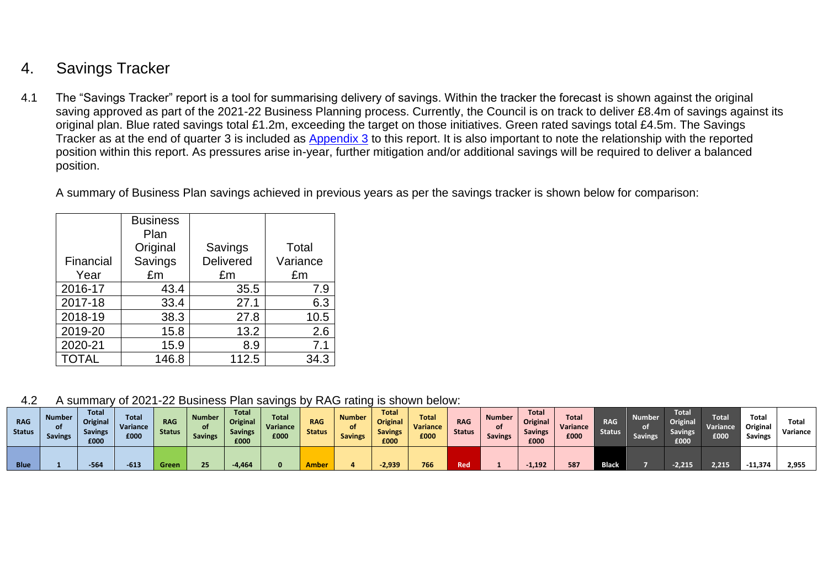# 4. Savings Tracker

4.1 The "Savings Tracker" report is a tool for summarising delivery of savings. Within the tracker the forecast is shown against the original saving approved as part of the 2021-22 Business Planning process. Currently, the Council is on track to deliver £8.4m of savings against its original plan. Blue rated savings total £1.2m, exceeding the target on those initiatives. Green rated savings total £4.5m. The Savings Tracker as at the end of quarter 3 is included as [Appendix 3](#page-35-0) to this report. It is also important to note the relationship with the reported position within this report. As pressures arise in-year, further mitigation and/or additional savings will be required to deliver a balanced position.

A summary of Business Plan savings achieved in previous years as per the savings tracker is shown below for comparison:

|           | <b>Business</b> |           |          |
|-----------|-----------------|-----------|----------|
|           | Plan            |           |          |
|           | Original        | Savings   | Total    |
| Financial | Savings         | Delivered | Variance |
| Year      | £m              | £m        | £m       |
| 2016-17   | 43.4            | 35.5      | 7.9      |
| 2017-18   | 33.4            | 27.1      | 6.3      |
| 2018-19   | 38.3            | 27.8      | 10.5     |
| 2019-20   | 15.8            | 13.2      | 2.6      |
| 2020-21   | 15.9            | 8.9       | 7.1      |
| TOTAL     | 146.8           | 112.5     | 34.3     |

4.2 A summary of 2021-22 Business Plan savings by RAG rating is shown below:

| <b>RAG</b><br><b>Status</b> | <b>Number</b><br>0î<br><b>Savings</b> | <b>Total</b><br>Original<br><b>Savings</b><br>£000 | <b>Total</b><br>Variance<br>£000 | <b>RAG</b><br><b>Status</b> | <b>Number</b><br>οf<br><b>Savings</b> | Total<br>Original<br><b>Savings</b><br>£000 | Total<br>Variance<br>£000 | <b>RAG</b><br><b>Status</b> | <b>Number</b><br>οf<br><b>Savings</b> | Total<br>Original<br><b>Savings</b><br>£000 | <b>Total</b><br>Variance<br>£000 | <b>RAG</b><br><b>Status</b> | <b>Number</b><br>οt<br><b>Savings</b> | <b>Total</b><br><b>Original</b><br><b>Savings</b><br>£000 | <b>Tota</b><br>Variance<br>£000 | <b>RAG</b><br><b>Status</b> | <b>Number</b><br><b>Savings</b> | <b>Total</b><br><b>Original</b><br>Savings <sup>1</sup><br>£000 | <b>Total</b><br>Variance<br>£000 | Total<br>Original<br><b>Savings</b> | Total<br>Variance |
|-----------------------------|---------------------------------------|----------------------------------------------------|----------------------------------|-----------------------------|---------------------------------------|---------------------------------------------|---------------------------|-----------------------------|---------------------------------------|---------------------------------------------|----------------------------------|-----------------------------|---------------------------------------|-----------------------------------------------------------|---------------------------------|-----------------------------|---------------------------------|-----------------------------------------------------------------|----------------------------------|-------------------------------------|-------------------|
| <b>Blue</b>                 |                                       | $-564$                                             | $-613$                           | Green                       | 25                                    | 4,464                                       |                           | <b>\mbe</b>                 |                                       | $-2,939$                                    | 766                              | <b>Red</b>                  |                                       | $-1,192$                                                  | 587                             | <b>Black</b>                |                                 | 2.21                                                            | 2,215                            | 11.374                              | 2,955             |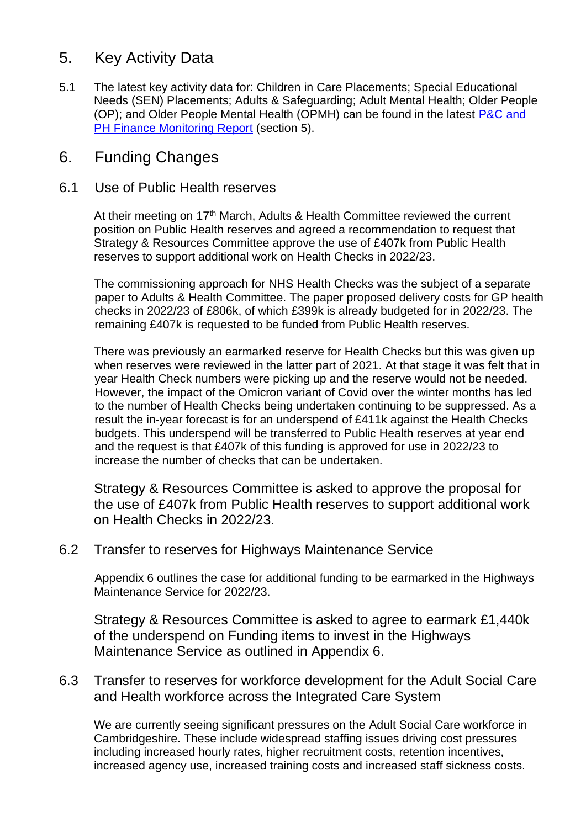# 5. Key Activity Data

5.1 The latest key activity data for: Children in Care Placements; Special Educational Needs (SEN) Placements; Adults & Safeguarding; Adult Mental Health; Older People (OP); and Older People Mental Health (OPMH) can be found in the latest [P&C and](https://www.cambridgeshire.gov.uk/asset-library/People-and-Communities-and-Public-Health-Finance-Monitoring-Report-January-2022.pdf)  [PH Finance Monitoring Report](https://www.cambridgeshire.gov.uk/asset-library/People-and-Communities-and-Public-Health-Finance-Monitoring-Report-January-2022.pdf) (section 5).

# 6. Funding Changes

# 6.1 Use of Public Health reserves

At their meeting on  $17<sup>th</sup>$  March, Adults & Health Committee reviewed the current position on Public Health reserves and agreed a recommendation to request that Strategy & Resources Committee approve the use of £407k from Public Health reserves to support additional work on Health Checks in 2022/23.

The commissioning approach for NHS Health Checks was the subject of a separate paper to Adults & Health Committee. The paper proposed delivery costs for GP health checks in 2022/23 of £806k, of which £399k is already budgeted for in 2022/23. The remaining £407k is requested to be funded from Public Health reserves.

There was previously an earmarked reserve for Health Checks but this was given up when reserves were reviewed in the latter part of 2021. At that stage it was felt that in year Health Check numbers were picking up and the reserve would not be needed. However, the impact of the Omicron variant of Covid over the winter months has led to the number of Health Checks being undertaken continuing to be suppressed. As a result the in-year forecast is for an underspend of £411k against the Health Checks budgets. This underspend will be transferred to Public Health reserves at year end and the request is that £407k of this funding is approved for use in 2022/23 to increase the number of checks that can be undertaken.

Strategy & Resources Committee is asked to approve the proposal for the use of £407k from Public Health reserves to support additional work on Health Checks in 2022/23.

# 6.2 Transfer to reserves for Highways Maintenance Service

Appendix 6 outlines the case for additional funding to be earmarked in the Highways Maintenance Service for 2022/23.

Strategy & Resources Committee is asked to agree to earmark £1,440k of the underspend on Funding items to invest in the Highways Maintenance Service as outlined in Appendix 6.

# 6.3 Transfer to reserves for workforce development for the Adult Social Care and Health workforce across the Integrated Care System

We are currently seeing significant pressures on the Adult Social Care workforce in Cambridgeshire. These include widespread staffing issues driving cost pressures including increased hourly rates, higher recruitment costs, retention incentives, increased agency use, increased training costs and increased staff sickness costs.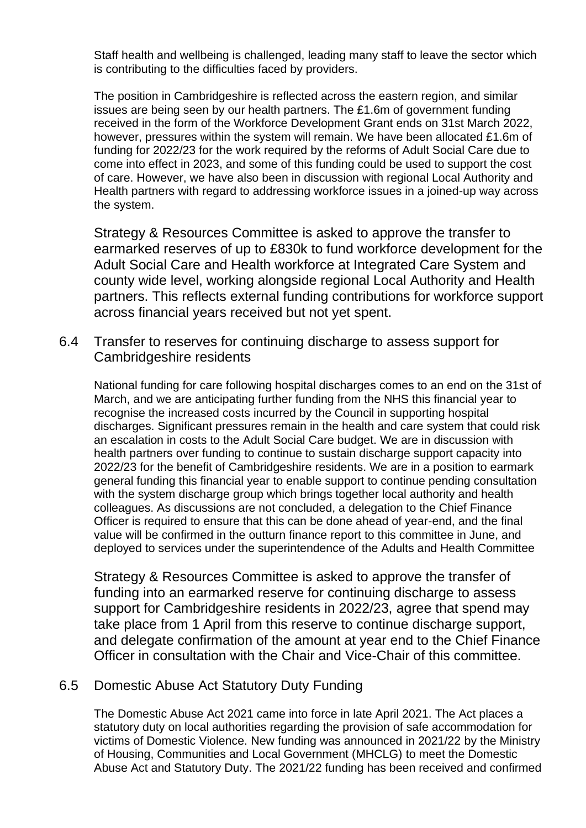Staff health and wellbeing is challenged, leading many staff to leave the sector which is contributing to the difficulties faced by providers.

The position in Cambridgeshire is reflected across the eastern region, and similar issues are being seen by our health partners. The £1.6m of government funding received in the form of the Workforce Development Grant ends on 31st March 2022, however, pressures within the system will remain. We have been allocated £1.6m of funding for 2022/23 for the work required by the reforms of Adult Social Care due to come into effect in 2023, and some of this funding could be used to support the cost of care. However, we have also been in discussion with regional Local Authority and Health partners with regard to addressing workforce issues in a joined-up way across the system.

Strategy & Resources Committee is asked to approve the transfer to earmarked reserves of up to £830k to fund workforce development for the Adult Social Care and Health workforce at Integrated Care System and county wide level, working alongside regional Local Authority and Health partners. This reflects external funding contributions for workforce support across financial years received but not yet spent.

6.4 Transfer to reserves for continuing discharge to assess support for Cambridgeshire residents

National funding for care following hospital discharges comes to an end on the 31st of March, and we are anticipating further funding from the NHS this financial year to recognise the increased costs incurred by the Council in supporting hospital discharges. Significant pressures remain in the health and care system that could risk an escalation in costs to the Adult Social Care budget. We are in discussion with health partners over funding to continue to sustain discharge support capacity into 2022/23 for the benefit of Cambridgeshire residents. We are in a position to earmark general funding this financial year to enable support to continue pending consultation with the system discharge group which brings together local authority and health colleagues. As discussions are not concluded, a delegation to the Chief Finance Officer is required to ensure that this can be done ahead of year-end, and the final value will be confirmed in the outturn finance report to this committee in June, and deployed to services under the superintendence of the Adults and Health Committee

Strategy & Resources Committee is asked to approve the transfer of funding into an earmarked reserve for continuing discharge to assess support for Cambridgeshire residents in 2022/23, agree that spend may take place from 1 April from this reserve to continue discharge support, and delegate confirmation of the amount at year end to the Chief Finance Officer in consultation with the Chair and Vice-Chair of this committee.

#### 6.5 Domestic Abuse Act Statutory Duty Funding

The Domestic Abuse Act 2021 came into force in late April 2021. The Act places a statutory duty on local authorities regarding the provision of safe accommodation for victims of Domestic Violence. New funding was announced in 2021/22 by the Ministry of Housing, Communities and Local Government (MHCLG) to meet the Domestic Abuse Act and Statutory Duty. The 2021/22 funding has been received and confirmed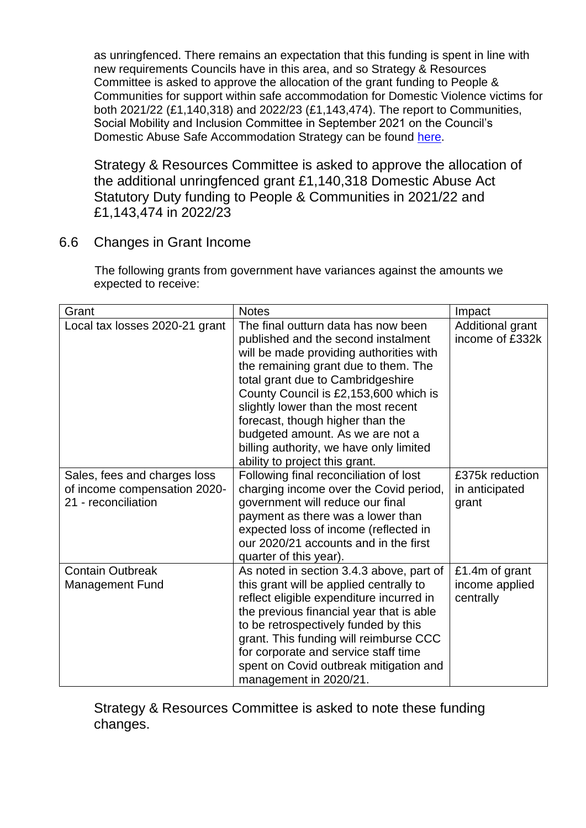as unringfenced. There remains an expectation that this funding is spent in line with new requirements Councils have in this area, and so Strategy & Resources Committee is asked to approve the allocation of the grant funding to People & Communities for support within safe accommodation for Domestic Violence victims for both 2021/22 (£1,140,318) and 2022/23 (£1,143,474). The report to Communities, Social Mobility and Inclusion Committee in September 2021 on the Council's Domestic Abuse Safe Accommodation Strategy can be found [here.](https://cambridgeshire.cmis.uk.com/CCC_live/Document.ashx?czJKcaeAi5tUFL1DTL2UE4zNRBcoShgo=wABO2S0Fz910D973t5bAGxj5NLoOpyT%2bhLVcc8zCM38rFwwW29N9Ug%3d%3d&rUzwRPf%2bZ3zd4E7Ikn8Lyw%3d%3d=pwRE6AGJFLDNlh225F5QMaQWCtPHwdhUfCZ%2fLUQzgA2uL5jNRG4jdQ%3d%3d&mCTIbCubSFfXsDGW9IXnlg%3d%3d=hFflUdN3100%3d&kCx1AnS9%2fpWZQ40DXFvdEw%3d%3d=hFflUdN3100%3d&uJovDxwdjMPoYv%2bAJvYtyA%3d%3d=ctNJFf55vVA%3d&FgPlIEJYlotS%2bYGoBi5olA%3d%3d=NHdURQburHA%3d&d9Qjj0ag1Pd993jsyOJqFvmyB7X0CSQK=ctNJFf55vVA%3d&WGewmoAfeNR9xqBux0r1Q8Za60lavYmz=ctNJFf55vVA%3d&WGewmoAfeNQ16B2MHuCpMRKZMwaG1PaO=ctNJFf55vVA%3d)

Strategy & Resources Committee is asked to approve the allocation of the additional unringfenced grant £1,140,318 Domestic Abuse Act Statutory Duty funding to People & Communities in 2021/22 and £1,143,474 in 2022/23

# 6.6 Changes in Grant Income

The following grants from government have variances against the amounts we expected to receive:

| Grant                                                                               | <b>Notes</b>                                                                                                                                                                                                                                                                                                                                                                                                                            | Impact                                        |
|-------------------------------------------------------------------------------------|-----------------------------------------------------------------------------------------------------------------------------------------------------------------------------------------------------------------------------------------------------------------------------------------------------------------------------------------------------------------------------------------------------------------------------------------|-----------------------------------------------|
| Local tax losses 2020-21 grant                                                      | The final outturn data has now been<br>published and the second instalment<br>will be made providing authorities with<br>the remaining grant due to them. The<br>total grant due to Cambridgeshire<br>County Council is £2,153,600 which is<br>slightly lower than the most recent<br>forecast, though higher than the<br>budgeted amount. As we are not a<br>billing authority, we have only limited<br>ability to project this grant. | Additional grant<br>income of £332k           |
| Sales, fees and charges loss<br>of income compensation 2020-<br>21 - reconciliation | Following final reconciliation of lost<br>charging income over the Covid period,<br>government will reduce our final<br>payment as there was a lower than<br>expected loss of income (reflected in<br>our 2020/21 accounts and in the first<br>quarter of this year).                                                                                                                                                                   | £375k reduction<br>in anticipated<br>grant    |
| <b>Contain Outbreak</b><br><b>Management Fund</b>                                   | As noted in section 3.4.3 above, part of<br>this grant will be applied centrally to<br>reflect eligible expenditure incurred in<br>the previous financial year that is able<br>to be retrospectively funded by this<br>grant. This funding will reimburse CCC<br>for corporate and service staff time<br>spent on Covid outbreak mitigation and<br>management in 2020/21.                                                               | £1.4m of grant<br>income applied<br>centrally |

Strategy & Resources Committee is asked to note these funding changes.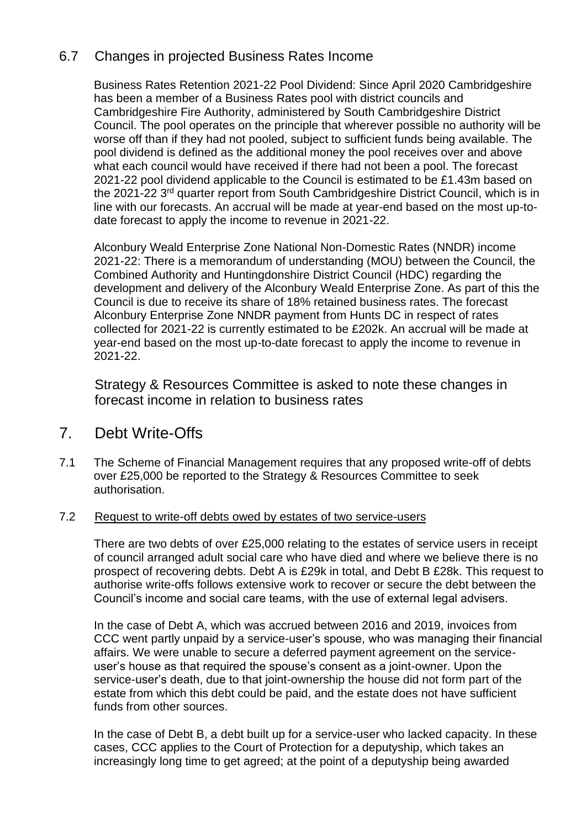# 6.7 Changes in projected Business Rates Income

Business Rates Retention 2021-22 Pool Dividend: Since April 2020 Cambridgeshire has been a member of a Business Rates pool with district councils and Cambridgeshire Fire Authority, administered by South Cambridgeshire District Council. The pool operates on the principle that wherever possible no authority will be worse off than if they had not pooled, subject to sufficient funds being available. The pool dividend is defined as the additional money the pool receives over and above what each council would have received if there had not been a pool. The forecast 2021-22 pool dividend applicable to the Council is estimated to be £1.43m based on the 2021-22 3<sup>rd</sup> quarter report from South Cambridgeshire District Council, which is in line with our forecasts. An accrual will be made at year-end based on the most up-todate forecast to apply the income to revenue in 2021-22.

Alconbury Weald Enterprise Zone National Non-Domestic Rates (NNDR) income 2021-22: There is a memorandum of understanding (MOU) between the Council, the Combined Authority and Huntingdonshire District Council (HDC) regarding the development and delivery of the Alconbury Weald Enterprise Zone. As part of this the Council is due to receive its share of 18% retained business rates. The forecast Alconbury Enterprise Zone NNDR payment from Hunts DC in respect of rates collected for 2021-22 is currently estimated to be £202k. An accrual will be made at year-end based on the most up-to-date forecast to apply the income to revenue in 2021-22.

Strategy & Resources Committee is asked to note these changes in forecast income in relation to business rates

# 7. Debt Write-Offs

7.1 The Scheme of Financial Management requires that any proposed write-off of debts over £25,000 be reported to the Strategy & Resources Committee to seek authorisation.

#### 7.2 Request to write-off debts owed by estates of two service-users

There are two debts of over £25,000 relating to the estates of service users in receipt of council arranged adult social care who have died and where we believe there is no prospect of recovering debts. Debt A is £29k in total, and Debt B £28k. This request to authorise write-offs follows extensive work to recover or secure the debt between the Council's income and social care teams, with the use of external legal advisers.

In the case of Debt A, which was accrued between 2016 and 2019, invoices from CCC went partly unpaid by a service-user's spouse, who was managing their financial affairs. We were unable to secure a deferred payment agreement on the serviceuser's house as that required the spouse's consent as a joint-owner. Upon the service-user's death, due to that joint-ownership the house did not form part of the estate from which this debt could be paid, and the estate does not have sufficient funds from other sources.

In the case of Debt B, a debt built up for a service-user who lacked capacity. In these cases, CCC applies to the Court of Protection for a deputyship, which takes an increasingly long time to get agreed; at the point of a deputyship being awarded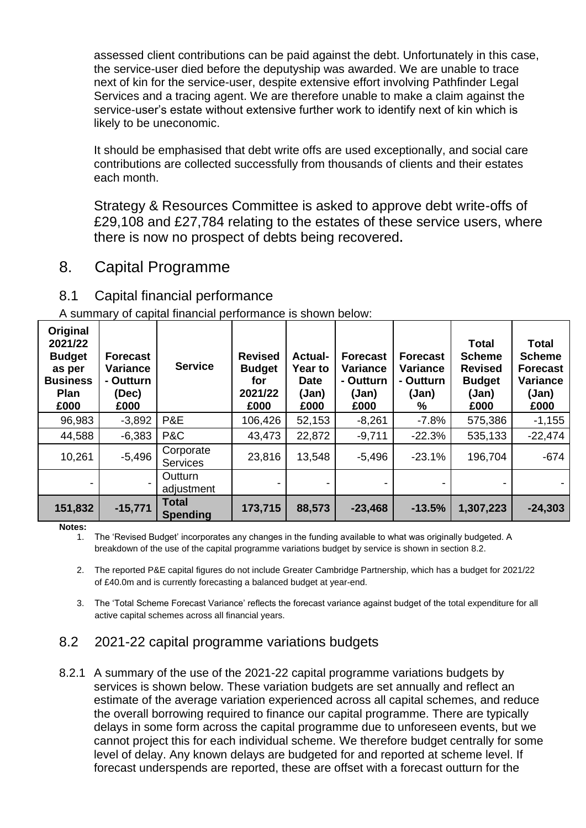assessed client contributions can be paid against the debt. Unfortunately in this case, the service-user died before the deputyship was awarded. We are unable to trace next of kin for the service-user, despite extensive effort involving Pathfinder Legal Services and a tracing agent. We are therefore unable to make a claim against the service-user's estate without extensive further work to identify next of kin which is likely to be uneconomic.

It should be emphasised that debt write offs are used exceptionally, and social care contributions are collected successfully from thousands of clients and their estates each month.

Strategy & Resources Committee is asked to approve debt write-offs of £29,108 and £27,784 relating to the estates of these service users, where there is now no prospect of debts being recovered**.**

# 8. Capital Programme

8.1 Capital financial performance

A summary of capital financial performance is shown below:

| Original<br>2021/22<br><b>Budget</b><br>as per<br><b>Business</b><br><b>Plan</b><br>£000 | <b>Forecast</b><br><b>Variance</b><br>- Outturn<br>(Dec)<br>£000 | <b>Service</b>                  | <b>Revised</b><br><b>Budget</b><br>for<br>2021/22<br>£000 | <b>Actual-</b><br>Year to<br><b>Date</b><br>(Jan)<br>£000 | <b>Forecast</b><br>Variance<br>- Outturn<br>(Jan)<br>£000 | <b>Forecast</b><br><b>Variance</b><br>- Outturn<br>(Jan)<br>℅ | <b>Total</b><br><b>Scheme</b><br><b>Revised</b><br><b>Budget</b><br>(Jan)<br>£000 | <b>Total</b><br><b>Scheme</b><br><b>Forecast</b><br>Variance<br>(Jan)<br>£000 |
|------------------------------------------------------------------------------------------|------------------------------------------------------------------|---------------------------------|-----------------------------------------------------------|-----------------------------------------------------------|-----------------------------------------------------------|---------------------------------------------------------------|-----------------------------------------------------------------------------------|-------------------------------------------------------------------------------|
| 96,983                                                                                   | $-3,892$                                                         | P&E                             | 106,426                                                   | 52,153                                                    | $-8,261$                                                  | $-7.8%$                                                       | 575,386                                                                           | $-1,155$                                                                      |
| 44,588                                                                                   | $-6,383$                                                         | P&C                             | 43,473                                                    | 22,872                                                    | $-9,711$                                                  | $-22.3%$                                                      | 535,133                                                                           | $-22,474$                                                                     |
| 10,261                                                                                   | $-5,496$                                                         | Corporate<br><b>Services</b>    | 23,816                                                    | 13,548                                                    | $-5,496$                                                  | $-23.1%$                                                      | 196,704                                                                           | $-674$                                                                        |
|                                                                                          |                                                                  | Outturn<br>adjustment           |                                                           |                                                           |                                                           |                                                               |                                                                                   |                                                                               |
| 151,832                                                                                  | $-15,771$                                                        | <b>Total</b><br><b>Spending</b> | 173,715                                                   | 88,573                                                    | $-23,468$                                                 | $-13.5%$                                                      | 1,307,223                                                                         | $-24,303$                                                                     |

**Notes:**

1. The 'Revised Budget' incorporates any changes in the funding available to what was originally budgeted. A breakdown of the use of the capital programme variations budget by service is shown in section 8.2.

2. The reported P&E capital figures do not include Greater Cambridge Partnership, which has a budget for 2021/22 of £40.0m and is currently forecasting a balanced budget at year-end.

3. The 'Total Scheme Forecast Variance' reflects the forecast variance against budget of the total expenditure for all active capital schemes across all financial years.

# 8.2 2021-22 capital programme variations budgets

8.2.1 A summary of the use of the 2021-22 capital programme variations budgets by services is shown below. These variation budgets are set annually and reflect an estimate of the average variation experienced across all capital schemes, and reduce the overall borrowing required to finance our capital programme. There are typically delays in some form across the capital programme due to unforeseen events, but we cannot project this for each individual scheme. We therefore budget centrally for some level of delay. Any known delays are budgeted for and reported at scheme level. If forecast underspends are reported, these are offset with a forecast outturn for the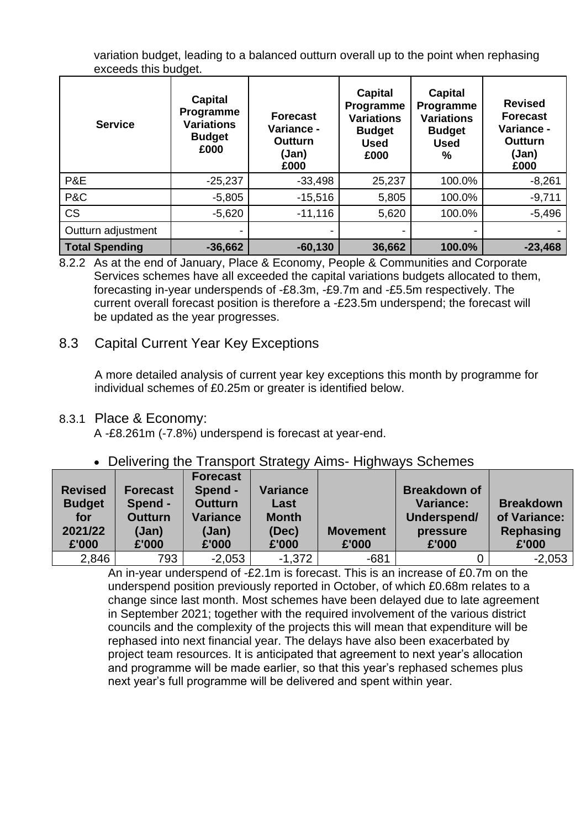variation budget, leading to a balanced outturn overall up to the point when rephasing exceeds this budget.

| <b>Service</b>        | Capital<br>Programme<br><b>Variations</b><br><b>Budget</b><br>£000 | <b>Forecast</b><br>Variance -<br>Outturn<br>(Jan)<br>£000 | <b>Capital</b><br>Programme<br><b>Variations</b><br><b>Budget</b><br><b>Used</b><br>£000 | <b>Capital</b><br>Programme<br><b>Variations</b><br><b>Budget</b><br><b>Used</b><br>% | <b>Revised</b><br><b>Forecast</b><br>Variance -<br>Outturn<br>(Jan)<br>£000 |
|-----------------------|--------------------------------------------------------------------|-----------------------------------------------------------|------------------------------------------------------------------------------------------|---------------------------------------------------------------------------------------|-----------------------------------------------------------------------------|
| P&E                   | $-25,237$                                                          | $-33,498$                                                 | 25,237                                                                                   | 100.0%                                                                                | $-8,261$                                                                    |
| P&C                   | $-5,805$                                                           | $-15,516$                                                 | 5,805                                                                                    | 100.0%                                                                                | $-9,711$                                                                    |
| <b>CS</b>             | $-5,620$                                                           | $-11,116$                                                 | 5,620                                                                                    | 100.0%                                                                                | $-5,496$                                                                    |
| Outturn adjustment    |                                                                    | -                                                         |                                                                                          |                                                                                       |                                                                             |
| <b>Total Spending</b> | $-36,662$                                                          | $-60,130$                                                 | 36,662                                                                                   | 100.0%                                                                                | $-23,468$                                                                   |

8.2.2 As at the end of January, Place & Economy, People & Communities and Corporate Services schemes have all exceeded the capital variations budgets allocated to them, forecasting in-year underspends of -£8.3m, -£9.7m and -£5.5m respectively. The current overall forecast position is therefore a -£23.5m underspend; the forecast will be updated as the year progresses.

# 8.3 Capital Current Year Key Exceptions

A more detailed analysis of current year key exceptions this month by programme for individual schemes of £0.25m or greater is identified below.

#### 8.3.1 Place & Economy:

A -£8.261m (-7.8%) underspend is forecast at year-end.

# • Delivering the Transport Strategy Aims- Highways Schemes

| <b>Revised</b><br><b>Budget</b><br>for<br>2021/22<br>£'000 | <b>Forecast</b><br>Spend -<br><b>Outturn</b><br>(Jan)<br>£'000 | Forecast<br>Spend -<br><b>Outturn</b><br><b>Variance</b><br>(Jan)<br>£'000 | <b>Variance</b><br>Last<br><b>Month</b><br>(Dec)<br>£'000 | <b>Movement</b><br>£'000 | <b>Breakdown of</b><br><b>Variance:</b><br>Underspend/<br>pressure<br>£'000 | <b>Breakdown</b><br>of Variance:<br>Rephasing<br>£'000 |
|------------------------------------------------------------|----------------------------------------------------------------|----------------------------------------------------------------------------|-----------------------------------------------------------|--------------------------|-----------------------------------------------------------------------------|--------------------------------------------------------|
| 2,846                                                      | 793                                                            | $-2,053$                                                                   | $-1,372$                                                  | $-681$                   |                                                                             | $-2,053$                                               |

An in-year underspend of -£2.1m is forecast. This is an increase of £0.7m on the underspend position previously reported in October, of which £0.68m relates to a change since last month. Most schemes have been delayed due to late agreement in September 2021; together with the required involvement of the various district councils and the complexity of the projects this will mean that expenditure will be rephased into next financial year. The delays have also been exacerbated by project team resources. It is anticipated that agreement to next year's allocation and programme will be made earlier, so that this year's rephased schemes plus next year's full programme will be delivered and spent within year.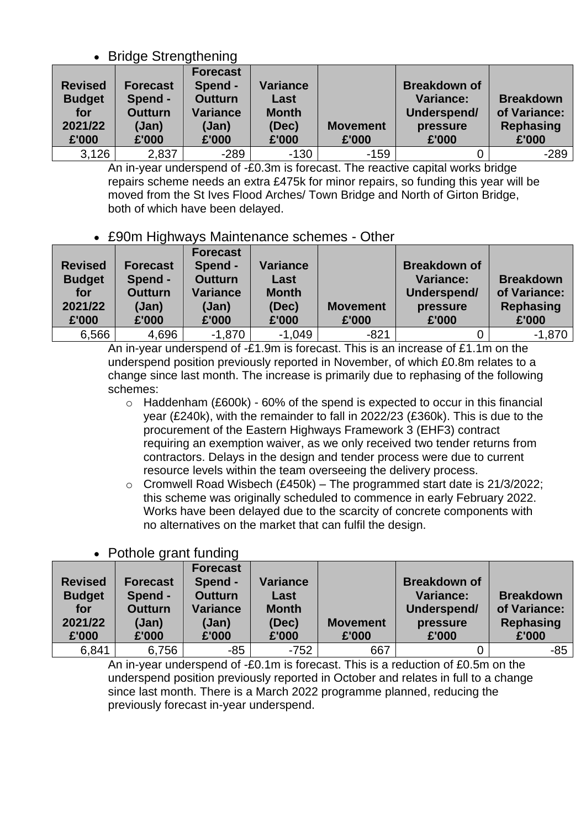# • Bridge Strengthening

| <b>Revised</b><br><b>Budget</b><br>for<br>2021/22<br>£'000 | <b>Forecast</b><br>Spend -<br><b>Outturn</b><br>(Jan)<br>£'000 | <b>Forecast</b><br>Spend -<br><b>Outturn</b><br><b>Variance</b><br>(Jan)<br>£'000 | <b>Variance</b><br>Last<br><b>Month</b><br>(Dec)<br>£'000 | <b>Movement</b><br>£'000 | <b>Breakdown of</b><br><b>Variance:</b><br>Underspend/<br>pressure<br>£'000 | <b>Breakdown</b><br>of Variance:<br>Rephasing<br>£'000 |
|------------------------------------------------------------|----------------------------------------------------------------|-----------------------------------------------------------------------------------|-----------------------------------------------------------|--------------------------|-----------------------------------------------------------------------------|--------------------------------------------------------|
| 3,126                                                      | 2,837                                                          | $-289$                                                                            | $-130$                                                    | $-159$                   |                                                                             | $-289$                                                 |

An in-year underspend of -£0.3m is forecast. The reactive capital works bridge repairs scheme needs an extra £475k for minor repairs, so funding this year will be moved from the St Ives Flood Arches/ Town Bridge and North of Girton Bridge, both of which have been delayed.

# • £90m Highways Maintenance schemes - Other

| <b>Revised</b><br><b>Budget</b><br>for<br>2021/22<br>£'000 | <b>Forecast</b><br>Spend -<br><b>Outturn</b><br>(Jan)<br>£'000 | Forecast<br>Spend -<br><b>Outturn</b><br><b>Variance</b><br>(Jan)<br>£'000 | <b>Variance</b><br>Last<br><b>Month</b><br>(Dec)<br>£'000 | <b>Movement</b><br>£'000 | <b>Breakdown of</b><br><b>Variance:</b><br>Underspend/<br>pressure<br>£'000 | <b>Breakdown</b><br>of Variance:<br>Rephasing<br>£'000 |
|------------------------------------------------------------|----------------------------------------------------------------|----------------------------------------------------------------------------|-----------------------------------------------------------|--------------------------|-----------------------------------------------------------------------------|--------------------------------------------------------|
| 6,566                                                      | 4,696                                                          | $-1,870$                                                                   | $-1,049$                                                  | $-821$                   |                                                                             | -1.870                                                 |

An in-year underspend of -£1.9m is forecast. This is an increase of £1.1m on the underspend position previously reported in November, of which £0.8m relates to a change since last month. The increase is primarily due to rephasing of the following schemes:

- o Haddenham (£600k) 60% of the spend is expected to occur in this financial year (£240k), with the remainder to fall in 2022/23 (£360k). This is due to the procurement of the Eastern Highways Framework 3 (EHF3) contract requiring an exemption waiver, as we only received two tender returns from contractors. Delays in the design and tender process were due to current resource levels within the team overseeing the delivery process.
- $\circ$  Cromwell Road Wisbech (£450k) The programmed start date is 21/3/2022; this scheme was originally scheduled to commence in early February 2022. Works have been delayed due to the scarcity of concrete components with no alternatives on the market that can fulfil the design.

| <b>Revised</b><br><b>Budget</b><br>for<br>2021/22<br>£'000 | <b>Forecast</b><br>Spend -<br><b>Outturn</b><br>(Jan)<br>£'000 | <b>Forecast</b><br>Spend -<br><b>Outturn</b><br><b>Variance</b><br>(Jan)<br>£'000 | <b>Variance</b><br>Last<br><b>Month</b><br>(Dec)<br>£'000 | <b>Movement</b><br>£'000 | <b>Breakdown of</b><br>Variance:<br>Underspend/<br>pressure<br>£'000 | <b>Breakdown</b><br>of Variance:<br>Rephasing<br>£'000 |
|------------------------------------------------------------|----------------------------------------------------------------|-----------------------------------------------------------------------------------|-----------------------------------------------------------|--------------------------|----------------------------------------------------------------------|--------------------------------------------------------|
| 6,841                                                      | 6,756                                                          | $-85$                                                                             | $-752$                                                    | 667                      |                                                                      | -85                                                    |

# • Pothole grant funding

An in-year underspend of -£0.1m is forecast. This is a reduction of £0.5m on the underspend position previously reported in October and relates in full to a change since last month. There is a March 2022 programme planned, reducing the previously forecast in-year underspend.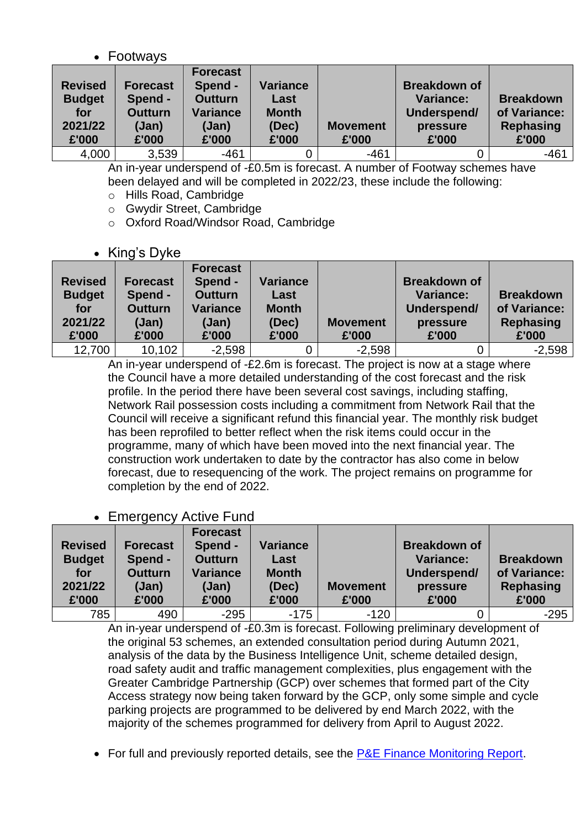• Footways

| <b>Revised</b><br><b>Budget</b><br>for<br>2021/22<br>£'000 | <b>Forecast</b><br>Spend -<br><b>Outturn</b><br>(Jan)<br>£'000 | <b>Forecast</b><br>Spend -<br><b>Outturn</b><br><b>Variance</b><br>(Jan)<br>£'000 | <b>Variance</b><br>Last<br><b>Month</b><br>(Dec)<br>£'000 | <b>Movement</b><br>£'000 | <b>Breakdown of</b><br><b>Variance:</b><br>Underspend/<br>pressure<br>£'000 | <b>Breakdown</b><br>of Variance:<br><b>Rephasing</b><br>£'000 |
|------------------------------------------------------------|----------------------------------------------------------------|-----------------------------------------------------------------------------------|-----------------------------------------------------------|--------------------------|-----------------------------------------------------------------------------|---------------------------------------------------------------|
| 4,000                                                      | 3,539                                                          | $-461$                                                                            |                                                           | $-461$                   |                                                                             | $-461$                                                        |

An in-year underspend of -£0.5m is forecast. A number of Footway schemes have been delayed and will be completed in 2022/23, these include the following:

- o Hills Road, Cambridge
- o Gwydir Street, Cambridge
- o Oxford Road/Windsor Road, Cambridge
- King's Dyke

| <b>Revised</b><br><b>Budget</b><br>for<br>2021/22<br>£'000 | <b>Forecast</b><br>Spend -<br><b>Outturn</b><br>(Jan)<br>£'000 | <b>Forecast</b><br>Spend -<br><b>Outturn</b><br>Variance<br>(Jan)<br>£'000 | <b>Variance</b><br>Last<br><b>Month</b><br>(Dec)<br>£'000 | <b>Movement</b><br>£'000 | <b>Breakdown of</b><br>Variance:<br>Underspend/<br>pressure<br>£'000 | <b>Breakdown</b><br>of Variance:<br>Rephasing<br>£'000 |
|------------------------------------------------------------|----------------------------------------------------------------|----------------------------------------------------------------------------|-----------------------------------------------------------|--------------------------|----------------------------------------------------------------------|--------------------------------------------------------|
| 12,700                                                     | 10,102                                                         | $-2,598$                                                                   |                                                           | $-2,598$                 |                                                                      | $-2,598$                                               |

An in-year underspend of -£2.6m is forecast. The project is now at a stage where the Council have a more detailed understanding of the cost forecast and the risk profile. In the period there have been several cost savings, including staffing, Network Rail possession costs including a commitment from Network Rail that the Council will receive a significant refund this financial year. The monthly risk budget has been reprofiled to better reflect when the risk items could occur in the programme, many of which have been moved into the next financial year. The construction work undertaken to date by the contractor has also come in below forecast, due to resequencing of the work. The project remains on programme for completion by the end of 2022.

• Emergency Active Fund

| <b>Revised</b><br><b>Budget</b><br>for<br>2021/22<br>£'000 | <b>Forecast</b><br>Spend -<br><b>Outturn</b><br>(Jan)<br>£'000 | Forecast<br>Spend -<br><b>Outturn</b><br>Variance<br>(Jan)<br>£'000 | <b>Variance</b><br>Last<br><b>Month</b><br>(Dec)<br>£'000 | <b>Movement</b><br>£'000 | <b>Breakdown of</b><br><b>Variance:</b><br>Underspend/<br>pressure<br>£'000 | <b>Breakdown</b><br>of Variance:<br>Rephasing<br>£'000 |
|------------------------------------------------------------|----------------------------------------------------------------|---------------------------------------------------------------------|-----------------------------------------------------------|--------------------------|-----------------------------------------------------------------------------|--------------------------------------------------------|
| 785                                                        | 490                                                            | $-295$                                                              | $-175$                                                    | $-120$                   |                                                                             | $-295$                                                 |

An in-year underspend of -£0.3m is forecast. Following preliminary development of the original 53 schemes, an extended consultation period during Autumn 2021, analysis of the data by the Business Intelligence Unit, scheme detailed design, road safety audit and traffic management complexities, plus engagement with the Greater Cambridge Partnership (GCP) over schemes that formed part of the City Access strategy now being taken forward by the GCP, only some simple and cycle parking projects are programmed to be delivered by end March 2022, with the majority of the schemes programmed for delivery from April to August 2022.

• For full and previously reported details, see the [P&E Finance Monitoring Report.](https://www.cambridgeshire.gov.uk/asset-library/Place-and-Economy-Finance-Monitoring-Report-January-2022-v4.pdf)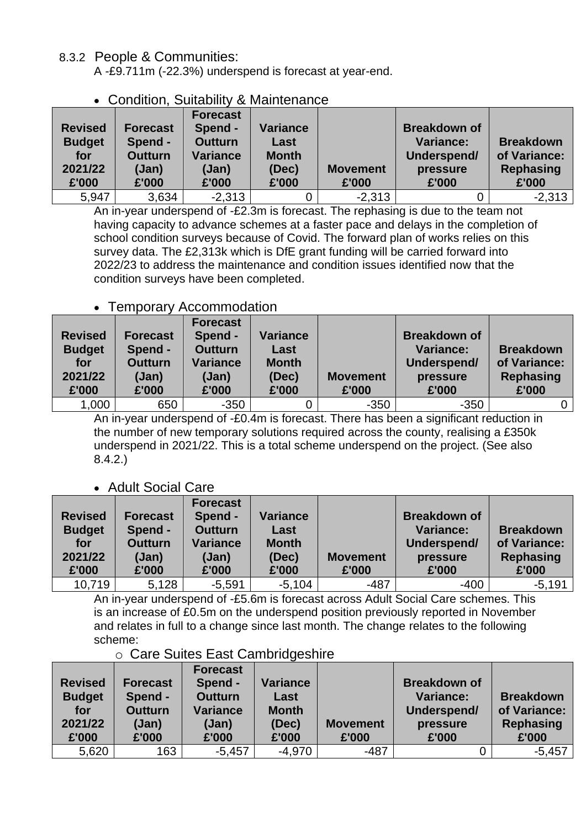# 8.3.2 People & Communities:

A -£9.711m (-22.3%) underspend is forecast at year-end.

|                                                            |                                                         |                                                                                   | <b>•</b> Condition, Suitablity & Maintenance              |                          |                                                                             |                                                               |
|------------------------------------------------------------|---------------------------------------------------------|-----------------------------------------------------------------------------------|-----------------------------------------------------------|--------------------------|-----------------------------------------------------------------------------|---------------------------------------------------------------|
| <b>Revised</b><br><b>Budget</b><br>for<br>2021/22<br>£'000 | Forecast<br>Spend -<br><b>Outturn</b><br>(Jan)<br>£'000 | <b>Forecast</b><br>Spend -<br><b>Outturn</b><br><b>Variance</b><br>(Jan)<br>£'000 | <b>Variance</b><br>Last<br><b>Month</b><br>(Dec)<br>£'000 | <b>Movement</b><br>£'000 | <b>Breakdown of</b><br><b>Variance:</b><br>Underspend/<br>pressure<br>£'000 | <b>Breakdown</b><br>of Variance:<br><b>Rephasing</b><br>£'000 |
| 5,947                                                      | 3,634                                                   | $-2,313$                                                                          |                                                           | $-2,313$                 |                                                                             | $-2,313$                                                      |

• Condition, Suitability & Maintenance

An in-year underspend of -£2.3m is forecast. The rephasing is due to the team not having capacity to advance schemes at a faster pace and delays in the completion of school condition surveys because of Covid. The forward plan of works relies on this survey data. The £2,313k which is DfE grant funding will be carried forward into 2022/23 to address the maintenance and condition issues identified now that the condition surveys have been completed.

# • Temporary Accommodation

| <b>Revised</b><br><b>Budget</b><br>for<br>2021/22<br>£'000 | <b>Forecast</b><br>Spend -<br><b>Outturn</b><br>(Jan)<br>£'000 | <b>Forecast</b><br>Spend -<br><b>Outturn</b><br><b>Variance</b><br>(Jan)<br>£'000 | <b>Variance</b><br>Last<br><b>Month</b><br>(Dec)<br>£'000 | <b>Movement</b><br>£'000 | <b>Breakdown of</b><br><b>Variance:</b><br>Underspend/<br>pressure<br>£'000 | <b>Breakdown</b><br>of Variance:<br>Rephasing<br>£'000 |
|------------------------------------------------------------|----------------------------------------------------------------|-----------------------------------------------------------------------------------|-----------------------------------------------------------|--------------------------|-----------------------------------------------------------------------------|--------------------------------------------------------|
| 1,000                                                      | 650                                                            | $-350$                                                                            |                                                           | $-350$                   | $-350$                                                                      |                                                        |

An in-year underspend of -£0.4m is forecast. There has been a significant reduction in the number of new temporary solutions required across the county, realising a £350k underspend in 2021/22. This is a total scheme underspend on the project. (See also 8.4.2.)

# • Adult Social Care

| <b>Revised</b><br><b>Budget</b><br>for<br>2021/22<br>£'000 | <b>Forecast</b><br>Spend -<br><b>Outturn</b><br>(Jan)<br>£'000 | <b>Forecast</b><br>Spend -<br><b>Outturn</b><br><b>Variance</b><br>(Jan)<br>£'000 | <b>Variance</b><br>Last<br><b>Month</b><br>(Dec)<br>£'000 | <b>Movement</b><br>£'000 | <b>Breakdown of</b><br><b>Variance:</b><br>Underspend/<br>pressure<br>£'000 | <b>Breakdown</b><br>of Variance:<br><b>Rephasing</b><br>£'000 |
|------------------------------------------------------------|----------------------------------------------------------------|-----------------------------------------------------------------------------------|-----------------------------------------------------------|--------------------------|-----------------------------------------------------------------------------|---------------------------------------------------------------|
| 10,719                                                     | 5,128                                                          | $-5.591$                                                                          | $-5,104$                                                  | $-487$                   | $-400$                                                                      | $-5,191$                                                      |

An in-year underspend of -£5.6m is forecast across Adult Social Care schemes. This is an increase of £0.5m on the underspend position previously reported in November and relates in full to a change since last month. The change relates to the following scheme:

# o Care Suites East Cambridgeshire

| <b>Revised</b><br><b>Budget</b><br>for<br>2021/22<br>£'000 | <b>Forecast</b><br>Spend -<br><b>Outturn</b><br>(Jan)<br>£'000 | <b>Forecast</b><br>Spend -<br><b>Outturn</b><br><b>Variance</b><br>(Jan)<br>£'000 | <b>Variance</b><br>Last<br><b>Month</b><br>(Dec)<br>£'000 | <b>Movement</b><br>£'000 | <b>Breakdown of</b><br><b>Variance:</b><br>Underspend/<br>pressure<br>£'000 | <b>Breakdown</b><br>of Variance:<br><b>Rephasing</b><br>£'000 |
|------------------------------------------------------------|----------------------------------------------------------------|-----------------------------------------------------------------------------------|-----------------------------------------------------------|--------------------------|-----------------------------------------------------------------------------|---------------------------------------------------------------|
| 5,620                                                      | 163                                                            | $-5,457$                                                                          | $-4.970$                                                  | $-487$                   |                                                                             | $-5.457$                                                      |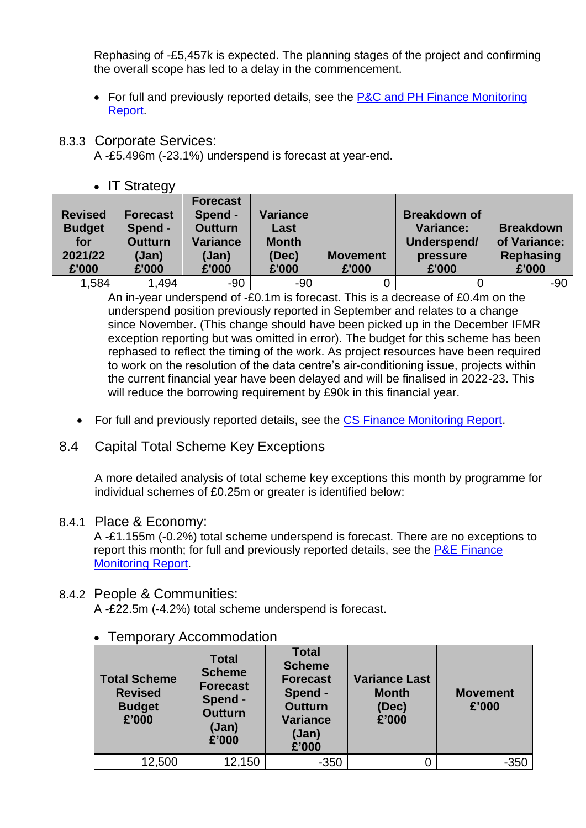Rephasing of -£5,457k is expected. The planning stages of the project and confirming the overall scope has led to a delay in the commencement.

• For full and previously reported details, see the **P&C and PH Finance Monitoring** [Report.](https://www.cambridgeshire.gov.uk/asset-library/People-and-Communities-and-Public-Health-Finance-Monitoring-Report-January-2022.pdf)

### 8.3.3 Corporate Services:

A -£5.496m (-23.1%) underspend is forecast at year-end.

• IT Strategy

| <b>Revised</b><br><b>Budget</b><br>for<br>2021/22<br>£'000 | <b>Forecast</b><br>Spend -<br><b>Outturn</b><br>(Jan)<br>£'000 | <b>Forecast</b><br>Spend -<br><b>Outturn</b><br>Variance<br>(Jan)<br>£'000 | <b>Variance</b><br>Last<br><b>Month</b><br>(Dec)<br>£'000 | <b>Movement</b><br>£'000 | <b>Breakdown of</b><br><b>Variance:</b><br>Underspend/<br>pressure<br>£'000 | <b>Breakdown</b><br>of Variance:<br>Rephasing<br>£'000 |
|------------------------------------------------------------|----------------------------------------------------------------|----------------------------------------------------------------------------|-----------------------------------------------------------|--------------------------|-----------------------------------------------------------------------------|--------------------------------------------------------|
| 1,584                                                      | 1,494                                                          | $-90$                                                                      | $-90$                                                     |                          |                                                                             | -90                                                    |

An in-year underspend of -£0.1m is forecast. This is a decrease of £0.4m on the underspend position previously reported in September and relates to a change since November. (This change should have been picked up in the December IFMR exception reporting but was omitted in error). The budget for this scheme has been rephased to reflect the timing of the work. As project resources have been required to work on the resolution of the data centre's air-conditioning issue, projects within the current financial year have been delayed and will be finalised in 2022-23. This will reduce the borrowing requirement by £90k in this financial year.

• For full and previously reported details, see the [CS Finance Monitoring Report.](https://www.cambridgeshire.gov.uk/asset-library/Corporate-Services-Finance-Monitoring-Report-January-2022.pdf)

# 8.4 Capital Total Scheme Key Exceptions

A more detailed analysis of total scheme key exceptions this month by programme for individual schemes of £0.25m or greater is identified below:

# 8.4.1 Place & Economy:

A -£1.155m (-0.2%) total scheme underspend is forecast. There are no exceptions to report this month; for full and previously reported details, see the P&E Finance [Monitoring Report.](https://www.cambridgeshire.gov.uk/asset-library/Place-and-Economy-Finance-Monitoring-Report-January-2022-v4.pdf)

# 8.4.2 People & Communities:

A -£22.5m (-4.2%) total scheme underspend is forecast.

| <b>Total Scheme</b><br><b>Revised</b><br><b>Budget</b><br>£'000 | <b>Total</b><br><b>Scheme</b><br><b>Forecast</b><br>Spend -<br><b>Outturn</b><br>(Jan)<br>£'000 | <b>Total</b><br><b>Scheme</b><br><b>Forecast</b><br>Spend -<br><b>Outturn</b><br><b>Variance</b><br>(Jan)<br>£'000 | <b>Variance Last</b><br><b>Month</b><br>(Dec)<br>£'000 | <b>Movement</b><br>£'000 |
|-----------------------------------------------------------------|-------------------------------------------------------------------------------------------------|--------------------------------------------------------------------------------------------------------------------|--------------------------------------------------------|--------------------------|
| 12,500                                                          | 12,150                                                                                          | $-350$                                                                                                             |                                                        | $-350$                   |

# • Temporary Accommodation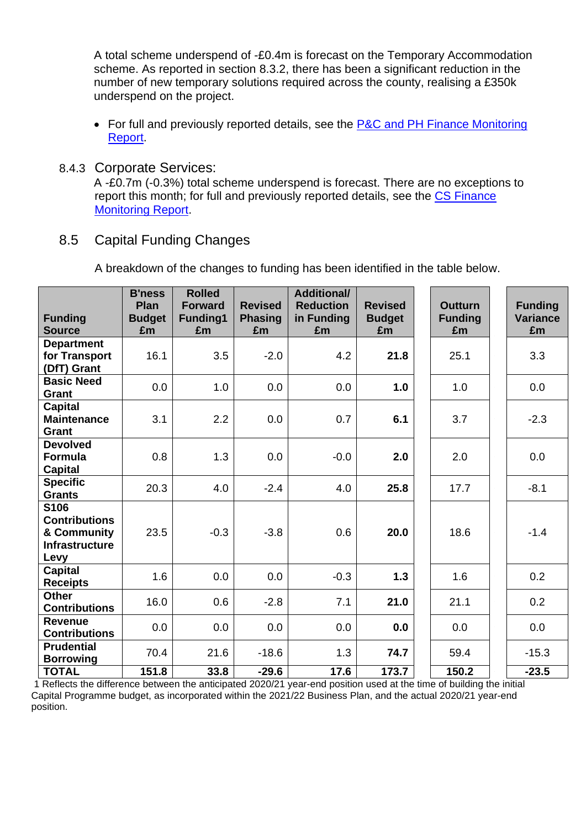A total scheme underspend of -£0.4m is forecast on the Temporary Accommodation scheme. As reported in section 8.3.2, there has been a significant reduction in the number of new temporary solutions required across the county, realising a £350k underspend on the project.

- For full and previously reported details, see the P&C and PH Finance Monitoring [Report.](https://www.cambridgeshire.gov.uk/asset-library/People-and-Communities-and-Public-Health-Finance-Monitoring-Report-January-2022.pdf)
- 8.4.3 Corporate Services:

A -£0.7m (-0.3%) total scheme underspend is forecast. There are no exceptions to report this month; for full and previously reported details, see the [CS Finance](https://www.cambridgeshire.gov.uk/asset-library/Corporate-Services-Finance-Monitoring-Report-January-2022.pdf)  [Monitoring Report.](https://www.cambridgeshire.gov.uk/asset-library/Corporate-Services-Finance-Monitoring-Report-January-2022.pdf)

# 8.5 Capital Funding Changes

**Funding Source B'ness Plan Budget £m Rolled Forward Funding1 £m Revised Phasing £m Additional/ Reduction in Funding £m Revised Budget £m** - **Outturn Funding £m** - **Funding Variance £m Department for Transport (DfT) Grant** 16.1 3.5 -2.0 4.2 **21.8** 3.5 3.3 **Basic Need Grant** 0.0 1.0 0.0 0.0 1.0 1.0 1.0 0.0 **Capital Maintenance Grant** 3.1 | 2.2 | 0.0 | 0.7 | **6.1** | 3.7 | -2.3 **Devolved Formula Capital** 0.8 | 1.3 | 0.0 | -0.0 | **2.0** | 2.0 | 0.0 **Specific Grants**  $\begin{array}{|c|c|c|c|c|c|} \hline \text{Grants} & 20.3 & 4.0 & -2.4 & 4.0 & \textbf{25.8} & 17.7 \ \hline \end{array}$ -8.1 **S106 Contributions & Community Infrastructure Levy** 23.5 | -0.3 | -3.8 | 0.6 | **20.0** | 18.6 | -1.4 **Capital Receipts** | 1.6 0.0 0.0 0.0 -0.3 1.3 1.6 | 0.2 **Other Contributions** 16.0 0.6 -2.8 7.1 **21.0** 21.1 0.2 **Revenue Contributions** 0.0 0.0 0.0 0.0 **0.0** - 0.0 - 0.0 **Prudential Borrowing 70.4 21.6 -18.6 1.3 74.7 59.4 59.4** -15.3 **TOTAL 151.8 33.8 -29.6 17.6 173.7 - 150.2 - -23.5** 

A breakdown of the changes to funding has been identified in the table below.

1 Reflects the difference between the anticipated 2020/21 year-end position used at the time of building the initial Capital Programme budget, as incorporated within the 2021/22 Business Plan, and the actual 2020/21 year-end position.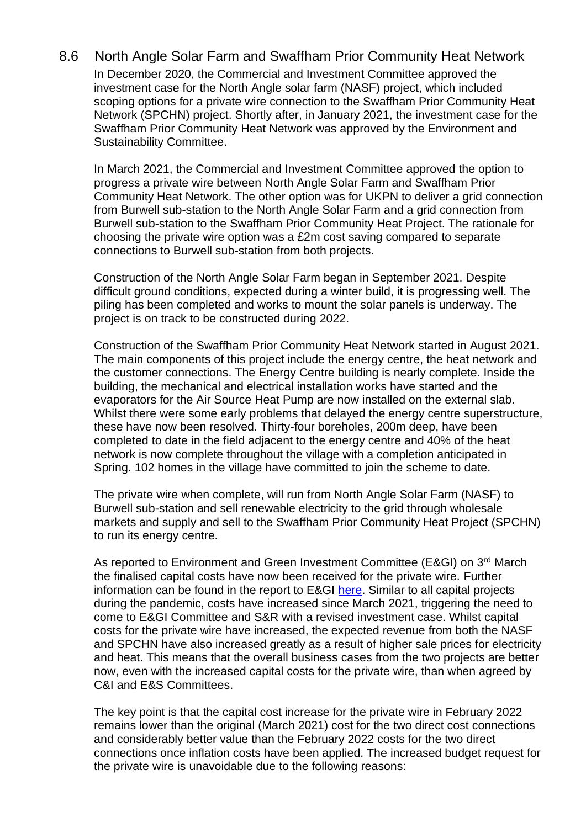#### 8.6 North Angle Solar Farm and Swaffham Prior Community Heat Network

In December 2020, the Commercial and Investment Committee approved the investment case for the North Angle solar farm (NASF) project, which included scoping options for a private wire connection to the Swaffham Prior Community Heat Network (SPCHN) project. Shortly after, in January 2021, the investment case for the Swaffham Prior Community Heat Network was approved by the Environment and Sustainability Committee.

In March 2021, the Commercial and Investment Committee approved the option to progress a private wire between North Angle Solar Farm and Swaffham Prior Community Heat Network. The other option was for UKPN to deliver a grid connection from Burwell sub-station to the North Angle Solar Farm and a grid connection from Burwell sub-station to the Swaffham Prior Community Heat Project. The rationale for choosing the private wire option was a £2m cost saving compared to separate connections to Burwell sub-station from both projects.

Construction of the North Angle Solar Farm began in September 2021. Despite difficult ground conditions, expected during a winter build, it is progressing well. The piling has been completed and works to mount the solar panels is underway. The project is on track to be constructed during 2022.

Construction of the Swaffham Prior Community Heat Network started in August 2021. The main components of this project include the energy centre, the heat network and the customer connections. The Energy Centre building is nearly complete. Inside the building, the mechanical and electrical installation works have started and the evaporators for the Air Source Heat Pump are now installed on the external slab. Whilst there were some early problems that delayed the energy centre superstructure, these have now been resolved. Thirty-four boreholes, 200m deep, have been completed to date in the field adjacent to the energy centre and 40% of the heat network is now complete throughout the village with a completion anticipated in Spring. 102 homes in the village have committed to join the scheme to date.

The private wire when complete, will run from North Angle Solar Farm (NASF) to Burwell sub-station and sell renewable electricity to the grid through wholesale markets and supply and sell to the Swaffham Prior Community Heat Project (SPCHN) to run its energy centre.

As reported to Environment and Green Investment Committee (E&GI) on 3<sup>rd</sup> March the finalised capital costs have now been received for the private wire. Further information can be found in the report to E&GI [here.](https://cambridgeshire.cmis.uk.com/CCC_live/Document.ashx?czJKcaeAi5tUFL1DTL2UE4zNRBcoShgo=QdEndPHX2y51s3JZXQv5B0ERrwK%2bBeyyh%2bbubBTxp%2b%2fRWdMiulSqgA%3d%3d&rUzwRPf%2bZ3zd4E7Ikn8Lyw%3d%3d=pwRE6AGJFLDNlh225F5QMaQWCtPHwdhUfCZ%2fLUQzgA2uL5jNRG4jdQ%3d%3d&mCTIbCubSFfXsDGW9IXnlg%3d%3d=hFflUdN3100%3d&kCx1AnS9%2fpWZQ40DXFvdEw%3d%3d=hFflUdN3100%3d&uJovDxwdjMPoYv%2bAJvYtyA%3d%3d=ctNJFf55vVA%3d&FgPlIEJYlotS%2bYGoBi5olA%3d%3d=NHdURQburHA%3d&d9Qjj0ag1Pd993jsyOJqFvmyB7X0CSQK=ctNJFf55vVA%3d&WGewmoAfeNR9xqBux0r1Q8Za60lavYmz=ctNJFf55vVA%3d&WGewmoAfeNQ16B2MHuCpMRKZMwaG1PaO=ctNJFf55vVA%3d) Similar to all capital projects during the pandemic, costs have increased since March 2021, triggering the need to come to E&GI Committee and S&R with a revised investment case. Whilst capital costs for the private wire have increased, the expected revenue from both the NASF and SPCHN have also increased greatly as a result of higher sale prices for electricity and heat. This means that the overall business cases from the two projects are better now, even with the increased capital costs for the private wire, than when agreed by C&I and E&S Committees.

The key point is that the capital cost increase for the private wire in February 2022 remains lower than the original (March 2021) cost for the two direct cost connections and considerably better value than the February 2022 costs for the two direct connections once inflation costs have been applied. The increased budget request for the private wire is unavoidable due to the following reasons: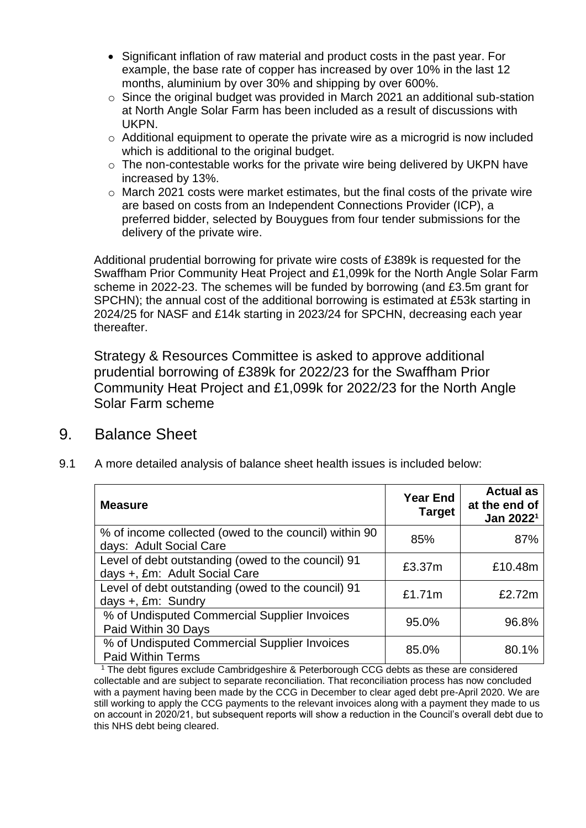- Significant inflation of raw material and product costs in the past year. For example, the base rate of copper has increased by over 10% in the last 12 months, aluminium by over 30% and shipping by over 600%.
- $\circ$  Since the original budget was provided in March 2021 an additional sub-station at North Angle Solar Farm has been included as a result of discussions with UKPN.
- $\circ$  Additional equipment to operate the private wire as a microgrid is now included which is additional to the original budget.
- o The non-contestable works for the private wire being delivered by UKPN have increased by 13%.
- o March 2021 costs were market estimates, but the final costs of the private wire are based on costs from an Independent Connections Provider (ICP), a preferred bidder, selected by Bouygues from four tender submissions for the delivery of the private wire.

Additional prudential borrowing for private wire costs of £389k is requested for the Swaffham Prior Community Heat Project and £1,099k for the North Angle Solar Farm scheme in 2022-23. The schemes will be funded by borrowing (and £3.5m grant for SPCHN); the annual cost of the additional borrowing is estimated at £53k starting in 2024/25 for NASF and £14k starting in 2023/24 for SPCHN, decreasing each year thereafter.

Strategy & Resources Committee is asked to approve additional prudential borrowing of £389k for 2022/23 for the Swaffham Prior Community Heat Project and £1,099k for 2022/23 for the North Angle Solar Farm scheme

# 9. Balance Sheet

9.1 A more detailed analysis of balance sheet health issues is included below:

| <b>Measure</b>                                                                      | <b>Year End</b><br><b>Target</b> | <b>Actual as</b><br>at the end of<br>Jan 2022 <sup>1</sup> |
|-------------------------------------------------------------------------------------|----------------------------------|------------------------------------------------------------|
| % of income collected (owed to the council) within 90<br>days: Adult Social Care    | 85%                              | 87%                                                        |
| Level of debt outstanding (owed to the council) 91<br>days +, £m: Adult Social Care | £3.37m                           | £10.48m                                                    |
| Level of debt outstanding (owed to the council) 91<br>days +, £m: Sundry            | £1.71m                           | £2.72m                                                     |
| % of Undisputed Commercial Supplier Invoices<br>Paid Within 30 Days                 | 95.0%                            | 96.8%                                                      |
| % of Undisputed Commercial Supplier Invoices<br><b>Paid Within Terms</b>            | 85.0%                            | 80.1%                                                      |

<sup>1</sup> The debt figures exclude Cambridgeshire & Peterborough CCG debts as these are considered collectable and are subject to separate reconciliation. That reconciliation process has now concluded with a payment having been made by the CCG in December to clear aged debt pre-April 2020. We are still working to apply the CCG payments to the relevant invoices along with a payment they made to us on account in 2020/21, but subsequent reports will show a reduction in the Council's overall debt due to this NHS debt being cleared.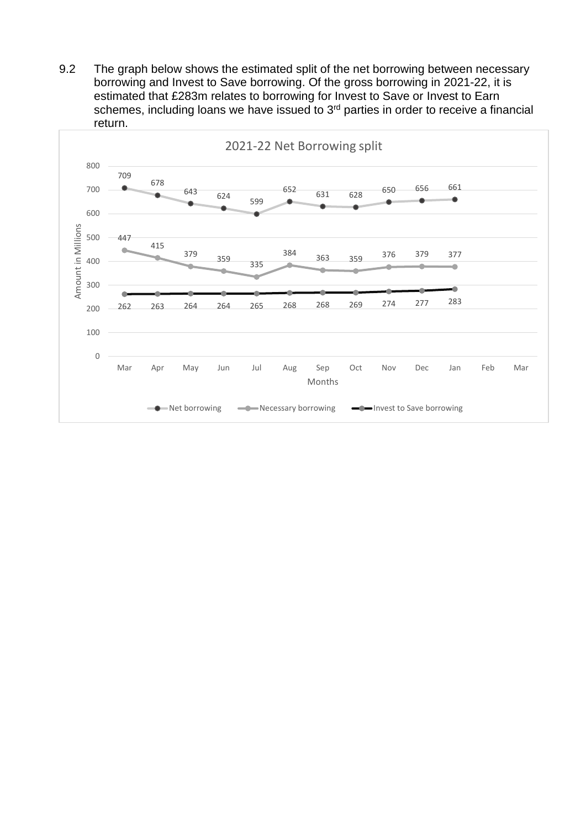9.2 The graph below shows the estimated split of the net borrowing between necessary borrowing and Invest to Save borrowing. Of the gross borrowing in 2021-22, it is estimated that £283m relates to borrowing for Invest to Save or Invest to Earn schemes, including loans we have issued to 3<sup>rd</sup> parties in order to receive a financial return.

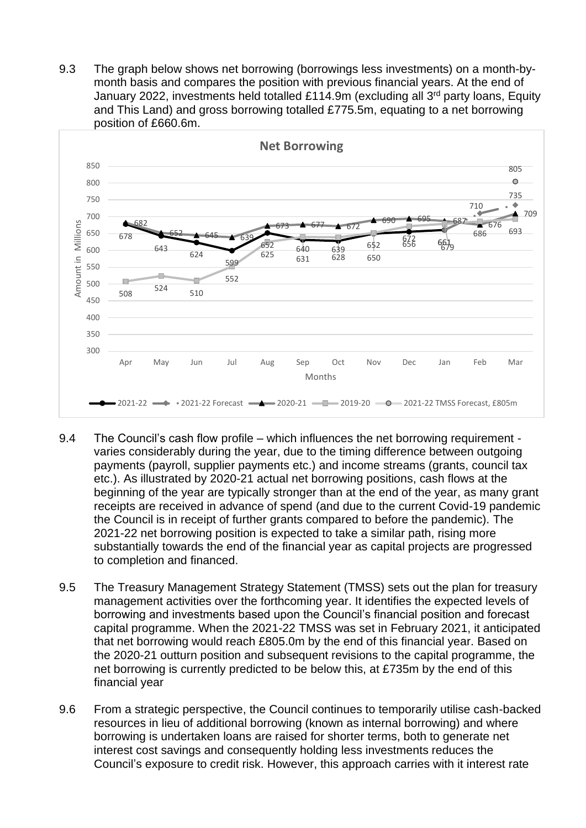9.3 The graph below shows net borrowing (borrowings less investments) on a month-bymonth basis and compares the position with previous financial years. At the end of January 2022, investments held totalled £114.9m (excluding all 3<sup>rd</sup> party loans, Equity and This Land) and gross borrowing totalled £775.5m, equating to a net borrowing position of £660.6m.



- 9.4 The Council's cash flow profile which influences the net borrowing requirement varies considerably during the year, due to the timing difference between outgoing payments (payroll, supplier payments etc.) and income streams (grants, council tax etc.). As illustrated by 2020-21 actual net borrowing positions, cash flows at the beginning of the year are typically stronger than at the end of the year, as many grant receipts are received in advance of spend (and due to the current Covid-19 pandemic the Council is in receipt of further grants compared to before the pandemic). The 2021-22 net borrowing position is expected to take a similar path, rising more substantially towards the end of the financial year as capital projects are progressed to completion and financed.
- 9.5 The Treasury Management Strategy Statement (TMSS) sets out the plan for treasury management activities over the forthcoming year. It identifies the expected levels of borrowing and investments based upon the Council's financial position and forecast capital programme. When the 2021-22 TMSS was set in February 2021, it anticipated that net borrowing would reach £805.0m by the end of this financial year. Based on the 2020-21 outturn position and subsequent revisions to the capital programme, the net borrowing is currently predicted to be below this, at £735m by the end of this financial year
- 9.6 From a strategic perspective, the Council continues to temporarily utilise cash-backed resources in lieu of additional borrowing (known as internal borrowing) and where borrowing is undertaken loans are raised for shorter terms, both to generate net interest cost savings and consequently holding less investments reduces the Council's exposure to credit risk. However, this approach carries with it interest rate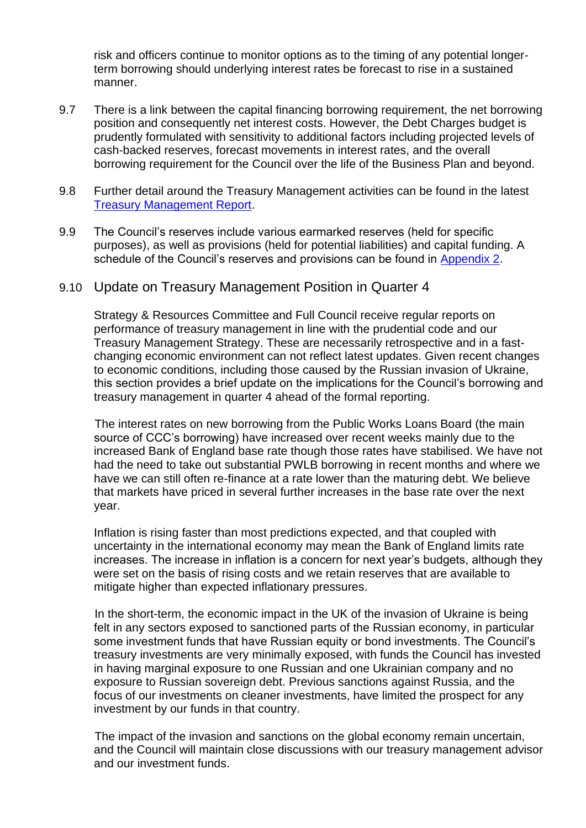risk and officers continue to monitor options as to the timing of any potential longerterm borrowing should underlying interest rates be forecast to rise in a sustained manner.

- 9.7 There is a link between the capital financing borrowing requirement, the net borrowing position and consequently net interest costs. However, the Debt Charges budget is prudently formulated with sensitivity to additional factors including projected levels of cash-backed reserves, forecast movements in interest rates, and the overall borrowing requirement for the Council over the life of the Business Plan and beyond.
- 9.8 Further detail around the Treasury Management activities can be found in the latest [Treasury Management Report.](https://cambridgeshire.cmis.uk.com/CCC_live/Document.ashx?czJKcaeAi5tUFL1DTL2UE4zNRBcoShgo=RBxi2YN%2blLiRBU5y37lSefl8H9OE6Htw8h%2bu3o54m0%2bhceGU6SQmag%3d%3d&rUzwRPf%2bZ3zd4E7Ikn8Lyw%3d%3d=pwRE6AGJFLDNlh225F5QMaQWCtPHwdhUfCZ%2fLUQzgA2uL5jNRG4jdQ%3d%3d&mCTIbCubSFfXsDGW9IXnlg%3d%3d=hFflUdN3100%3d&kCx1AnS9%2fpWZQ40DXFvdEw%3d%3d=hFflUdN3100%3d&uJovDxwdjMPoYv%2bAJvYtyA%3d%3d=ctNJFf55vVA%3d&FgPlIEJYlotS%2bYGoBi5olA%3d%3d=NHdURQburHA%3d&d9Qjj0ag1Pd993jsyOJqFvmyB7X0CSQK=ctNJFf55vVA%3d&WGewmoAfeNR9xqBux0r1Q8Za60lavYmz=ctNJFf55vVA%3d&WGewmoAfeNQ16B2MHuCpMRKZMwaG1PaO=ctNJFf55vVA%3d)
- 9.9 The Council's reserves include various earmarked reserves (held for specific purposes), as well as provisions (held for potential liabilities) and capital funding. A schedule of the Council's reserves and provisions can be found in [Appendix 2.](#page-33-0)

#### 9.10 Update on Treasury Management Position in Quarter 4

Strategy & Resources Committee and Full Council receive regular reports on performance of treasury management in line with the prudential code and our Treasury Management Strategy. These are necessarily retrospective and in a fastchanging economic environment can not reflect latest updates. Given recent changes to economic conditions, including those caused by the Russian invasion of Ukraine, this section provides a brief update on the implications for the Council's borrowing and treasury management in quarter 4 ahead of the formal reporting.

The interest rates on new borrowing from the Public Works Loans Board (the main source of CCC's borrowing) have increased over recent weeks mainly due to the increased Bank of England base rate though those rates have stabilised. We have not had the need to take out substantial PWLB borrowing in recent months and where we have we can still often re-finance at a rate lower than the maturing debt. We believe that markets have priced in several further increases in the base rate over the next year.

Inflation is rising faster than most predictions expected, and that coupled with uncertainty in the international economy may mean the Bank of England limits rate increases. The increase in inflation is a concern for next year's budgets, although they were set on the basis of rising costs and we retain reserves that are available to mitigate higher than expected inflationary pressures.

In the short-term, the economic impact in the UK of the invasion of Ukraine is being felt in any sectors exposed to sanctioned parts of the Russian economy, in particular some investment funds that have Russian equity or bond investments. The Council's treasury investments are very minimally exposed, with funds the Council has invested in having marginal exposure to one Russian and one Ukrainian company and no exposure to Russian sovereign debt. Previous sanctions against Russia, and the focus of our investments on cleaner investments, have limited the prospect for any investment by our funds in that country.

The impact of the invasion and sanctions on the global economy remain uncertain, and the Council will maintain close discussions with our treasury management advisor and our investment funds.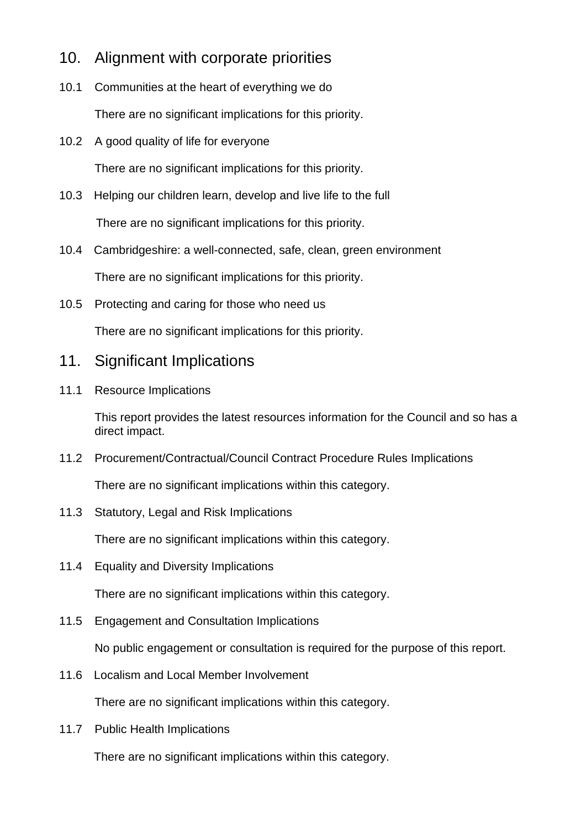# 10. Alignment with corporate priorities

- 10.1 Communities at the heart of everything we do There are no significant implications for this priority.
- 10.2 A good quality of life for everyone

There are no significant implications for this priority.

- 10.3 Helping our children learn, develop and live life to the full There are no significant implications for this priority.
- 10.4 Cambridgeshire: a well-connected, safe, clean, green environment There are no significant implications for this priority.
- 10.5 Protecting and caring for those who need us

There are no significant implications for this priority.

# 11. Significant Implications

11.1 Resource Implications

This report provides the latest resources information for the Council and so has a direct impact.

11.2 Procurement/Contractual/Council Contract Procedure Rules Implications

There are no significant implications within this category.

11.3 Statutory, Legal and Risk Implications

There are no significant implications within this category.

11.4 Equality and Diversity Implications

There are no significant implications within this category.

11.5 Engagement and Consultation Implications

No public engagement or consultation is required for the purpose of this report.

11.6 Localism and Local Member Involvement

There are no significant implications within this category.

11.7 Public Health Implications

There are no significant implications within this category.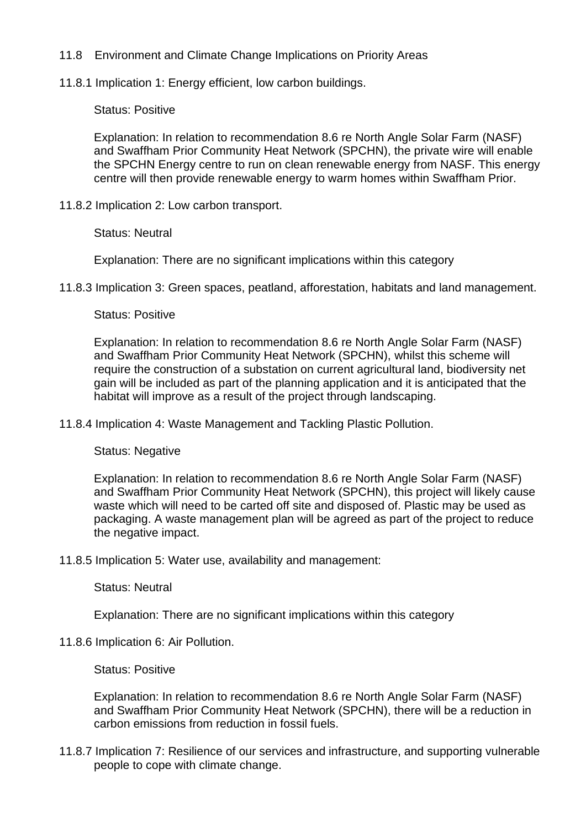- 11.8 Environment and Climate Change Implications on Priority Areas
- 11.8.1 Implication 1: Energy efficient, low carbon buildings.

#### Status: Positive

Explanation: In relation to recommendation 8.6 re North Angle Solar Farm (NASF) and Swaffham Prior Community Heat Network (SPCHN), the private wire will enable the SPCHN Energy centre to run on clean renewable energy from NASF. This energy centre will then provide renewable energy to warm homes within Swaffham Prior.

11.8.2 Implication 2: Low carbon transport.

Status: Neutral

Explanation: There are no significant implications within this category

11.8.3 Implication 3: Green spaces, peatland, afforestation, habitats and land management.

#### Status: Positive

Explanation: In relation to recommendation 8.6 re North Angle Solar Farm (NASF) and Swaffham Prior Community Heat Network (SPCHN), whilst this scheme will require the construction of a substation on current agricultural land, biodiversity net gain will be included as part of the planning application and it is anticipated that the habitat will improve as a result of the project through landscaping.

11.8.4 Implication 4: Waste Management and Tackling Plastic Pollution.

Status: Negative

Explanation: In relation to recommendation 8.6 re North Angle Solar Farm (NASF) and Swaffham Prior Community Heat Network (SPCHN), this project will likely cause waste which will need to be carted off site and disposed of. Plastic may be used as packaging. A waste management plan will be agreed as part of the project to reduce the negative impact.

11.8.5 Implication 5: Water use, availability and management:

Status: Neutral

Explanation: There are no significant implications within this category

#### 11.8.6 Implication 6: Air Pollution.

Status: Positive

Explanation: In relation to recommendation 8.6 re North Angle Solar Farm (NASF) and Swaffham Prior Community Heat Network (SPCHN), there will be a reduction in carbon emissions from reduction in fossil fuels.

11.8.7 Implication 7: Resilience of our services and infrastructure, and supporting vulnerable people to cope with climate change.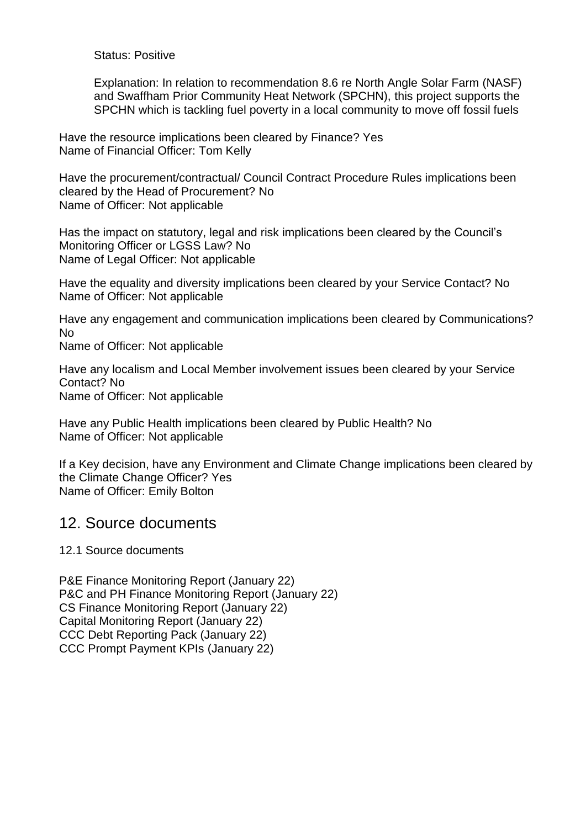Status: Positive

Explanation: In relation to recommendation 8.6 re North Angle Solar Farm (NASF) and Swaffham Prior Community Heat Network (SPCHN), this project supports the SPCHN which is tackling fuel poverty in a local community to move off fossil fuels

Have the resource implications been cleared by Finance? Yes Name of Financial Officer: Tom Kelly

Have the procurement/contractual/ Council Contract Procedure Rules implications been cleared by the Head of Procurement? No Name of Officer: Not applicable

Has the impact on statutory, legal and risk implications been cleared by the Council's Monitoring Officer or LGSS Law? No Name of Legal Officer: Not applicable

Have the equality and diversity implications been cleared by your Service Contact? No Name of Officer: Not applicable

Have any engagement and communication implications been cleared by Communications? No

Name of Officer: Not applicable

Have any localism and Local Member involvement issues been cleared by your Service Contact? No Name of Officer: Not applicable

Have any Public Health implications been cleared by Public Health? No Name of Officer: Not applicable

If a Key decision, have any Environment and Climate Change implications been cleared by the Climate Change Officer? Yes Name of Officer: Emily Bolton

# 12. Source documents

12.1 Source documents

P&E Finance Monitoring Report (January 22) P&C and PH Finance Monitoring Report (January 22) CS Finance Monitoring Report (January 22) Capital Monitoring Report (January 22) CCC Debt Reporting Pack (January 22) CCC Prompt Payment KPIs (January 22)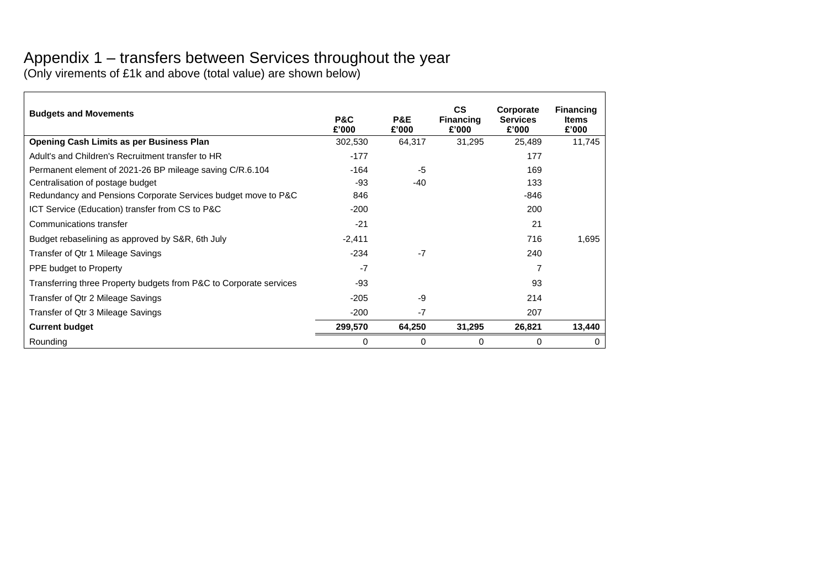# Appendix 1 – transfers between Services throughout the year

(Only virements of £1k and above (total value) are shown below)

<span id="page-32-0"></span>

| <b>Budgets and Movements</b>                                       | P&C<br>£'000 | P&E<br>£'000 | <b>CS</b><br><b>Financing</b><br>£'000 | Corporate<br><b>Services</b><br>£'000 | <b>Financing</b><br>Items<br>£'000 |
|--------------------------------------------------------------------|--------------|--------------|----------------------------------------|---------------------------------------|------------------------------------|
| Opening Cash Limits as per Business Plan                           | 302,530      | 64,317       | 31,295                                 | 25,489                                | 11,745                             |
| Adult's and Children's Recruitment transfer to HR                  | $-177$       |              |                                        | 177                                   |                                    |
| Permanent element of 2021-26 BP mileage saving C/R.6.104           | $-164$       | -5           |                                        | 169                                   |                                    |
| Centralisation of postage budget                                   | -93          | -40          |                                        | 133                                   |                                    |
| Redundancy and Pensions Corporate Services budget move to P&C      | 846          |              |                                        | -846                                  |                                    |
| ICT Service (Education) transfer from CS to P&C                    | $-200$       |              |                                        | 200                                   |                                    |
| Communications transfer                                            | $-21$        |              |                                        | 21                                    |                                    |
| Budget rebaselining as approved by S&R, 6th July                   | $-2,411$     |              |                                        | 716                                   | 1,695                              |
| Transfer of Qtr 1 Mileage Savings                                  | $-234$       | $-7$         |                                        | 240                                   |                                    |
| PPE budget to Property                                             | $-7$         |              |                                        | 7                                     |                                    |
| Transferring three Property budgets from P&C to Corporate services | -93          |              |                                        | 93                                    |                                    |
| Transfer of Qtr 2 Mileage Savings                                  | $-205$       | -9           |                                        | 214                                   |                                    |
| Transfer of Qtr 3 Mileage Savings                                  | $-200$       | $-7$         |                                        | 207                                   |                                    |
| <b>Current budget</b>                                              | 299,570      | 64,250       | 31,295                                 | 26,821                                | 13,440                             |
| Rounding                                                           | $\Omega$     | $\Omega$     | 0                                      | 0                                     | 0                                  |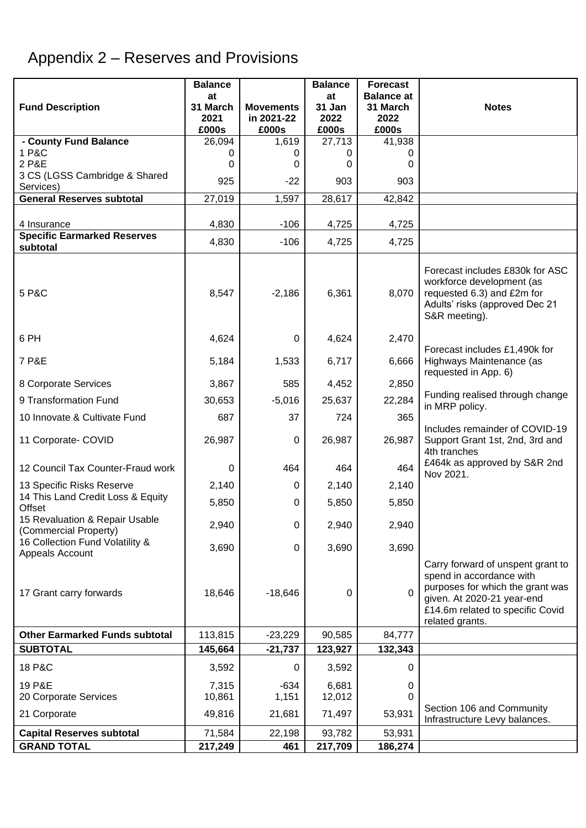# <span id="page-33-0"></span>Appendix 2 – Reserves and Provisions

|                                                         | <b>Balance</b><br>at<br>31 March |                                | <b>Balance</b><br>at<br>31 Jan | <b>Forecast</b><br><b>Balance at</b><br>31 March |                                                                                                                                                                                        |
|---------------------------------------------------------|----------------------------------|--------------------------------|--------------------------------|--------------------------------------------------|----------------------------------------------------------------------------------------------------------------------------------------------------------------------------------------|
| <b>Fund Description</b>                                 | 2021                             | <b>Movements</b><br>in 2021-22 | 2022                           | 2022                                             | <b>Notes</b>                                                                                                                                                                           |
|                                                         | £000s                            | £000s                          | £000s                          | £000s                                            |                                                                                                                                                                                        |
| - County Fund Balance                                   | 26,094                           | 1,619                          | 27,713                         | 41,938                                           |                                                                                                                                                                                        |
| 1 P&C<br>2 P&E                                          | 0<br>0                           | 0<br>0                         | 0<br>0                         | 0<br>0                                           |                                                                                                                                                                                        |
| 3 CS (LGSS Cambridge & Shared                           |                                  |                                |                                |                                                  |                                                                                                                                                                                        |
| Services)                                               | 925                              | $-22$                          | 903                            | 903                                              |                                                                                                                                                                                        |
| <b>General Reserves subtotal</b>                        | 27,019                           | 1,597                          | 28,617                         | 42,842                                           |                                                                                                                                                                                        |
|                                                         |                                  |                                |                                |                                                  |                                                                                                                                                                                        |
| 4 Insurance<br><b>Specific Earmarked Reserves</b>       | 4,830                            | $-106$                         | 4,725                          | 4,725                                            |                                                                                                                                                                                        |
| subtotal                                                | 4,830                            | $-106$                         | 4,725                          | 4,725                                            |                                                                                                                                                                                        |
| 5 P&C                                                   | 8,547                            | $-2,186$                       | 6,361                          | 8,070                                            | Forecast includes £830k for ASC<br>workforce development (as<br>requested 6.3) and £2m for<br>Adults' risks (approved Dec 21<br>S&R meeting).                                          |
| 6 PH                                                    | 4,624                            | 0                              | 4,624                          | 2,470                                            |                                                                                                                                                                                        |
| 7 P&E                                                   | 5,184                            | 1,533                          | 6,717                          | 6,666                                            | Forecast includes £1,490k for<br>Highways Maintenance (as<br>requested in App. 6)                                                                                                      |
| 8 Corporate Services                                    | 3,867                            | 585                            | 4,452                          | 2,850                                            |                                                                                                                                                                                        |
| 9 Transformation Fund                                   | 30,653                           | $-5,016$                       | 25,637                         | 22,284                                           | Funding realised through change<br>in MRP policy.                                                                                                                                      |
| 10 Innovate & Cultivate Fund                            | 687                              | 37                             | 724                            | 365                                              |                                                                                                                                                                                        |
| 11 Corporate- COVID                                     | 26,987                           | 0                              | 26,987                         | 26,987                                           | Includes remainder of COVID-19<br>Support Grant 1st, 2nd, 3rd and<br>4th tranches                                                                                                      |
| 12 Council Tax Counter-Fraud work                       | 0                                | 464                            | 464                            | 464                                              | £464k as approved by S&R 2nd<br>Nov 2021.                                                                                                                                              |
| 13 Specific Risks Reserve                               | 2,140                            | 0                              | 2,140                          | 2,140                                            |                                                                                                                                                                                        |
| 14 This Land Credit Loss & Equity<br>Offset             | 5,850                            | 0                              | 5,850                          | 5,850                                            |                                                                                                                                                                                        |
| 15 Revaluation & Repair Usable<br>(Commercial Property) | 2,940                            | 0                              | 2,940                          | 2,940                                            |                                                                                                                                                                                        |
| 16 Collection Fund Volatility &<br>Appeals Account      | 3,690                            | 0                              | 3,690                          | 3,690                                            |                                                                                                                                                                                        |
| 17 Grant carry forwards                                 | 18,646                           | $-18,646$                      | 0                              | $\Omega$                                         | Carry forward of unspent grant to<br>spend in accordance with<br>purposes for which the grant was<br>given. At 2020-21 year-end<br>£14.6m related to specific Covid<br>related grants. |
| <b>Other Earmarked Funds subtotal</b>                   | 113,815                          | $-23,229$                      | 90,585                         | 84,777                                           |                                                                                                                                                                                        |
| <b>SUBTOTAL</b>                                         | 145,664                          | $-21,737$                      | 123,927                        | 132,343                                          |                                                                                                                                                                                        |
| 18 P&C                                                  | 3,592                            | 0                              | 3,592                          | 0                                                |                                                                                                                                                                                        |
| 19 P&E<br>20 Corporate Services                         | 7,315<br>10,861                  | $-634$<br>1,151                | 6,681<br>12,012                | 0<br>0                                           |                                                                                                                                                                                        |
| 21 Corporate                                            | 49,816                           | 21,681                         | 71,497                         | 53,931                                           | Section 106 and Community                                                                                                                                                              |
| <b>Capital Reserves subtotal</b>                        | 71,584                           | 22,198                         | 93,782                         | 53,931                                           | Infrastructure Levy balances.                                                                                                                                                          |
| <b>GRAND TOTAL</b>                                      | 217,249                          | 461                            | 217,709                        | 186,274                                          |                                                                                                                                                                                        |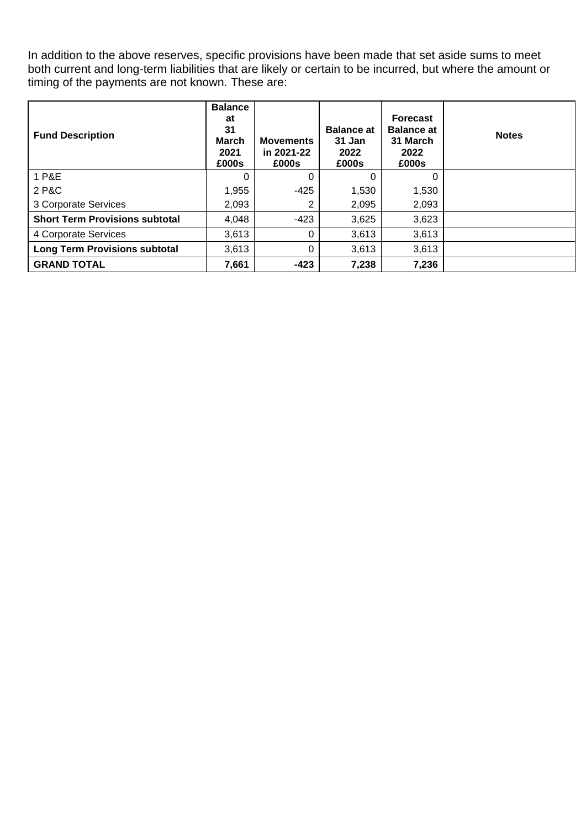In addition to the above reserves, specific provisions have been made that set aside sums to meet both current and long-term liabilities that are likely or certain to be incurred, but where the amount or timing of the payments are not known. These are:

| <b>Fund Description</b>               | <b>Balance</b><br>at<br>31<br><b>March</b><br>2021<br>£000s | <b>Movements</b><br>in 2021-22<br>£000s | <b>Balance at</b><br>31 Jan<br>2022<br>£000s | Forecast<br><b>Balance at</b><br>31 March<br>2022<br>£000s | <b>Notes</b> |
|---------------------------------------|-------------------------------------------------------------|-----------------------------------------|----------------------------------------------|------------------------------------------------------------|--------------|
| 1 P&E                                 |                                                             | 0                                       |                                              |                                                            |              |
| 2 P&C                                 | 1,955                                                       | -425                                    | 1,530                                        | 1,530                                                      |              |
| 3 Corporate Services                  | 2,093                                                       | 2                                       | 2,095                                        | 2,093                                                      |              |
| <b>Short Term Provisions subtotal</b> | 4,048                                                       | $-423$                                  | 3,625                                        | 3,623                                                      |              |
| 4 Corporate Services                  | 3,613                                                       | 0                                       | 3,613                                        | 3,613                                                      |              |
| <b>Long Term Provisions subtotal</b>  | 3,613                                                       | 0                                       | 3,613                                        | 3,613                                                      |              |
| <b>GRAND TOTAL</b>                    | 7,661                                                       | $-423$                                  | 7,238                                        | 7,236                                                      |              |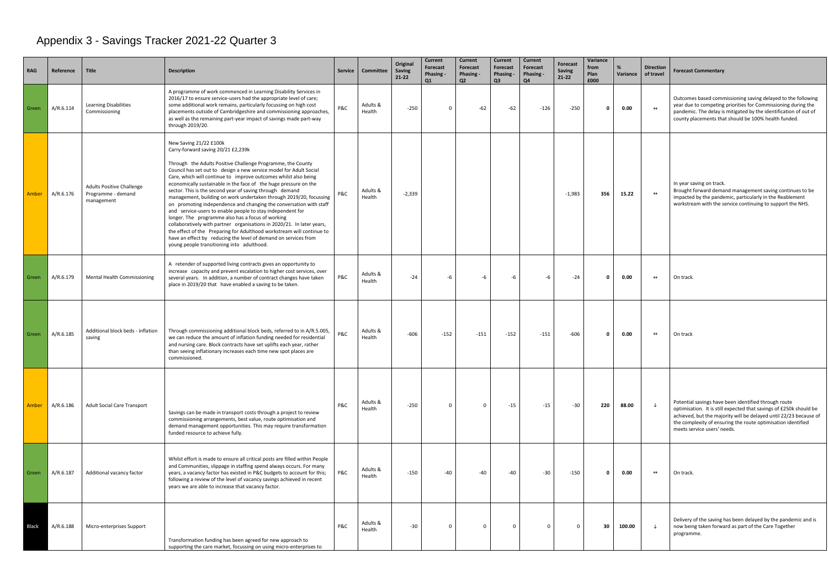# <span id="page-35-0"></span>Appendix 3 - Savings Tracker 2021-22 Quarter 3

| <b>RAG</b>   | Reference | Title                                                                | <b>Description</b>                                                                                                                                                                                                                                                                                                                                                                                                                                                                                                                                                                                                                                                                                                                                                                                                                                                                                                                      | <b>Service</b> | Committee          | Original<br>Saving<br>$21 - 22$ | Current<br>Forecast<br>Phasing -<br>Q1 | Current<br><b>Forecast</b><br>Phasing -<br>Q <sub>2</sub> | Current<br><b>Forecast</b><br>Phasing -<br>Q <sub>3</sub> | <b>Current</b><br>Forecast<br>Phasing -<br>Q4 | Forecast<br>Saving<br>$21 - 22$ | Variance<br>from<br>Plan<br>£000 | ℅<br>Variance | <b>Direction</b><br>of travel | <b>Forecast Commentary</b>                                                                                                                                                                                                                                                                     |
|--------------|-----------|----------------------------------------------------------------------|-----------------------------------------------------------------------------------------------------------------------------------------------------------------------------------------------------------------------------------------------------------------------------------------------------------------------------------------------------------------------------------------------------------------------------------------------------------------------------------------------------------------------------------------------------------------------------------------------------------------------------------------------------------------------------------------------------------------------------------------------------------------------------------------------------------------------------------------------------------------------------------------------------------------------------------------|----------------|--------------------|---------------------------------|----------------------------------------|-----------------------------------------------------------|-----------------------------------------------------------|-----------------------------------------------|---------------------------------|----------------------------------|---------------|-------------------------------|------------------------------------------------------------------------------------------------------------------------------------------------------------------------------------------------------------------------------------------------------------------------------------------------|
| Green        | A/R.6.114 | <b>Learning Disabilities</b><br>Commissioning                        | A programme of work commenced in Learning Disability Services in<br>2016/17 to ensure service-users had the appropriate level of care;<br>some additional work remains, particularly focussing on high cost<br>placements outside of Cambridgeshire and commissioning approaches,<br>as well as the remaining part-year impact of savings made part-way<br>through 2019/20.                                                                                                                                                                                                                                                                                                                                                                                                                                                                                                                                                             | P&C            | Adults &<br>Health | $-250$                          | $\Omega$                               | $-62$                                                     | $-62$                                                     | $-126$                                        | $-250$                          |                                  | 0.00          | $\leftrightarrow$             | Outcomes based commissioning saving delayed to the following<br>year due to competing priorities for Commissioning during the<br>pandemic. The delay is mitigated by the identification of out of<br>county placements that should be 100% health funded.                                      |
| Amber        | A/R.6.176 | <b>Adults Positive Challenge</b><br>Programme - demand<br>management | New Saving 21/22 £100k<br>Carry-forward saving 20/21 £2,239k<br>Through the Adults Positive Challenge Programme, the County<br>Council has set out to design a new service model for Adult Social<br>Care, which will continue to improve outcomes whilst also being<br>economically sustainable in the face of the huge pressure on the<br>sector. This is the second year of saving through demand<br>management, building on work undertaken through 2019/20, focussing<br>on promoting independence and changing the conversation with staff<br>and service-users to enable people to stay independent for<br>longer. The programme also has a focus of working<br>collaboratively with partner organisations in 2020/21. In later years,<br>the effect of the Preparing for Adulthood workstream will continue to<br>have an effect by reducing the level of demand on services from<br>young people transitioning into adulthood. | P&C            | Adults &<br>Health | $-2,339$                        |                                        |                                                           |                                                           |                                               | $-1,983$                        | 356                              | 15.22         | $\leftrightarrow$             | In year saving on track.<br>Brought forward demand management saving continues to be<br>impacted by the pandemic, particularly in the Reablement<br>workstream with the service continuing to support the NHS.                                                                                 |
| Green        | A/R.6.179 | Mental Health Commissioning                                          | A retender of supported living contracts gives an opportunity to<br>increase capacity and prevent escalation to higher cost services, over<br>several years. In addition, a number of contract changes have taken<br>place in 2019/20 that have enabled a saving to be taken.                                                                                                                                                                                                                                                                                                                                                                                                                                                                                                                                                                                                                                                           | P&C            | Adults &<br>Health | $-24$                           | -6                                     | -6                                                        | -6                                                        | -6                                            | $-24$                           | $\Omega$                         | 0.00          | $\leftrightarrow$             | On track.                                                                                                                                                                                                                                                                                      |
| Green        | A/R.6.185 | Additional block beds - inflation<br>saving                          | Through commissioning additional block beds, referred to in A/R.5.005,<br>we can reduce the amount of inflation funding needed for residential<br>and nursing care. Block contracts have set uplifts each year, rather<br>than seeing inflationary increases each time new spot places are<br>commissioned.                                                                                                                                                                                                                                                                                                                                                                                                                                                                                                                                                                                                                             | P&C            | Adults &<br>Health | $-606$                          | $-152$                                 | $-151$                                                    | $-152$                                                    | $-151$                                        | $-606$                          | $\Omega$                         | 0.00          | $\leftrightarrow$             | On track                                                                                                                                                                                                                                                                                       |
| Amber        | A/R.6.186 | <b>Adult Social Care Transport</b>                                   | Savings can be made in transport costs through a project to review<br>commissioning arrangements, best value, route optimisation and<br>demand management opportunities. This may require transformation<br>funded resource to achieve fully.                                                                                                                                                                                                                                                                                                                                                                                                                                                                                                                                                                                                                                                                                           | P&C            | Adults &<br>Health | $-250$                          | $\Omega$                               | $\Omega$                                                  | $-15$                                                     | $-15$                                         | $-30$                           | 220                              | 88.00         |                               | Potential savings have been identified through route<br>optimisation. It is still expected that savings of £250k should be<br>achieved, but the majority will be delayed until 22/23 because of<br>the complexity of ensuring the route optimisation identified<br>meets service users' needs. |
| Green        | A/R.6.187 | Additional vacancy factor                                            | Whilst effort is made to ensure all critical posts are filled within People<br>and Communities, slippage in staffing spend always occurs. For many<br>years, a vacancy factor has existed in P&C budgets to account for this;<br>following a review of the level of vacancy savings achieved in recent<br>years we are able to increase that vacancy factor.                                                                                                                                                                                                                                                                                                                                                                                                                                                                                                                                                                            | P&C            | Adults &<br>Health | $-150$                          | -40                                    | $-40$                                                     | $-40$                                                     | $-30$                                         | $-150$                          | $\Omega$                         | 0.00          | $\leftrightarrow$             | On track.                                                                                                                                                                                                                                                                                      |
| <b>Black</b> | A/R.6.188 | Micro-enterprises Support                                            | Transformation funding has been agreed for new approach to<br>supporting the care market, focussing on using micro-enterprises to                                                                                                                                                                                                                                                                                                                                                                                                                                                                                                                                                                                                                                                                                                                                                                                                       | P&C            | Adults &<br>Health | $-30$                           | $\Omega$                               | $\Omega$                                                  | $\Omega$                                                  |                                               | $\Omega$                        | 30                               | 100.00        |                               | Delivery of the saving has been delayed by the pandemic and is<br>now being taken forward as part of the Care Together<br>programme.                                                                                                                                                           |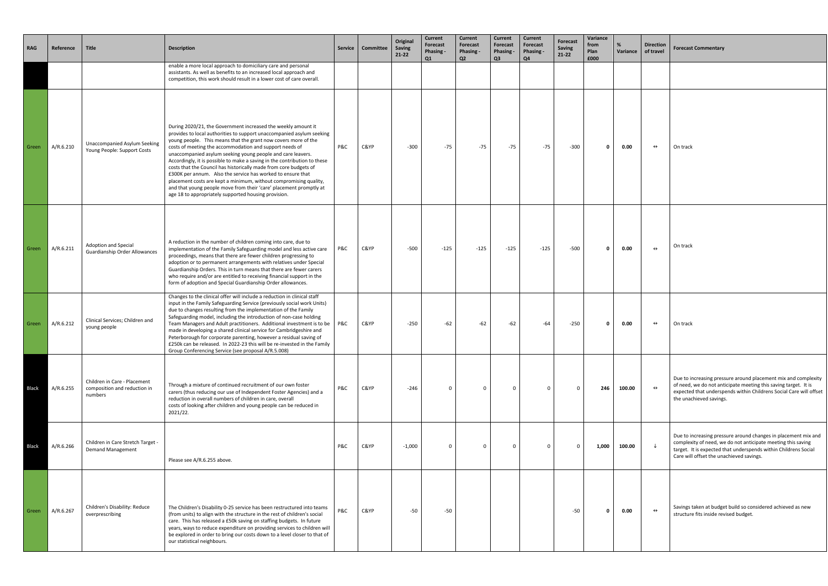| <b>RAG</b>   | Reference | <b>Title</b>                                                            | <b>Description</b>                                                                                                                                                                                                                                                                                                                                                                                                                                                                                                                                                                                                                                                                                                                                     | <b>Service</b> | Committee | Original<br>Saving<br>$21 - 22$ | <b>Current</b><br>Forecast<br>Phasing -<br>Q1 | Current<br>Forecast<br>Phasing -<br>Q2 | Current<br>Forecast<br>Phasing -<br>Q <sub>3</sub> | Current<br>Forecast<br>Phasing -<br>Q4 | <b>Forecast</b><br>Saving<br>$21-22$ | Variance<br>from<br>Plan<br>£000 | Variance | <b>Direction</b><br>of travel | <b>Forecast Commentary</b>                                                                                                                                                                                                                    |
|--------------|-----------|-------------------------------------------------------------------------|--------------------------------------------------------------------------------------------------------------------------------------------------------------------------------------------------------------------------------------------------------------------------------------------------------------------------------------------------------------------------------------------------------------------------------------------------------------------------------------------------------------------------------------------------------------------------------------------------------------------------------------------------------------------------------------------------------------------------------------------------------|----------------|-----------|---------------------------------|-----------------------------------------------|----------------------------------------|----------------------------------------------------|----------------------------------------|--------------------------------------|----------------------------------|----------|-------------------------------|-----------------------------------------------------------------------------------------------------------------------------------------------------------------------------------------------------------------------------------------------|
|              |           |                                                                         | enable a more local approach to domiciliary care and personal<br>assistants. As well as benefits to an increased local approach and<br>competition, this work should result in a lower cost of care overall.                                                                                                                                                                                                                                                                                                                                                                                                                                                                                                                                           |                |           |                                 |                                               |                                        |                                                    |                                        |                                      |                                  |          |                               |                                                                                                                                                                                                                                               |
| Green        | A/R.6.210 | Unaccompanied Asylum Seeking<br>Young People: Support Costs             | During 2020/21, the Government increased the weekly amount it<br>provides to local authorities to support unaccompanied asylum seeking<br>young people. This means that the grant now covers more of the<br>costs of meeting the accommodation and support needs of<br>unaccompanied asylum seeking young people and care leavers.<br>Accordingly, it is possible to make a saving in the contribution to these<br>costs that the Council has historically made from core budgets of<br>£300K per annum. Also the service has worked to ensure that<br>placement costs are kept a minimum, without compromising quality,<br>and that young people move from their 'care' placement promptly at<br>age 18 to appropriately supported housing provision. | P&C            | C&YP      | $-300$                          | $-75$                                         | $-75$                                  | $-75$                                              | $-75$                                  | $-300$                               | n                                | 0.00     | $\leftrightarrow$             | On track                                                                                                                                                                                                                                      |
| Green        | A/R.6.211 | <b>Adoption and Special</b><br><b>Guardianship Order Allowances</b>     | A reduction in the number of children coming into care, due to<br>implementation of the Family Safeguarding model and less active care<br>proceedings, means that there are fewer children progressing to<br>adoption or to permanent arrangements with relatives under Special<br>Guardianship Orders. This in turn means that there are fewer carers<br>who require and/or are entitled to receiving financial support in the<br>form of adoption and Special Guardianship Order allowances.                                                                                                                                                                                                                                                         | P&C            | C&YP      | $-500$                          | $-125$                                        | $-125$                                 | $-125$                                             | $-125$                                 | $-500$                               | <sup>n</sup>                     | 0.00     | $\leftrightarrow$             | On track                                                                                                                                                                                                                                      |
| Green        | A/R.6.212 | Clinical Services; Children and<br>young people                         | Changes to the clinical offer will include a reduction in clinical staff<br>input in the Family Safeguarding Service (previously social work Units)<br>due to changes resulting from the implementation of the Family<br>Safeguarding model, including the introduction of non-case holding<br>Team Managers and Adult practitioners. Additional investment is to be   P&C<br>made in developing a shared clinical service for Cambridgeshire and<br>Peterborough for corporate parenting, however a residual saving of<br>£250k can be released. In 2022-23 this will be re-invested in the Family<br>Group Conferencing Service (see proposal A/R.5.008)                                                                                             |                | C&YP      | $-250$                          | $-62$                                         | $-62$                                  | $-62$                                              | $-64$                                  | $-250$                               | 0                                | 0.00     | $\leftrightarrow$             | On track                                                                                                                                                                                                                                      |
| <b>Black</b> | A/R.6.255 | Children in Care - Placement<br>composition and reduction in<br>numbers | Through a mixture of continued recruitment of our own foster<br>carers (thus reducing our use of Independent Foster Agencies) and a<br>reduction in overall numbers of children in care, overall<br>costs of looking after children and young people can be reduced in<br>2021/22.                                                                                                                                                                                                                                                                                                                                                                                                                                                                     | P&C            | C&YP      | $-246$                          | $\Omega$                                      |                                        | $\Omega$                                           |                                        | - 0                                  | 246                              | 100.00   | $\leftrightarrow$             | Due to increasing pressure around placement mix and complexity<br>of need, we do not anticipate meeting this saving target. It is<br>expected that underspends within Childrens Social Care will offset<br>the unachieved savings.            |
| <b>Black</b> | A/R.6.266 | Children in Care Stretch Target -<br><b>Demand Management</b>           | Please see A/R.6.255 above.                                                                                                                                                                                                                                                                                                                                                                                                                                                                                                                                                                                                                                                                                                                            | P&C            | C&YP      | $-1,000$                        | $\Omega$                                      |                                        | - 0                                                |                                        | - 0                                  | 1,000                            | 100.00   |                               | Due to increasing pressure around changes in placement mix and<br>complexity of need, we do not anticipate meeting this saving<br>target. It is expected that underspends within Childrens Social<br>Care will offset the unachieved savings. |
| Green        | A/R.6.267 | Children's Disability: Reduce<br>overprescribing                        | The Children's Disability 0-25 service has been restructured into teams<br>(from units) to align with the structure in the rest of children's social<br>care. This has released a £50k saving on staffing budgets. In future<br>years, ways to reduce expenditure on providing services to children will<br>be explored in order to bring our costs down to a level closer to that of<br>our statistical neighbours.                                                                                                                                                                                                                                                                                                                                   | P&C            | C&YP      | $-50$                           | $-50$                                         |                                        |                                                    |                                        | $-50$                                | <sup>n</sup>                     | 0.00     | $\leftrightarrow$             | Savings taken at budget build so considered achieved as new<br>structure fits inside revised budget.                                                                                                                                          |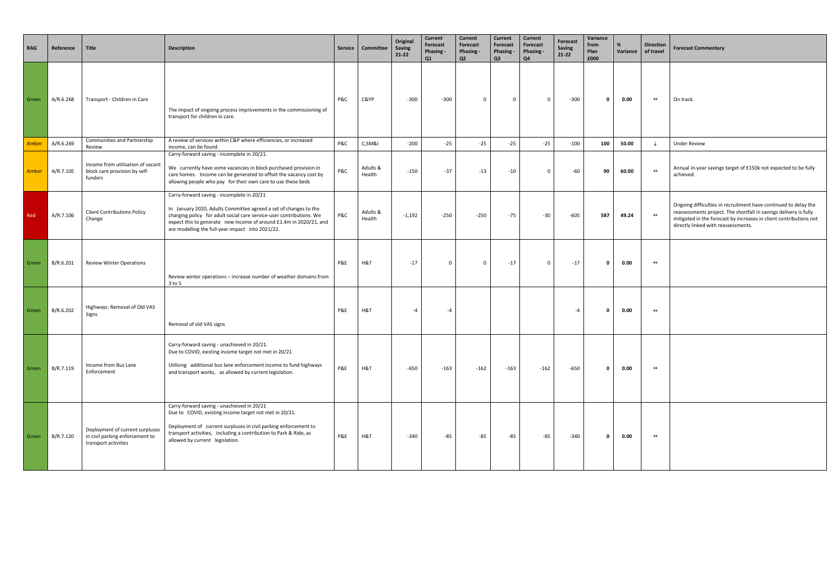| <b>RAG</b> | Reference | <b>Title</b>                                                                               | <b>Description</b>                                                                                                                                                                                                                                                                                               | Service | Committee          | Original<br>Saving<br>21-22 | Current<br>Forecast<br>Phasing -<br>Q1 | Current<br>Forecast<br>Phasing -<br>Q2 | Current<br>Forecast<br>Phasing -<br>Q <sub>3</sub> | Current<br>Forecast<br>Phasing -<br>Q4 | Forecast<br>Saving<br>$21 - 22$ | Variance<br>from<br>Plan<br>£000 | Variance | <b>Direction</b><br>of travel | <b>Forecast Commentary</b>                                                                                                                                                                                                                        |
|------------|-----------|--------------------------------------------------------------------------------------------|------------------------------------------------------------------------------------------------------------------------------------------------------------------------------------------------------------------------------------------------------------------------------------------------------------------|---------|--------------------|-----------------------------|----------------------------------------|----------------------------------------|----------------------------------------------------|----------------------------------------|---------------------------------|----------------------------------|----------|-------------------------------|---------------------------------------------------------------------------------------------------------------------------------------------------------------------------------------------------------------------------------------------------|
| Green      | A/R.6.268 | Transport - Children in Care                                                               | The impact of ongoing process improvements in the commissioning of<br>transport for children in care.                                                                                                                                                                                                            | P&C     | C&YP               | $-300$                      | $-300$                                 | $\Omega$                               | $\Omega$                                           | $\Omega$                               | $-300$                          | $\Omega$                         | 0.00     | $\leftrightarrow$             | On track.                                                                                                                                                                                                                                         |
| Amber      | A/R.6.269 | Communities and Partnership<br>Review                                                      | A review of services within C&P where efficiencies, or increased<br>income, can be found.                                                                                                                                                                                                                        | P&C     | C,SM&I             | $-200$                      | $-25$                                  | $-25$                                  | $-25$                                              | $-25$                                  | $-100$                          | 100                              | 50.00    |                               | <b>Under Review</b>                                                                                                                                                                                                                               |
| Amber      | A/R.7.105 | Income from utilisation of vacant<br>block care provision by self-<br>funders              | Carry-forward saving - incomplete in 20/21.<br>We currently have some vacancies in block purchased provision in<br>care homes. Income can be generated to offset the vacancy cost by<br>allowing people who pay for their own care to use these beds                                                             | P&C     | Adults &<br>Health | $-150$                      | $-37$                                  | $-13$                                  | $-10$                                              | $\Omega$                               | $-60$                           | 90                               | 60.00    | $\leftrightarrow$             | Annual in-year savings target of £150k not expected to be fully<br>achieved.                                                                                                                                                                      |
| Red        | A/R.7.106 | <b>Client Contributions Policy</b><br>Change                                               | Carry-forward saving - incomplete in 20/21<br>In January 2020, Adults Committee agreed a set of changes to the<br>charging policy for adult social care service-user contributions. We<br>expect this to generate new income of around £1.4m in 2020/21, and<br>are modelling the full-year impact into 2021/22. | P&C     | Adults &<br>Health | $-1,192$                    | $-250$                                 | $-250$                                 | $-75$                                              | $-30$                                  | $-605$                          | 587                              | 49.24    | $\leftrightarrow$             | Ongoing difficulties in recruitment have continued to delay the<br>reassessments project. The shortfall in savings delivery is fully<br>mitigated in the forecast by increases in client contributions not<br>directly linked with reassessments. |
| Green      | B/R.6.201 | <b>Review Winter Operations</b>                                                            | Review winter operations - increase number of weather domains from<br>$3$ to 5                                                                                                                                                                                                                                   | P&E     | H&T                | $-17$                       | $\Omega$                               | $\Omega$                               | $-17$                                              | $\Omega$                               | $-17$                           | 0                                | 0.00     | $\leftrightarrow$             |                                                                                                                                                                                                                                                   |
| Green      | B/R.6.202 | Highways: Removal of Old VAS<br>Signs                                                      | Removal of old VAS signs                                                                                                                                                                                                                                                                                         | P&E     | H&T                | -4                          | -4                                     |                                        |                                                    |                                        | $-4$                            | 0                                | 0.00     | $\leftrightarrow$             |                                                                                                                                                                                                                                                   |
| Green      | B/R.7.119 | Income from Bus Lane<br>Enforcement                                                        | Carry-forward saving - unachieved in 20/21.<br>Due to COVID, existing income target not met in 20/21<br>Utilising additional bus lane enforcement income to fund highways<br>and transport works, as allowed by current legislation.                                                                             | P&E     | H&T                | $-650$                      | $-163$                                 | $-162$                                 | $-163$                                             | $-162$                                 | $-650$                          | $\mathbf{0}$                     | 0.00     | $\leftrightarrow$             |                                                                                                                                                                                                                                                   |
| Green      | B/R.7.120 | Deployment of current surpluses<br>in civil parking enforcement to<br>transport activities | Carry-forward saving - unachieved in 20/21<br>Due to COVID, existing income target not met in 20/21.<br>Deployment of current surpluses in civil parking enforcement to<br>transport activities, including a contribution to Park & Ride, as<br>allowed by current legislation.                                  | P&E     | H&T                | $-340$                      | $-85$                                  | $-85$                                  | $-85$                                              | -85                                    | $-340$                          | $\mathbf{0}$                     | 0.00     | $\leftrightarrow$             |                                                                                                                                                                                                                                                   |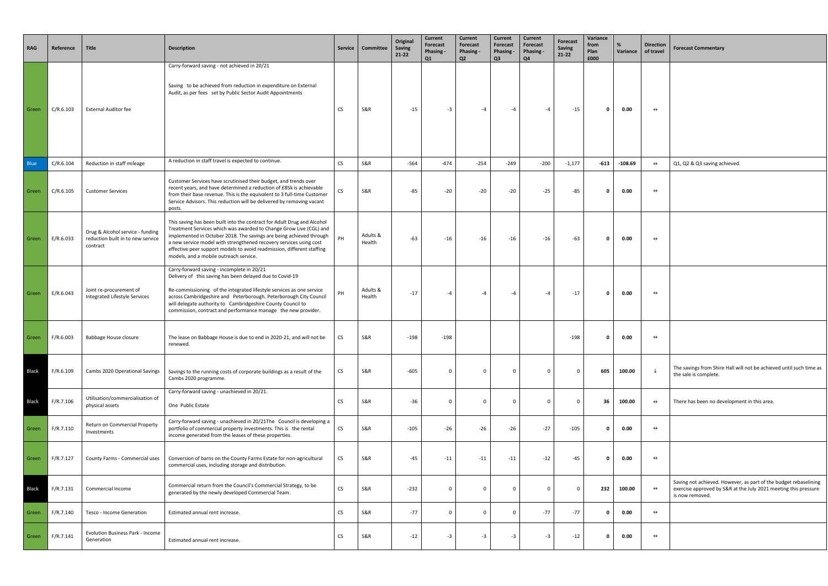| <b>RAG</b>   | Reference | <b>Title</b>                                                                      | <b>Description</b>                                                                                                                                                                                                                                                                                                                                                                                             | <b>Service</b> | Committee          | Original<br>Saving<br>$21 - 22$ | <b>Current</b><br>Forecast<br>Phasing -<br>Q1 | Current<br>Forecast<br>Phasing -<br>Q <sub>2</sub> | Current<br>Forecast<br>Phasing -<br>Q <sub>3</sub> | Current<br><b>Forecast</b><br>Phasing -<br>Q4 | Forecast<br><b>Saving</b><br>$21 - 22$ | Variance<br>from<br>Plan<br>£000 | Variance  | <b>Direction</b><br>of travel | <b>Forecast Commentary</b>                                                                                                                             |
|--------------|-----------|-----------------------------------------------------------------------------------|----------------------------------------------------------------------------------------------------------------------------------------------------------------------------------------------------------------------------------------------------------------------------------------------------------------------------------------------------------------------------------------------------------------|----------------|--------------------|---------------------------------|-----------------------------------------------|----------------------------------------------------|----------------------------------------------------|-----------------------------------------------|----------------------------------------|----------------------------------|-----------|-------------------------------|--------------------------------------------------------------------------------------------------------------------------------------------------------|
|              |           |                                                                                   | Carry-forward saving - not achieved in 20/21                                                                                                                                                                                                                                                                                                                                                                   |                |                    |                                 |                                               |                                                    |                                                    |                                               |                                        |                                  |           |                               |                                                                                                                                                        |
|              |           |                                                                                   | Saving to be achieved from reduction in expenditure on External<br>Audit, as per fees set by Public Sector Audit Appointments                                                                                                                                                                                                                                                                                  |                |                    |                                 |                                               |                                                    |                                                    |                                               |                                        |                                  |           |                               |                                                                                                                                                        |
| Green        | C/R.6.103 | <b>External Auditor fee</b>                                                       |                                                                                                                                                                                                                                                                                                                                                                                                                | <b>CS</b>      | <b>S&amp;R</b>     | $-15$                           | $-3$                                          | $-4$                                               | $-4$                                               | $-4$                                          | $-15$                                  | $\Omega$                         | 0.00      | $\leftrightarrow$             |                                                                                                                                                        |
| <b>Blue</b>  | C/R.6.104 | Reduction in staff mileage                                                        | A reduction in staff travel is expected to continue.                                                                                                                                                                                                                                                                                                                                                           | <b>CS</b>      | S&R                | $-564$                          | $-474$                                        | $-254$                                             | $-249$                                             | $-200$                                        | $-1,177$                               | $-613$                           | $-108.69$ | $\leftrightarrow$             | Q1, Q2 & Q3 saving achieved.                                                                                                                           |
| Green        | C/R.6.105 | <b>Customer Services</b>                                                          | Customer Services have scrutinised their budget, and trends over<br>recent years, and have determined a reduction of £85k is achievable<br>from their base revenue. This is the equivalent to 3 full-time Customer<br>Service Advisors. This reduction will be delivered by removing vacant<br>posts.                                                                                                          | CS.            | S&R                | $-85$                           | $-20$                                         | $-20$                                              | $-20$                                              | $-25$                                         | $-85$                                  | 0                                | 0.00      | $\leftrightarrow$             |                                                                                                                                                        |
| Green        | E/R.6.033 | Drug & Alcohol service - funding<br>reduction built in to new service<br>contract | This saving has been built into the contract for Adult Drug and Alcohol<br>Treatment Services which was awarded to Change Grow Live (CGL) and<br>implemented in October 2018. The savings are being achieved through<br>a new service model with strengthened recovery services using cost<br>effective peer support models to avoid readmission, different staffing<br>models, and a mobile outreach service. | PH             | Adults &<br>Health | $-63$                           | $-16$                                         | $-16$                                              | $-16$                                              | $-16$                                         | $-63$                                  | $\Omega$                         | 0.00      | $\leftrightarrow$             |                                                                                                                                                        |
|              |           |                                                                                   | Carry-forward saving - incomplete in 20/21<br>Delivery of this saving has been delayed due to Covid-19                                                                                                                                                                                                                                                                                                         |                |                    |                                 |                                               |                                                    |                                                    |                                               |                                        |                                  |           |                               |                                                                                                                                                        |
| Green        | E/R.6.043 | Joint re-procurement of<br>Integrated Lifestyle Services                          | Re-commissioning of the integrated lifestyle services as one service<br>across Cambridgeshire and Peterborough. Peterborough City Council<br>will delegate authority to Cambridgeshire County Council to<br>commission, contract and performance manage the new provider.                                                                                                                                      | PH             | Adults &<br>Health | $-17$                           | $-4$                                          |                                                    | $-4$                                               | $-4$                                          | $-17$                                  | $\Omega$                         | 0.00      | $\leftrightarrow$             |                                                                                                                                                        |
| Green        | F/R.6.003 | Babbage House closure                                                             | The lease on Babbage House is due to end in 2020-21, and will not be<br>renewed.                                                                                                                                                                                                                                                                                                                               | CS             | S&R                | $-198$                          | $-198$                                        |                                                    |                                                    |                                               | $-198$                                 | 0                                | 0.00      | $\leftrightarrow$             |                                                                                                                                                        |
| <b>Black</b> | F/R.6.109 | Cambs 2020 Operational Savings                                                    | Savings to the running costs of corporate buildings as a result of the<br>Cambs 2020 programme.                                                                                                                                                                                                                                                                                                                | <b>CS</b>      | <b>S&amp;R</b>     | $-605$                          | $\Omega$                                      | $\Omega$                                           | $\Omega$                                           | $\Omega$                                      | $\overline{0}$                         | 605                              | 100.00    |                               | The savings from Shire Hall will not be achieved until such time as<br>the sale is complete.                                                           |
| <b>Black</b> | F/R.7.106 | Utilisation/commercialisation of<br>physical assets                               | Carry-forward saving - unachieved in 20/21.<br>One Public Estate                                                                                                                                                                                                                                                                                                                                               | CS             | S&R                | $-36$                           | - 0                                           | $\Omega$                                           | $\Omega$                                           | 0                                             | $\overline{0}$                         | 36                               | 100.00    | $\leftrightarrow$             | There has been no development in this area.                                                                                                            |
| Green        | F/R.7.110 | Return on Commercial Property<br>Investments                                      | Carry-forward saving - unachieved in 20/21The Council is developing a<br>portfolio of commercial property investments. This is the rental<br>income generated from the leases of these properties.                                                                                                                                                                                                             | <b>CS</b>      | S&R                | $-105$                          | $-26$                                         | $-26$                                              | $-26$                                              | $-27$                                         | $-105$                                 | $\Omega$                         | 0.00      | $\leftrightarrow$             |                                                                                                                                                        |
| Green        | F/R.7.127 | County Farms - Commercial uses                                                    | Conversion of barns on the County Farms Estate for non-agricultural<br>commercial uses, including storage and distribution.                                                                                                                                                                                                                                                                                    | <b>CS</b>      | <b>S&amp;R</b>     | $-45$                           | $-11$                                         | $-11$                                              | $-11$                                              | $-12$                                         | $-45$                                  | 0                                | 0.00      | $\leftrightarrow$             |                                                                                                                                                        |
| Black        | F/R.7.131 | Commercial Income                                                                 | Commercial return from the Council's Commercial Strategy, to be<br>generated by the newly developed Commercial Team.                                                                                                                                                                                                                                                                                           | <b>CS</b>      | S&R                | $-232$                          | $\Omega$                                      | $\Omega$                                           | $\Omega$                                           | $\Omega$                                      | $\Omega$                               | 232                              | 100.00    | $\leftrightarrow$             | Saving not achieved. However, as part of the budget rebaselining<br>exercise approved by S&R at the July 2021 meeting this pressure<br>is now removed. |
| Green        | F/R.7.140 | Tesco - Income Generation                                                         | Estimated annual rent increase.                                                                                                                                                                                                                                                                                                                                                                                | <b>CS</b>      | <b>S&amp;R</b>     | $-77$                           | $\Omega$                                      | $\Omega$                                           | - 0                                                | $-77$                                         | $-77$                                  |                                  | 0.00      | $\leftrightarrow$             |                                                                                                                                                        |
| Green        | F/R.7.141 | <b>Evolution Business Park - Income</b><br>Generation                             | Estimated annual rent increase.                                                                                                                                                                                                                                                                                                                                                                                | <b>CS</b>      | <b>S&amp;R</b>     | $-12$                           | $-3$                                          | $-3$                                               | $-3$                                               | $-3$                                          | $-12$                                  | 0                                | 0.00      | $\leftrightarrow$             |                                                                                                                                                        |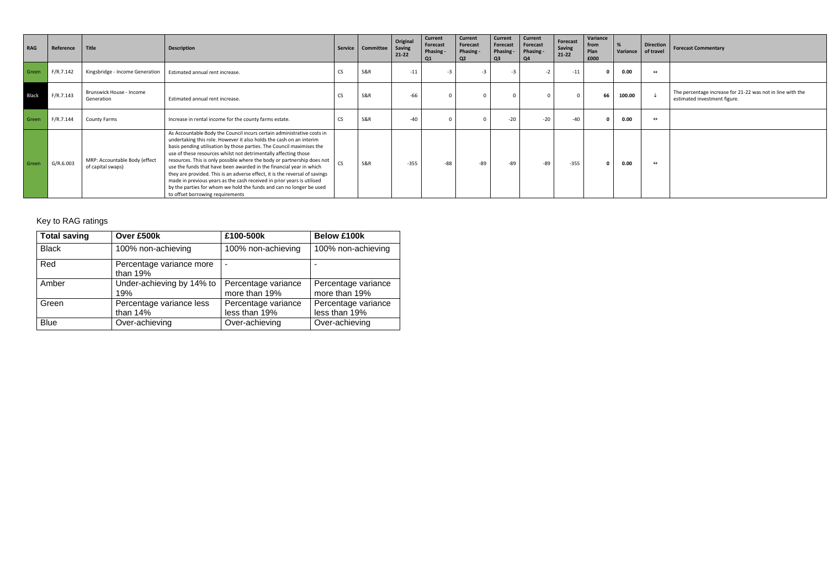| RAG          | Reference | $ $ Title                                          | <b>Description</b>                                                                                                                                                                                                                                                                                                                                                                                                                                                                                                                                                                                                                                                                                              |           | Service   Committee | Original<br>Saving<br>21-22 | Current<br>Forecast<br>Phasing -<br>Q1 | Current<br>Forecast<br>Phasing -<br>Q <sub>2</sub> | Current<br>Forecast<br>Phasing -<br>Q <sub>3</sub> | Current<br>Forecast<br>Phasing -<br>Q <sub>4</sub> | Forecast<br>Saving<br>21-22 | Variance<br>from<br>Plan<br>£000 | Variance | Direction<br>of travel | <b>Forecast Commentary</b>                                                                 |
|--------------|-----------|----------------------------------------------------|-----------------------------------------------------------------------------------------------------------------------------------------------------------------------------------------------------------------------------------------------------------------------------------------------------------------------------------------------------------------------------------------------------------------------------------------------------------------------------------------------------------------------------------------------------------------------------------------------------------------------------------------------------------------------------------------------------------------|-----------|---------------------|-----------------------------|----------------------------------------|----------------------------------------------------|----------------------------------------------------|----------------------------------------------------|-----------------------------|----------------------------------|----------|------------------------|--------------------------------------------------------------------------------------------|
| Green        | F/R.7.142 | Kingsbridge - Income Generation                    | Estimated annual rent increase.                                                                                                                                                                                                                                                                                                                                                                                                                                                                                                                                                                                                                                                                                 | <b>CS</b> | <b>S&amp;R</b>      | $-11$                       | $-3$                                   |                                                    | $-3$                                               |                                                    | $-11$                       |                                  | 0.00     | $\leftrightarrow$      |                                                                                            |
| <b>Black</b> | F/R.7.143 | Brunswick House - Income<br>Generation             | Estimated annual rent increase.                                                                                                                                                                                                                                                                                                                                                                                                                                                                                                                                                                                                                                                                                 | <b>CS</b> | <b>S&amp;R</b>      | $-66$                       |                                        |                                                    |                                                    |                                                    |                             | 66                               | 100.00   |                        | The percentage increase for 21-22 was not in line with the<br>estimated investment figure. |
| Green        | F/R.7.144 | <b>County Farms</b>                                | Increase in rental income for the county farms estate.                                                                                                                                                                                                                                                                                                                                                                                                                                                                                                                                                                                                                                                          | <b>CS</b> | <b>S&amp;R</b>      | $-40$                       |                                        |                                                    | $-20$                                              | $-20$                                              | $-40$                       |                                  | 0.00     |                        |                                                                                            |
| Green        | G/R.6.003 | MRP: Accountable Body (effect<br>of capital swaps) | As Accountable Body the Council incurs certain administrative costs in<br>undertaking this role. However it also holds the cash on an interim<br>basis pending utilisation by those parties. The Council maximises the<br>use of these resources whilst not detrimentally affecting those<br>resources. This is only possible where the body or partnership does not<br>use the funds that have been awarded in the financial year in which<br>they are provided. This is an adverse effect, it is the reversal of savings<br>made in previous years as the cash received in prior years is utilised<br>by the parties for whom we hold the funds and can no longer be used<br>to offset borrowing requirements | <b>CS</b> | <b>S&amp;R</b>      | $-355$                      | $-88$                                  | -89                                                | $-89$                                              | $-89$                                              | $-355$                      |                                  | 0.00     | $\leftrightarrow$      |                                                                                            |

# Key to RAG ratings

| <b>Total saving</b> | Over £500k                             | £100-500k                            | <b>Below £100k</b>                   |
|---------------------|----------------------------------------|--------------------------------------|--------------------------------------|
| <b>Black</b>        | 100% non-achieving                     | 100% non-achieving                   | 100% non-achieving                   |
| Red                 | Percentage variance more<br>than $19%$ |                                      |                                      |
| Amber               | Under-achieving by 14% to<br>19%       | Percentage variance<br>more than 19% | Percentage variance<br>more than 19% |
| Green               | Percentage variance less<br>than $14%$ | Percentage variance<br>less than 19% | Percentage variance<br>less than 19% |
| <b>Blue</b>         | Over-achieving                         | Over-achieving                       | Over-achieving                       |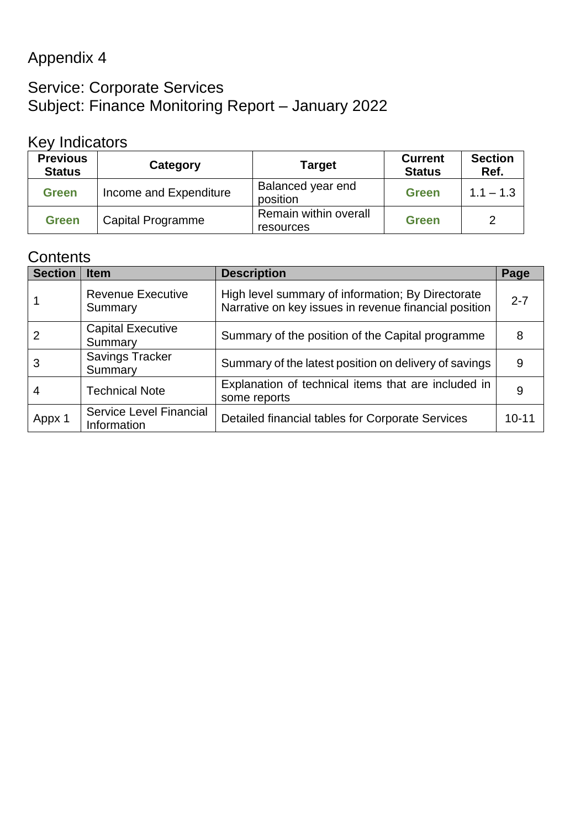# Appendix 4

# Service: Corporate Services Subject: Finance Monitoring Report – January 2022

# Key Indicators

| <b>Previous</b><br><b>Status</b> | Category               | <b>Target</b>                      | <b>Current</b><br><b>Status</b> | <b>Section</b><br>Ref. |
|----------------------------------|------------------------|------------------------------------|---------------------------------|------------------------|
| <b>Green</b>                     | Income and Expenditure | Balanced year end<br>position      | <b>Green</b>                    | $1.1 - 1.3$            |
| <b>Green</b>                     | Capital Programme      | Remain within overall<br>resources | <b>Green</b>                    | 2                      |

# **Contents**

| <b>Section</b> | <b>Item</b>                                   | <b>Description</b>                                                                                         | Page      |
|----------------|-----------------------------------------------|------------------------------------------------------------------------------------------------------------|-----------|
|                | <b>Revenue Executive</b><br>Summary           | High level summary of information; By Directorate<br>Narrative on key issues in revenue financial position | $2 - 7$   |
|                | <b>Capital Executive</b><br>Summary           | Summary of the position of the Capital programme                                                           | 8         |
| 3              | <b>Savings Tracker</b><br>Summary             | Summary of the latest position on delivery of savings                                                      | 9         |
|                | <b>Technical Note</b>                         | Explanation of technical items that are included in<br>some reports                                        | 9         |
| Appx 1         | <b>Service Level Financial</b><br>Information | Detailed financial tables for Corporate Services                                                           | $10 - 11$ |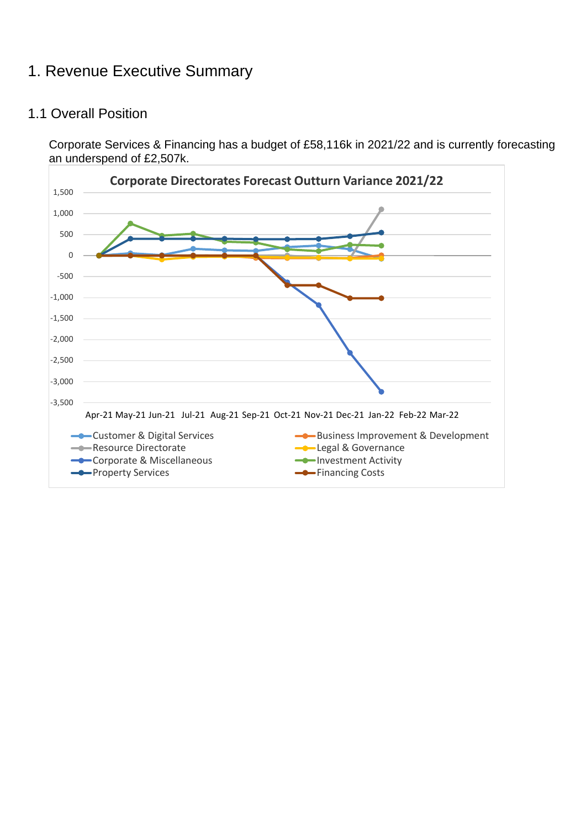# 1. Revenue Executive Summary

# 1.1 Overall Position

Corporate Services & Financing has a budget of £58,116k in 2021/22 and is currently forecasting an underspend of £2,507k.

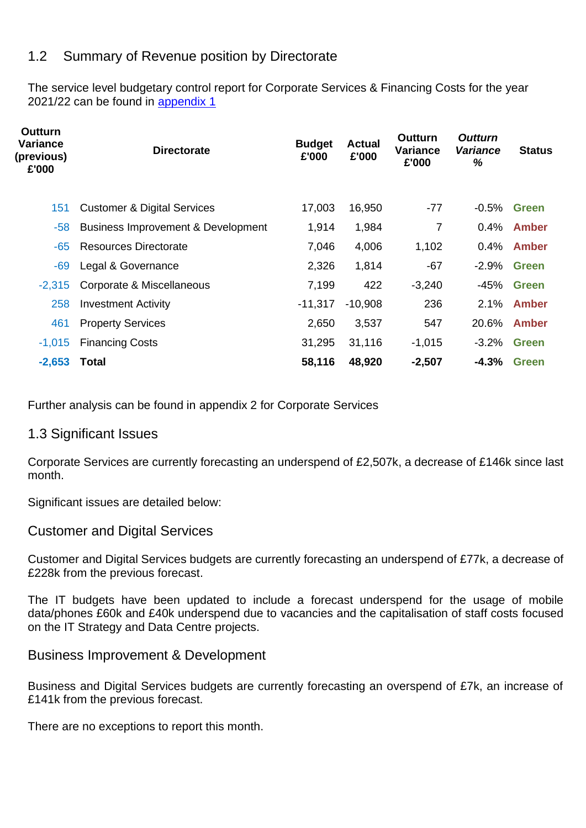# 1.2 Summary of Revenue position by Directorate

The service level budgetary control report for Corporate Services & Financing Costs for the year 2021/22 can be found in [appendix 1](#page-47-0)

| <b>Outturn</b><br><b>Variance</b><br>(previous)<br>£'000 | <b>Directorate</b>                     | <b>Budget</b><br>£'000 | <b>Actual</b><br>£'000 | <b>Outturn</b><br><b>Variance</b><br>£'000 | <b>Outturn</b><br><b>Variance</b><br>% | <b>Status</b> |
|----------------------------------------------------------|----------------------------------------|------------------------|------------------------|--------------------------------------------|----------------------------------------|---------------|
| 151                                                      | <b>Customer &amp; Digital Services</b> | 17,003                 | 16,950                 | $-77$                                      | $-0.5\%$                               | <b>Green</b>  |
| -58                                                      | Business Improvement & Development     | 1,914                  | 1,984                  | 7                                          | 0.4%                                   | <b>Amber</b>  |
| $-65$                                                    | <b>Resources Directorate</b>           | 7,046                  | 4,006                  | 1,102                                      | 0.4%                                   | <b>Amber</b>  |
| -69                                                      | Legal & Governance                     | 2,326                  | 1,814                  | $-67$                                      | $-2.9\%$                               | <b>Green</b>  |
| $-2,315$                                                 | Corporate & Miscellaneous              | 7,199                  | 422                    | $-3,240$                                   | -45%                                   | <b>Green</b>  |
| 258                                                      | <b>Investment Activity</b>             | $-11,317$              | $-10,908$              | 236                                        | $2.1\%$                                | Amber         |
| 461                                                      | <b>Property Services</b>               | 2,650                  | 3,537                  | 547                                        | 20.6%                                  | <b>Amber</b>  |
| $-1,015$                                                 | <b>Financing Costs</b>                 | 31,295                 | 31,116                 | $-1,015$                                   | -3.2%                                  | <b>Green</b>  |
| $-2,653$                                                 | <b>Total</b>                           | 58,116                 | 48,920                 | $-2,507$                                   | -4.3%                                  | <b>Green</b>  |

Further analysis can be found in appendix 2 for Corporate Services

# 1.3 Significant Issues

Corporate Services are currently forecasting an underspend of £2,507k, a decrease of £146k since last month.

Significant issues are detailed below:

#### Customer and Digital Services

Customer and Digital Services budgets are currently forecasting an underspend of £77k, a decrease of £228k from the previous forecast.

The IT budgets have been updated to include a forecast underspend for the usage of mobile data/phones £60k and £40k underspend due to vacancies and the capitalisation of staff costs focused on the IT Strategy and Data Centre projects.

#### Business Improvement & Development

Business and Digital Services budgets are currently forecasting an overspend of £7k, an increase of £141k from the previous forecast.

There are no exceptions to report this month.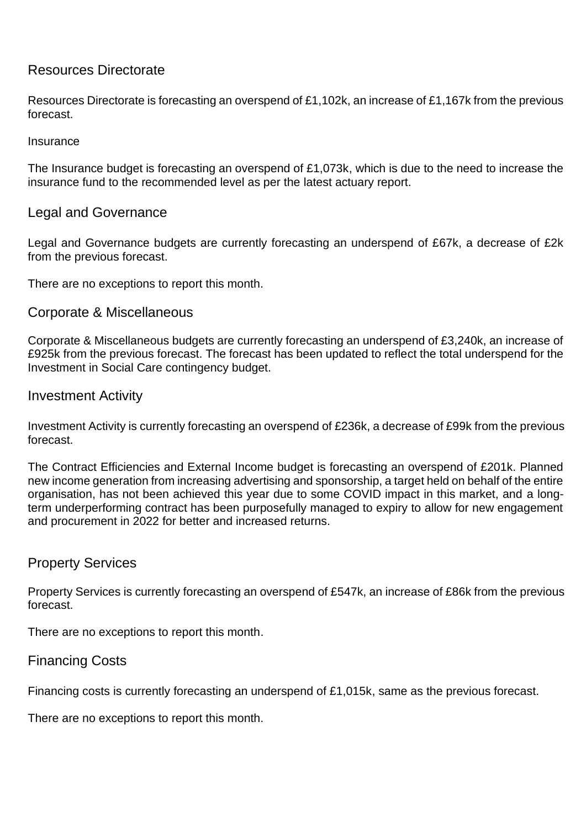# Resources Directorate

Resources Directorate is forecasting an overspend of £1,102k, an increase of £1,167k from the previous forecast.

#### **Insurance**

The Insurance budget is forecasting an overspend of £1,073k, which is due to the need to increase the insurance fund to the recommended level as per the latest actuary report.

### Legal and Governance

Legal and Governance budgets are currently forecasting an underspend of £67k, a decrease of £2k from the previous forecast.

There are no exceptions to report this month.

#### Corporate & Miscellaneous

Corporate & Miscellaneous budgets are currently forecasting an underspend of £3,240k, an increase of £925k from the previous forecast. The forecast has been updated to reflect the total underspend for the Investment in Social Care contingency budget.

#### Investment Activity

Investment Activity is currently forecasting an overspend of £236k, a decrease of £99k from the previous forecast.

The Contract Efficiencies and External Income budget is forecasting an overspend of £201k. Planned new income generation from increasing advertising and sponsorship, a target held on behalf of the entire organisation, has not been achieved this year due to some COVID impact in this market, and a longterm underperforming contract has been purposefully managed to expiry to allow for new engagement and procurement in 2022 for better and increased returns.

# Property Services

Property Services is currently forecasting an overspend of £547k, an increase of £86k from the previous forecast.

There are no exceptions to report this month.

# Financing Costs

Financing costs is currently forecasting an underspend of £1,015k, same as the previous forecast.

There are no exceptions to report this month.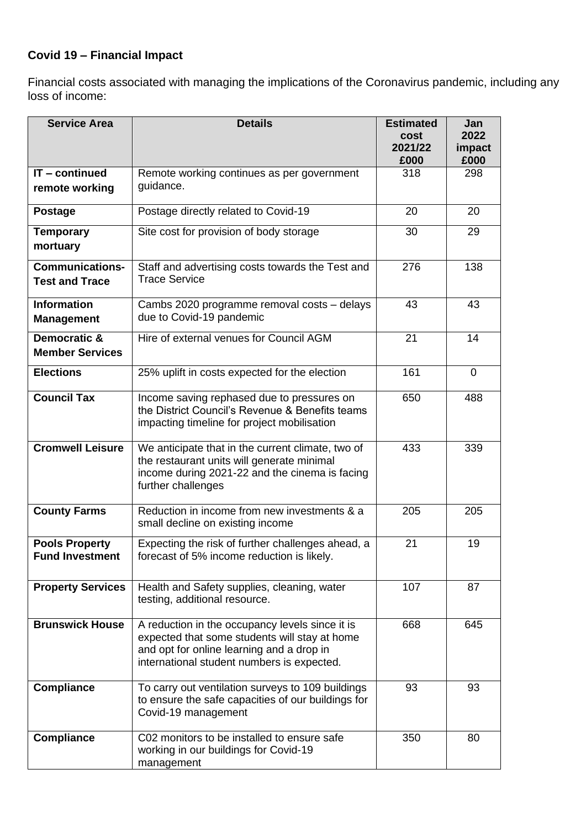# **Covid 19 – Financial Impact**

Financial costs associated with managing the implications of the Coronavirus pandemic, including any loss of income:

| <b>Service Area</b>                             | <b>Details</b>                                                                                                                                                                              | <b>Estimated</b><br>cost<br>2021/22<br>£000 | Jan<br>2022<br>impact<br>£000 |
|-------------------------------------------------|---------------------------------------------------------------------------------------------------------------------------------------------------------------------------------------------|---------------------------------------------|-------------------------------|
| IT-continued<br>remote working                  | Remote working continues as per government<br>guidance.                                                                                                                                     | 318                                         | 298                           |
| <b>Postage</b>                                  | Postage directly related to Covid-19                                                                                                                                                        | 20                                          | 20                            |
| <b>Temporary</b><br>mortuary                    | Site cost for provision of body storage                                                                                                                                                     | 30                                          | 29                            |
| <b>Communications-</b><br><b>Test and Trace</b> | Staff and advertising costs towards the Test and<br><b>Trace Service</b>                                                                                                                    | 276                                         | 138                           |
| <b>Information</b><br><b>Management</b>         | Cambs 2020 programme removal costs - delays<br>due to Covid-19 pandemic                                                                                                                     |                                             | 43                            |
| Democratic &<br><b>Member Services</b>          | Hire of external venues for Council AGM                                                                                                                                                     | 21                                          | 14                            |
| <b>Elections</b>                                | 25% uplift in costs expected for the election                                                                                                                                               | 161                                         | $\overline{0}$                |
| <b>Council Tax</b>                              | Income saving rephased due to pressures on<br>the District Council's Revenue & Benefits teams<br>impacting timeline for project mobilisation                                                | 650                                         | 488                           |
| <b>Cromwell Leisure</b>                         | We anticipate that in the current climate, two of<br>the restaurant units will generate minimal<br>income during 2021-22 and the cinema is facing<br>further challenges                     | 433                                         | 339                           |
| <b>County Farms</b>                             | Reduction in income from new investments & a<br>small decline on existing income                                                                                                            | 205                                         | 205                           |
| <b>Pools Property</b><br><b>Fund Investment</b> | Expecting the risk of further challenges ahead, a<br>forecast of 5% income reduction is likely.                                                                                             | 21                                          | 19                            |
| <b>Property Services</b>                        | Health and Safety supplies, cleaning, water<br>testing, additional resource.                                                                                                                | 107                                         | 87                            |
| <b>Brunswick House</b>                          | A reduction in the occupancy levels since it is<br>expected that some students will stay at home<br>and opt for online learning and a drop in<br>international student numbers is expected. | 668                                         | 645                           |
| <b>Compliance</b>                               | To carry out ventilation surveys to 109 buildings<br>to ensure the safe capacities of our buildings for<br>Covid-19 management                                                              | 93                                          | 93                            |
| <b>Compliance</b>                               | C02 monitors to be installed to ensure safe<br>working in our buildings for Covid-19<br>management                                                                                          | 350                                         | 80                            |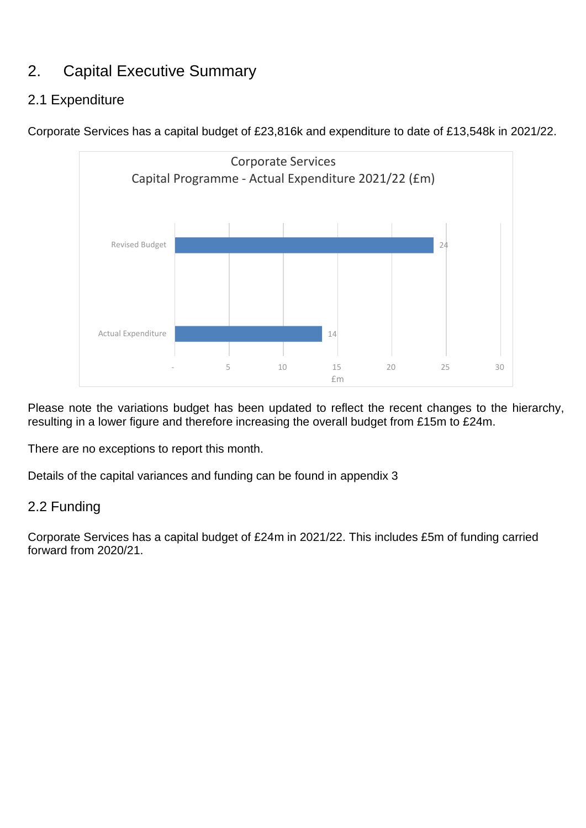# 2. Capital Executive Summary

# 2.1 Expenditure

Corporate Services has a capital budget of £23,816k and expenditure to date of £13,548k in 2021/22.



Please note the variations budget has been updated to reflect the recent changes to the hierarchy, resulting in a lower figure and therefore increasing the overall budget from £15m to £24m.

There are no exceptions to report this month.

Details of the capital variances and funding can be found in appendix 3

# 2.2 Funding

Corporate Services has a capital budget of £24m in 2021/22. This includes £5m of funding carried forward from 2020/21.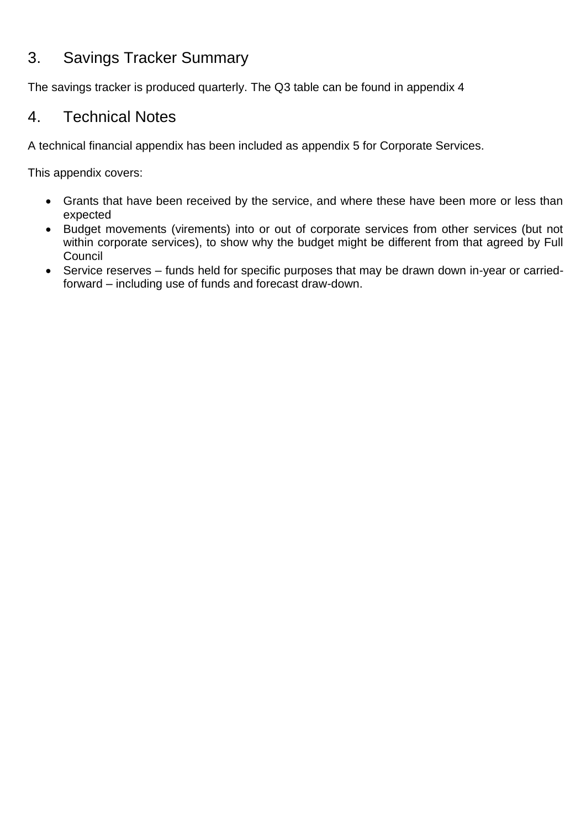# 3. Savings Tracker Summary

The savings tracker is produced quarterly. The Q3 table can be found in appendix 4

# 4. Technical Notes

A technical financial appendix has been included as appendix 5 for Corporate Services.

This appendix covers:

- Grants that have been received by the service, and where these have been more or less than expected
- Budget movements (virements) into or out of corporate services from other services (but not within corporate services), to show why the budget might be different from that agreed by Full **Council**
- Service reserves funds held for specific purposes that may be drawn down in-year or carriedforward – including use of funds and forecast draw-down.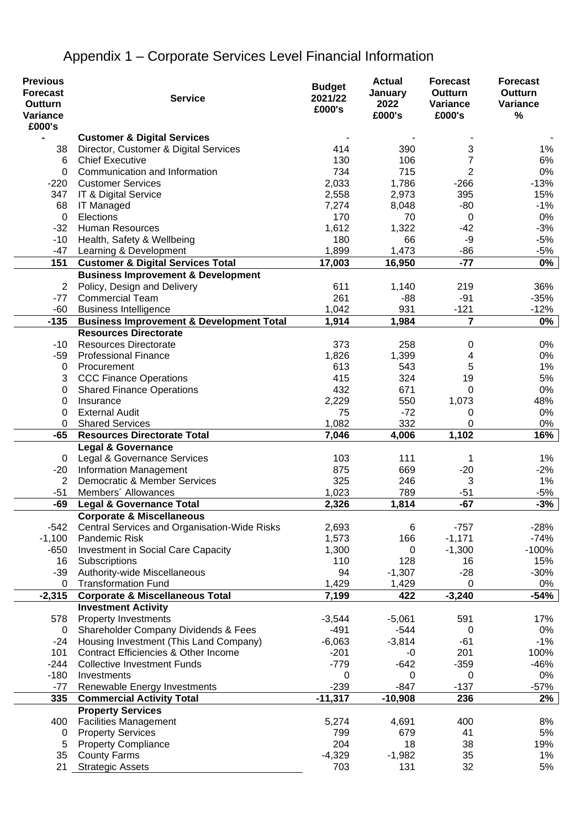# <span id="page-47-0"></span>Appendix 1 – Corporate Services Level Financial Information

| <b>Previous</b>            |                                                                          | <b>Budget</b> | <b>Actual</b>   | <b>Forecast</b>     | <b>Forecast</b>     |
|----------------------------|--------------------------------------------------------------------------|---------------|-----------------|---------------------|---------------------|
| <b>Forecast</b><br>Outturn | <b>Service</b>                                                           | 2021/22       | January<br>2022 | Outturn<br>Variance | Outturn<br>Variance |
| Variance                   |                                                                          | £000's        | £000's          | £000's              | $\%$                |
| £000's                     |                                                                          |               |                 |                     |                     |
| ä,                         | <b>Customer &amp; Digital Services</b>                                   |               |                 |                     |                     |
| 38<br>6                    | Director, Customer & Digital Services<br><b>Chief Executive</b>          | 414<br>130    | 390<br>106      | 3<br>7              | $1\%$<br>6%         |
| 0                          | Communication and Information                                            | 734           | 715             | $\overline{2}$      | 0%                  |
| $-220$                     | <b>Customer Services</b>                                                 | 2,033         | 1,786           | $-266$              | $-13%$              |
| 347                        | IT & Digital Service                                                     | 2,558         | 2,973           | 395                 | 15%                 |
| 68                         | <b>IT Managed</b>                                                        | 7,274         | 8,048           | $-80$               | $-1%$               |
| $\mathbf 0$                | Elections                                                                | 170           | 70              | 0                   | 0%                  |
| $-32$                      | <b>Human Resources</b>                                                   | 1,612         | 1,322           | $-42$               | $-3%$               |
| $-10$                      | Health, Safety & Wellbeing                                               | 180           | 66              | -9                  | $-5%$               |
| $-47$                      | Learning & Development                                                   | 1,899         | 1,473           | $-86$               | $-5%$               |
| 151                        | <b>Customer &amp; Digital Services Total</b>                             | 17,003        | 16,950          | $-77$               | $0\%$               |
|                            | <b>Business Improvement &amp; Development</b>                            |               |                 |                     |                     |
| $\overline{2}$<br>$-77$    | Policy, Design and Delivery<br><b>Commercial Team</b>                    | 611<br>261    | 1,140<br>$-88$  | 219<br>$-91$        | 36%<br>$-35%$       |
| -60                        | <b>Business Intelligence</b>                                             | 1,042         | 931             | $-121$              | $-12%$              |
| $-135$                     | <b>Business Improvement &amp; Development Total</b>                      | 1,914         | 1,984           | $\overline{7}$      | $0\%$               |
|                            | <b>Resources Directorate</b>                                             |               |                 |                     |                     |
| $-10$                      | <b>Resources Directorate</b>                                             | 373           | 258             | 0                   | 0%                  |
| $-59$                      | <b>Professional Finance</b>                                              | 1,826         | 1,399           | 4                   | 0%                  |
| 0                          | Procurement                                                              | 613           | 543             | 5                   | 1%                  |
| 3                          | <b>CCC Finance Operations</b>                                            | 415           | 324             | 19                  | 5%                  |
| 0                          | <b>Shared Finance Operations</b>                                         | 432           | 671             | 0                   | 0%                  |
| 0                          | Insurance                                                                | 2,229         | 550             | 1,073               | 48%                 |
| 0                          | <b>External Audit</b>                                                    | 75            | $-72$           | 0                   | 0%                  |
| 0                          | <b>Shared Services</b>                                                   | 1,082         | 332             | 0                   | 0%                  |
| $-65$                      | <b>Resources Directorate Total</b>                                       | 7,046         | 4,006           | 1,102               | 16%                 |
| 0                          | <b>Legal &amp; Governance</b><br>Legal & Governance Services             | 103           | 111             | 1                   | 1%                  |
| -20                        | <b>Information Management</b>                                            | 875           | 669             | $-20$               | $-2%$               |
| 2                          | <b>Democratic &amp; Member Services</b>                                  | 325           | 246             | 3                   | 1%                  |
| $-51$                      | Members' Allowances                                                      | 1,023         | 789             | $-51$               | $-5%$               |
| -69                        | <b>Legal &amp; Governance Total</b>                                      | 2,326         | 1,814           | $-67$               | $-3%$               |
|                            | <b>Corporate &amp; Miscellaneous</b>                                     |               |                 |                     |                     |
| $-542$                     | Central Services and Organisation-Wide Risks                             | 2,693         | 6               | $-757$              | $-28%$              |
| $-1,100$                   | Pandemic Risk                                                            | 1,573         | 166             | $-1,171$            | $-74%$              |
| $-650$                     | <b>Investment in Social Care Capacity</b>                                | 1,300         | 0               | $-1,300$            | $-100%$             |
| 16                         | Subscriptions                                                            | 110           | 128             | 16                  | 15%                 |
| -39                        | Authority-wide Miscellaneous                                             | 94            | $-1,307$        | $-28$               | $-30%$              |
| 0                          | <b>Transformation Fund</b>                                               | 1,429         | 1,429           | 0                   | 0%<br>$-54%$        |
| $-2,315$                   | <b>Corporate &amp; Miscellaneous Total</b><br><b>Investment Activity</b> | 7,199         | 422             | $-3,240$            |                     |
| 578                        | <b>Property Investments</b>                                              | $-3,544$      | $-5,061$        | 591                 | 17%                 |
| 0                          | Shareholder Company Dividends & Fees                                     | $-491$        | $-544$          | 0                   | 0%                  |
| $-24$                      | Housing Investment (This Land Company)                                   | $-6,063$      | $-3,814$        | $-61$               | $-1%$               |
| 101                        | <b>Contract Efficiencies &amp; Other Income</b>                          | $-201$        | -0              | 201                 | 100%                |
| $-244$                     | <b>Collective Investment Funds</b>                                       | $-779$        | $-642$          | $-359$              | $-46%$              |
| $-180$                     | Investments                                                              | 0             | 0               | 0                   | 0%                  |
| $-77$                      | Renewable Energy Investments                                             | $-239$        | $-847$          | $-137$              | $-57%$              |
| 335                        | <b>Commercial Activity Total</b>                                         | $-11,317$     | $-10,908$       | 236                 | 2%                  |
|                            | <b>Property Services</b>                                                 |               |                 |                     |                     |
| 400                        | <b>Facilities Management</b>                                             | 5,274         | 4,691           | 400                 | 8%                  |
| 0                          | <b>Property Services</b>                                                 | 799<br>204    | 679             | 41                  | 5%                  |
| 5<br>35                    | <b>Property Compliance</b><br><b>County Farms</b>                        | $-4,329$      | 18<br>$-1,982$  | 38<br>35            | 19%<br>$1\%$        |
| 21                         | <b>Strategic Assets</b>                                                  | 703           | 131             | 32                  | 5%                  |
|                            |                                                                          |               |                 |                     |                     |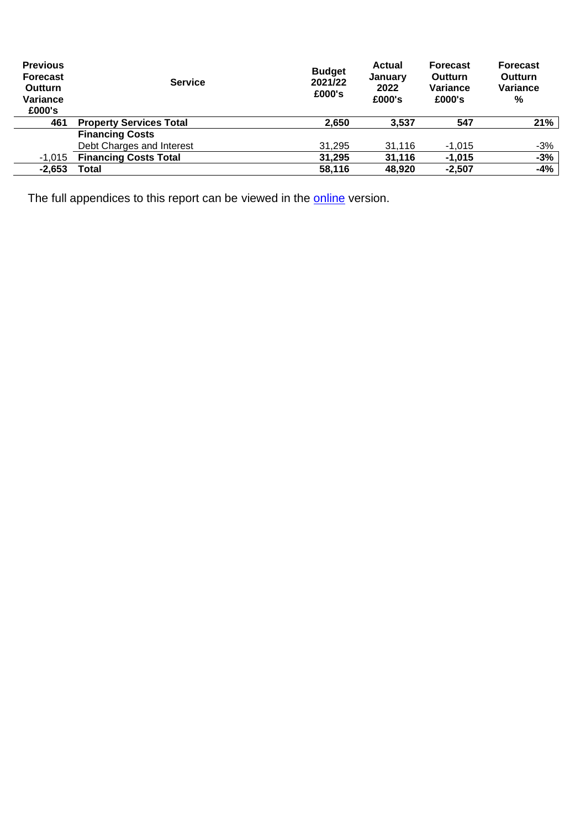| <b>Previous</b><br><b>Forecast</b><br><b>Outturn</b><br>Variance<br>£000's | <b>Service</b>                 | <b>Budget</b><br>2021/22<br>£000's | <b>Actual</b><br>January<br>2022<br>£000's | <b>Forecast</b><br><b>Outturn</b><br>Variance<br>£000's | <b>Forecast</b><br>Outturn<br>Variance<br>% |
|----------------------------------------------------------------------------|--------------------------------|------------------------------------|--------------------------------------------|---------------------------------------------------------|---------------------------------------------|
| 461                                                                        | <b>Property Services Total</b> | 2,650                              | 3,537                                      | 547                                                     | 21%                                         |
|                                                                            | <b>Financing Costs</b>         |                                    |                                            |                                                         |                                             |
|                                                                            | Debt Charges and Interest      | 31.295                             | 31,116                                     | $-1.015$                                                | $-3%$                                       |
| -1.015                                                                     | <b>Financing Costs Total</b>   | 31,295                             | 31,116                                     | $-1.015$                                                | $-3%$                                       |
| $-2,653$                                                                   | Total                          | 58,116                             | 48,920                                     | $-2,507$                                                | $-4%$                                       |

The full appendices to this report can be viewed in the **online** version.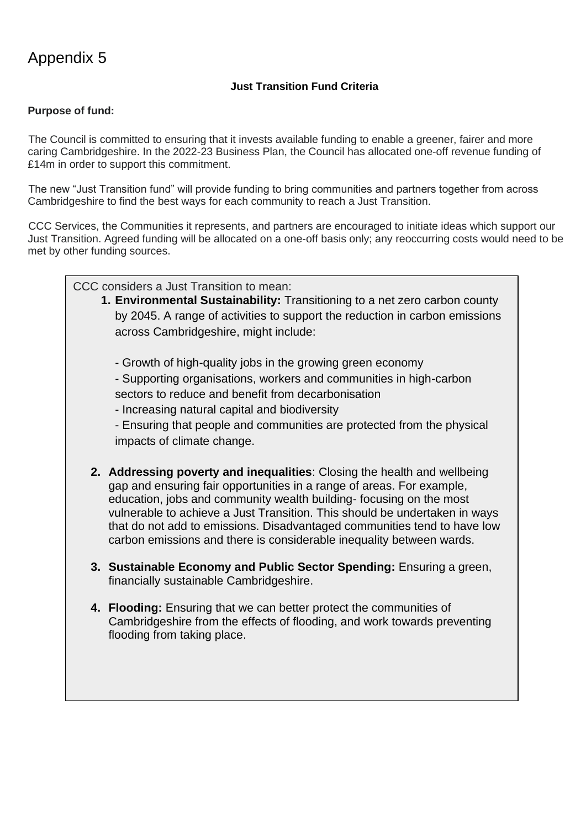#### **Just Transition Fund Criteria**

#### **Purpose of fund:**

 The Council is committed to ensuring that it invests available funding to enable a greener, fairer and more caring Cambridgeshire. In the 2022-23 Business Plan, the Council has allocated one-off revenue funding of £14m in order to support this commitment.

 The new "Just Transition fund" will provide funding to bring communities and partners together from across Cambridgeshire to find the best ways for each community to reach a Just Transition.

 CCC Services, the Communities it represents, and partners are encouraged to initiate ideas which support our Just Transition. Agreed funding will be allocated on a one-off basis only; any reoccurring costs would need to be met by other funding sources.

CCC considers a Just Transition to mean:

**1. Environmental Sustainability:** Transitioning to a net zero carbon county by 2045. A range of activities to support the reduction in carbon emissions across Cambridgeshire, might include:

- Growth of high-quality jobs in the growing green economy

- Supporting organisations, workers and communities in high-carbon

sectors to reduce and benefit from decarbonisation

- Increasing natural capital and biodiversity

- Ensuring that people and communities are protected from the physical impacts of climate change.

- **2. Addressing poverty and inequalities**: Closing the health and wellbeing gap and ensuring fair opportunities in a range of areas. For example, education, jobs and community wealth building- focusing on the most vulnerable to achieve a Just Transition. This should be undertaken in ways that do not add to emissions. Disadvantaged communities tend to have low carbon emissions and there is considerable inequality between wards.
- **3. Sustainable Economy and Public Sector Spending:** Ensuring a green, financially sustainable Cambridgeshire.
- **4. Flooding:** Ensuring that we can better protect the communities of Cambridgeshire from the effects of flooding, and work towards preventing flooding from taking place.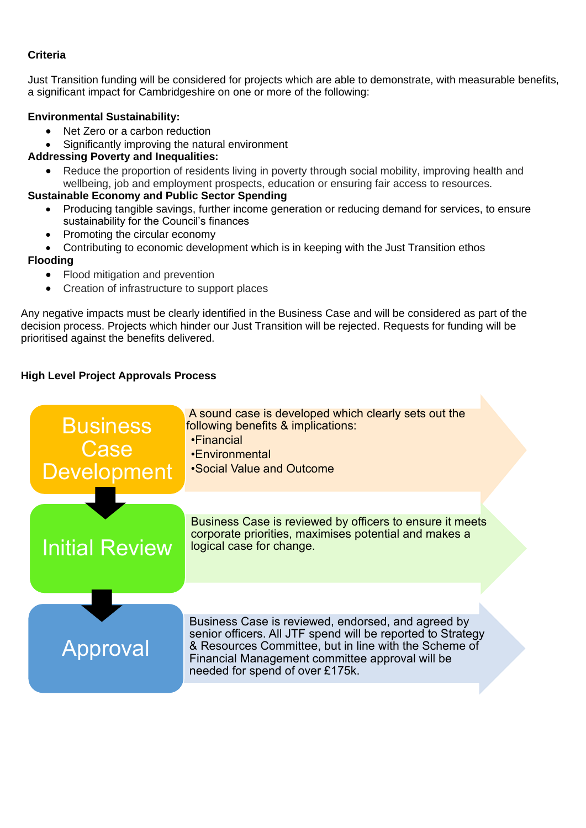#### **Criteria**

Just Transition funding will be considered for projects which are able to demonstrate, with measurable benefits, a significant impact for Cambridgeshire on one or more of the following:

#### **Environmental Sustainability:**

- Net Zero or a carbon reduction
- Significantly improving the natural environment

#### **Addressing Poverty and Inequalities:**

Reduce the proportion of residents living in poverty through social mobility, improving health and wellbeing, job and employment prospects, education or ensuring fair access to resources.

#### **Sustainable Economy and Public Sector Spending**

- Producing tangible savings, further income generation or reducing demand for services, to ensure sustainability for the Council's finances
- Promoting the circular economy
- Contributing to economic development which is in keeping with the Just Transition ethos **Flooding**
	- Flood mitigation and prevention
	- Creation of infrastructure to support places

Any negative impacts must be clearly identified in the Business Case and will be considered as part of the decision process. Projects which hinder our Just Transition will be rejected. Requests for funding will be prioritised against the benefits delivered.

#### **High Level Project Approvals Process**

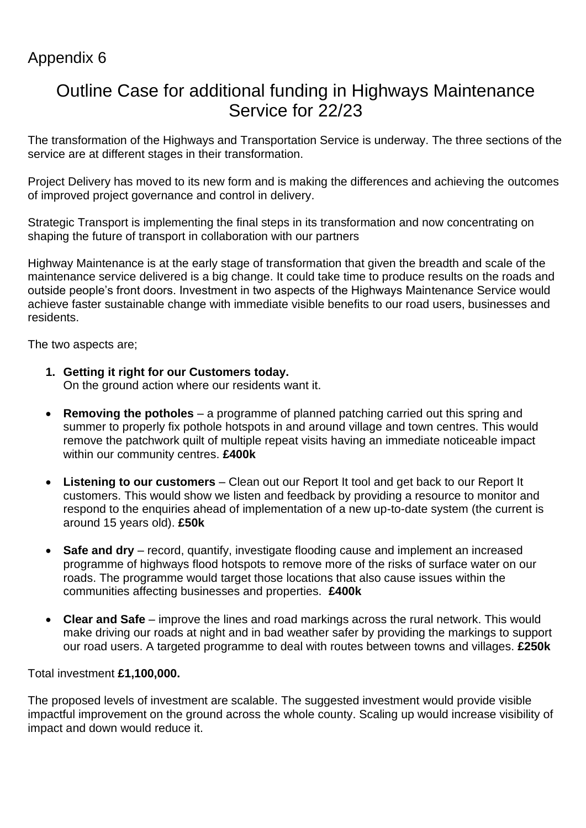# Outline Case for additional funding in Highways Maintenance Service for 22/23

The transformation of the Highways and Transportation Service is underway. The three sections of the service are at different stages in their transformation.

Project Delivery has moved to its new form and is making the differences and achieving the outcomes of improved project governance and control in delivery.

Strategic Transport is implementing the final steps in its transformation and now concentrating on shaping the future of transport in collaboration with our partners

Highway Maintenance is at the early stage of transformation that given the breadth and scale of the maintenance service delivered is a big change. It could take time to produce results on the roads and outside people's front doors. Investment in two aspects of the Highways Maintenance Service would achieve faster sustainable change with immediate visible benefits to our road users, businesses and residents.

The two aspects are;

- **1. Getting it right for our Customers today.**  On the ground action where our residents want it.
- **Removing the potholes** a programme of planned patching carried out this spring and summer to properly fix pothole hotspots in and around village and town centres. This would remove the patchwork quilt of multiple repeat visits having an immediate noticeable impact within our community centres. **£400k**
- **Listening to our customers** Clean out our Report It tool and get back to our Report It customers. This would show we listen and feedback by providing a resource to monitor and respond to the enquiries ahead of implementation of a new up-to-date system (the current is around 15 years old). **£50k**
- **Safe and dry** record, quantify, investigate flooding cause and implement an increased programme of highways flood hotspots to remove more of the risks of surface water on our roads. The programme would target those locations that also cause issues within the communities affecting businesses and properties. **£400k**
- **Clear and Safe** improve the lines and road markings across the rural network. This would make driving our roads at night and in bad weather safer by providing the markings to support our road users. A targeted programme to deal with routes between towns and villages. **£250k**

Total investment **£1,100,000.**

The proposed levels of investment are scalable. The suggested investment would provide visible impactful improvement on the ground across the whole county. Scaling up would increase visibility of impact and down would reduce it.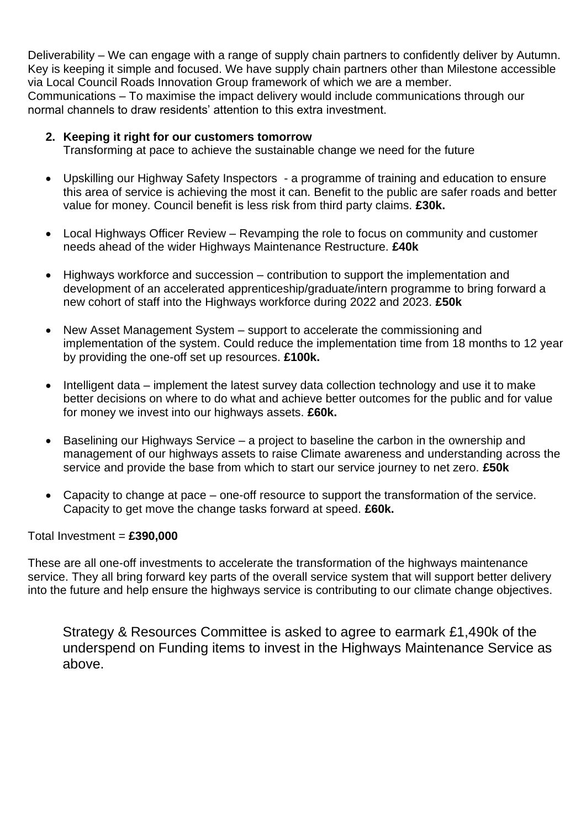Deliverability – We can engage with a range of supply chain partners to confidently deliver by Autumn. Key is keeping it simple and focused. We have supply chain partners other than Milestone accessible via Local Council Roads Innovation Group framework of which we are a member.

Communications – To maximise the impact delivery would include communications through our normal channels to draw residents' attention to this extra investment.

#### **2. Keeping it right for our customers tomorrow**

Transforming at pace to achieve the sustainable change we need for the future

- Upskilling our Highway Safety Inspectors a programme of training and education to ensure this area of service is achieving the most it can. Benefit to the public are safer roads and better value for money. Council benefit is less risk from third party claims. **£30k.**
- Local Highways Officer Review Revamping the role to focus on community and customer needs ahead of the wider Highways Maintenance Restructure. **£40k**
- Highways workforce and succession contribution to support the implementation and development of an accelerated apprenticeship/graduate/intern programme to bring forward a new cohort of staff into the Highways workforce during 2022 and 2023. **£50k**
- New Asset Management System support to accelerate the commissioning and implementation of the system. Could reduce the implementation time from 18 months to 12 year by providing the one-off set up resources. **£100k.**
- Intelligent data implement the latest survey data collection technology and use it to make better decisions on where to do what and achieve better outcomes for the public and for value for money we invest into our highways assets. **£60k.**
- Baselining our Highways Service a project to baseline the carbon in the ownership and management of our highways assets to raise Climate awareness and understanding across the service and provide the base from which to start our service journey to net zero. **£50k**
- Capacity to change at pace one-off resource to support the transformation of the service. Capacity to get move the change tasks forward at speed. **£60k.**

#### Total Investment = **£390,000**

These are all one-off investments to accelerate the transformation of the highways maintenance service. They all bring forward key parts of the overall service system that will support better delivery into the future and help ensure the highways service is contributing to our climate change objectives.

Strategy & Resources Committee is asked to agree to earmark £1,490k of the underspend on Funding items to invest in the Highways Maintenance Service as above.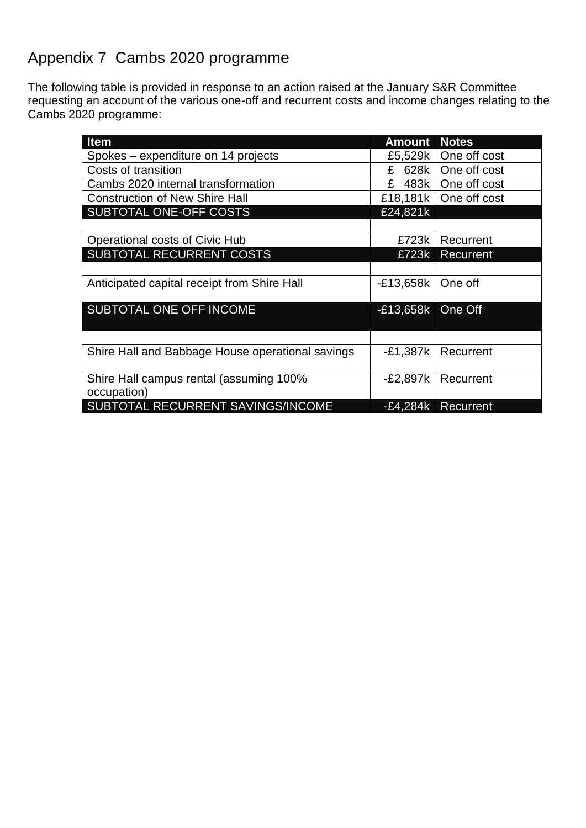# Appendix 7 Cambs 2020 programme

The following table is provided in response to an action raised at the January S&R Committee requesting an account of the various one-off and recurrent costs and income changes relating to the Cambs 2020 programme:

| <b>Item</b>                                      | <b>Amount</b> | <b>Notes</b>            |
|--------------------------------------------------|---------------|-------------------------|
| Spokes – expenditure on 14 projects              |               | £5,529k   One off cost  |
| Costs of transition                              | £ 628k        | One off cost            |
| Cambs 2020 internal transformation               | £ 483k        | One off cost            |
| <b>Construction of New Shire Hall</b>            |               | £18,181k   One off cost |
| SUBTOTAL ONE-OFF COSTS                           | £24,821k      |                         |
|                                                  |               |                         |
| Operational costs of Civic Hub                   | £723k         | Recurrent               |
| SUBTOTAL RECURRENT COSTS                         | £723k         | Recurrent               |
|                                                  |               |                         |
| Anticipated capital receipt from Shire Hall      | -£13,658k     | One off                 |
|                                                  |               |                         |
| SUBTOTAL ONE OFF INCOME                          | $-E13,658k$   | One Off                 |
|                                                  |               |                         |
|                                                  |               |                         |
| Shire Hall and Babbage House operational savings | $-E1,387k$    | Recurrent               |
|                                                  |               |                         |
| Shire Hall campus rental (assuming 100%          | $-E2,897k$    | Recurrent               |
| occupation)                                      |               |                         |
| SUBTOTAL RECURRENT SAVINGS/INCOME                | $-E4,284k$    | <b>Recurrent</b>        |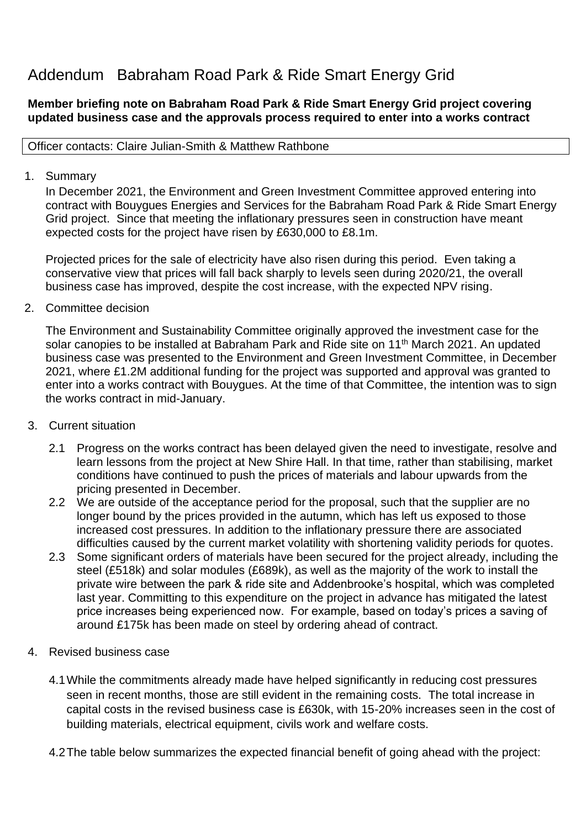# Addendum Babraham Road Park & Ride Smart Energy Grid

#### **Member briefing note on Babraham Road Park & Ride Smart Energy Grid project covering updated business case and the approvals process required to enter into a works contract**

#### Officer contacts: Claire Julian-Smith & Matthew Rathbone

#### 1. Summary

In December 2021, the Environment and Green Investment Committee approved entering into contract with Bouygues Energies and Services for the Babraham Road Park & Ride Smart Energy Grid project. Since that meeting the inflationary pressures seen in construction have meant expected costs for the project have risen by £630,000 to £8.1m.

Projected prices for the sale of electricity have also risen during this period. Even taking a conservative view that prices will fall back sharply to levels seen during 2020/21, the overall business case has improved, despite the cost increase, with the expected NPV rising.

2. Committee decision

The Environment and Sustainability Committee originally approved the investment case for the solar canopies to be installed at Babraham Park and Ride site on 11<sup>th</sup> March 2021. An updated business case was presented to the Environment and Green Investment Committee, in December 2021, where £1.2M additional funding for the project was supported and approval was granted to enter into a works contract with Bouygues. At the time of that Committee, the intention was to sign the works contract in mid-January.

- 3. Current situation
	- 2.1 Progress on the works contract has been delayed given the need to investigate, resolve and learn lessons from the project at New Shire Hall. In that time, rather than stabilising, market conditions have continued to push the prices of materials and labour upwards from the pricing presented in December.
	- 2.2 We are outside of the acceptance period for the proposal, such that the supplier are no longer bound by the prices provided in the autumn, which has left us exposed to those increased cost pressures. In addition to the inflationary pressure there are associated difficulties caused by the current market volatility with shortening validity periods for quotes.
	- 2.3 Some significant orders of materials have been secured for the project already, including the steel (£518k) and solar modules (£689k), as well as the majority of the work to install the private wire between the park & ride site and Addenbrooke's hospital, which was completed last year. Committing to this expenditure on the project in advance has mitigated the latest price increases being experienced now. For example, based on today's prices a saving of around £175k has been made on steel by ordering ahead of contract.
- 4. Revised business case
	- 4.1While the commitments already made have helped significantly in reducing cost pressures seen in recent months, those are still evident in the remaining costs. The total increase in capital costs in the revised business case is £630k, with 15-20% increases seen in the cost of building materials, electrical equipment, civils work and welfare costs.
	- 4.2The table below summarizes the expected financial benefit of going ahead with the project: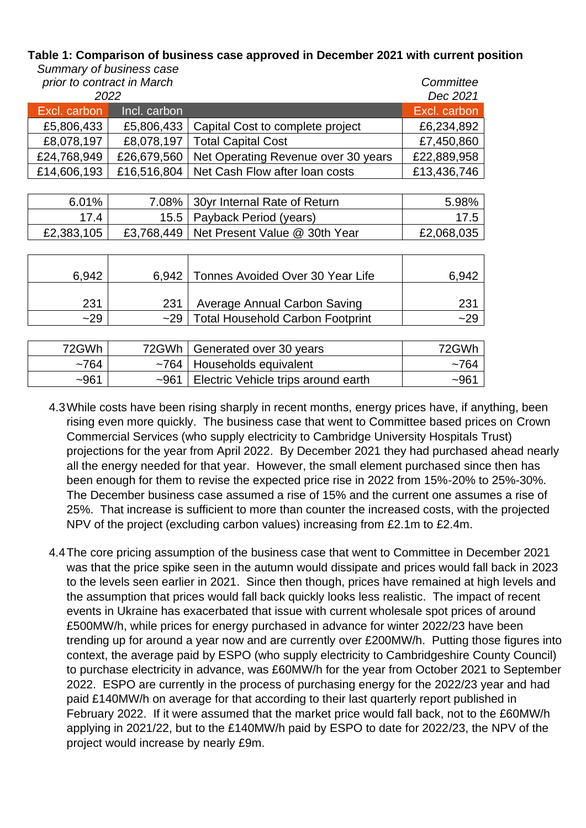#### **Table 1: Comparison of business case approved in December 2021 with current position** *Summary of business case*

| 5.001<br>2022 | prior to contract in March |                                              | Committee<br>Dec 2021 |
|---------------|----------------------------|----------------------------------------------|-----------------------|
| Excl. carbon  | Incl. carbon               |                                              | Excl. carbon          |
| £5,806,433    | £5,806,433                 | Capital Cost to complete project             | £6,234,892            |
| £8,078,197    | £8,078,197                 | <b>Total Capital Cost</b>                    | £7,450,860            |
| £24,768,949   | £26,679,560                | Net Operating Revenue over 30 years          | £22,889,958           |
| £14,606,193   |                            | £16,516,804   Net Cash Flow after loan costs | £13,436,746           |

| $6.01\%$   | 7.08%   30yr Internal Rate of Return       | 5.98%      |
|------------|--------------------------------------------|------------|
| 174        | 15.5   Payback Period (years)              | 17.5       |
| £2,383,105 | £3,768,449   Net Present Value @ 30th Year | £2,068,035 |

| 6,942 |     | 6,942   Tonnes Avoided Over 30 Year Life | 6.942 |
|-------|-----|------------------------------------------|-------|
|       |     |                                          |       |
| 231   | 231 | <b>Average Annual Carbon Saving</b>      | 231   |
| $-29$ |     | ~29   Total Household Carbon Footprint   | $-29$ |

| 72GWh      |             | 72GWh   Generated over 30 years     | 72GWh |
|------------|-------------|-------------------------------------|-------|
| $~1$ - 764 |             | $\sim$ 764   Households equivalent  | ~764  |
| $-961$     | $~1$ –961 – | Electric Vehicle trips around earth | ~961  |

- 4.3While costs have been rising sharply in recent months, energy prices have, if anything, been rising even more quickly. The business case that went to Committee based prices on Crown Commercial Services (who supply electricity to Cambridge University Hospitals Trust) projections for the year from April 2022. By December 2021 they had purchased ahead nearly all the energy needed for that year. However, the small element purchased since then has been enough for them to revise the expected price rise in 2022 from 15%-20% to 25%-30%. The December business case assumed a rise of 15% and the current one assumes a rise of 25%. That increase is sufficient to more than counter the increased costs, with the projected NPV of the project (excluding carbon values) increasing from £2.1m to £2.4m.
- 4.4The core pricing assumption of the business case that went to Committee in December 2021 was that the price spike seen in the autumn would dissipate and prices would fall back in 2023 to the levels seen earlier in 2021. Since then though, prices have remained at high levels and the assumption that prices would fall back quickly looks less realistic. The impact of recent events in Ukraine has exacerbated that issue with current wholesale spot prices of around £500MW/h, while prices for energy purchased in advance for winter 2022/23 have been trending up for around a year now and are currently over £200MW/h. Putting those figures into context, the average paid by ESPO (who supply electricity to Cambridgeshire County Council) to purchase electricity in advance, was £60MW/h for the year from October 2021 to September 2022. ESPO are currently in the process of purchasing energy for the 2022/23 year and had paid £140MW/h on average for that according to their last quarterly report published in February 2022. If it were assumed that the market price would fall back, not to the £60MW/h applying in 2021/22, but to the £140MW/h paid by ESPO to date for 2022/23, the NPV of the project would increase by nearly £9m.